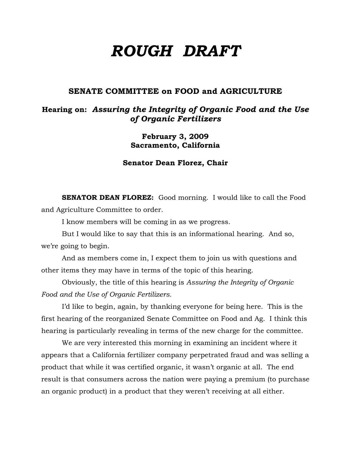# *ROUGH DRAFT*

### **SENATE COMMITTEE on FOOD and AGRICULTURE**

## **Hearing on:** *Assuring the Integrity of Organic Food and the Use of Organic Fertilizers*

**February 3, 2009 Sacramento, California** 

**Senator Dean Florez, Chair** 

**SENATOR DEAN FLOREZ:** Good morning. I would like to call the Food and Agriculture Committee to order.

I know members will be coming in as we progress.

But I would like to say that this is an informational hearing. And so, we're going to begin.

And as members come in, I expect them to join us with questions and other items they may have in terms of the topic of this hearing.

Obviously, the title of this hearing is *Assuring the Integrity of Organic Food and the Use of Organic Fertilizers.*

 I'd like to begin, again, by thanking everyone for being here. This is the first hearing of the reorganized Senate Committee on Food and Ag. I think this hearing is particularly revealing in terms of the new charge for the committee.

We are very interested this morning in examining an incident where it appears that a California fertilizer company perpetrated fraud and was selling a product that while it was certified organic, it wasn't organic at all. The end result is that consumers across the nation were paying a premium (to purchase an organic product) in a product that they weren't receiving at all either.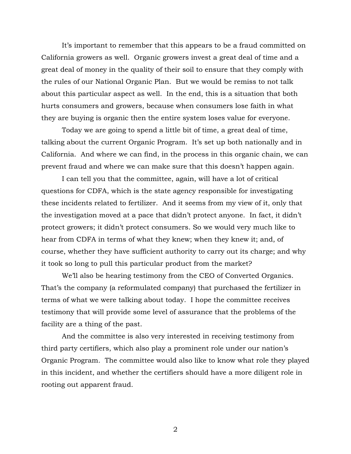It's important to remember that this appears to be a fraud committed on California growers as well. Organic growers invest a great deal of time and a great deal of money in the quality of their soil to ensure that they comply with the rules of our National Organic Plan. But we would be remiss to not talk about this particular aspect as well. In the end, this is a situation that both hurts consumers and growers, because when consumers lose faith in what they are buying is organic then the entire system loses value for everyone.

 Today we are going to spend a little bit of time, a great deal of time, talking about the current Organic Program. It's set up both nationally and in California. And where we can find, in the process in this organic chain, we can prevent fraud and where we can make sure that this doesn't happen again.

 I can tell you that the committee, again, will have a lot of critical questions for CDFA, which is the state agency responsible for investigating these incidents related to fertilizer. And it seems from my view of it, only that the investigation moved at a pace that didn't protect anyone. In fact, it didn't protect growers; it didn't protect consumers. So we would very much like to hear from CDFA in terms of what they knew; when they knew it; and, of course, whether they have sufficient authority to carry out its charge; and why it took so long to pull this particular product from the market?

 We'll also be hearing testimony from the CEO of Converted Organics. That's the company (a reformulated company) that purchased the fertilizer in terms of what we were talking about today. I hope the committee receives testimony that will provide some level of assurance that the problems of the facility are a thing of the past.

And the committee is also very interested in receiving testimony from third party certifiers, which also play a prominent role under our nation's Organic Program. The committee would also like to know what role they played in this incident, and whether the certifiers should have a more diligent role in rooting out apparent fraud.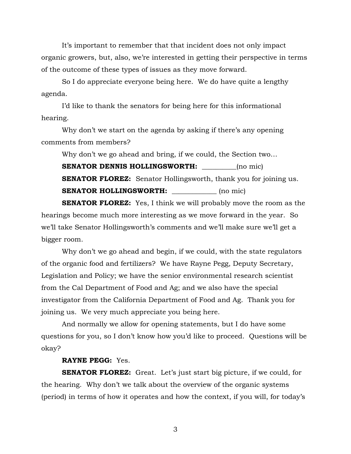It's important to remember that that incident does not only impact organic growers, but, also, we're interested in getting their perspective in terms of the outcome of these types of issues as they move forward.

 So I do appreciate everyone being here. We do have quite a lengthy agenda.

I'd like to thank the senators for being here for this informational hearing.

Why don't we start on the agenda by asking if there's any opening comments from members?

Why don't we go ahead and bring, if we could, the Section two…

**SENATOR DENNIS HOLLINGSWORTH:** \_\_\_\_\_\_\_\_(no mic) **SENATOR FLOREZ:** Senator Hollingsworth, thank you for joining us. **SENATOR HOLLINGSWORTH:** (no mic)

**SENATOR FLOREZ:** Yes, I think we will probably move the room as the hearings become much more interesting as we move forward in the year. So we'll take Senator Hollingsworth's comments and we'll make sure we'll get a bigger room.

 Why don't we go ahead and begin, if we could, with the state regulators of the organic food and fertilizers? We have Rayne Pegg, Deputy Secretary, Legislation and Policy; we have the senior environmental research scientist from the Cal Department of Food and Ag; and we also have the special investigator from the California Department of Food and Ag. Thank you for joining us. We very much appreciate you being here.

And normally we allow for opening statements, but I do have some questions for you, so I don't know how you'd like to proceed. Questions will be okay?

#### **RAYNE PEGG:** Yes.

**SENATOR FLOREZ:** Great. Let's just start big picture, if we could, for the hearing. Why don't we talk about the overview of the organic systems (period) in terms of how it operates and how the context, if you will, for today's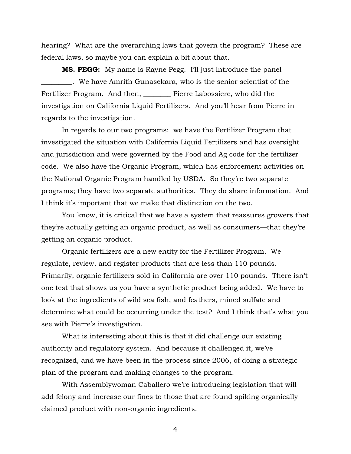hearing? What are the overarching laws that govern the program? These are federal laws, so maybe you can explain a bit about that.

**MS. PEGG:** My name is Rayne Pegg. I'll just introduce the panel \_\_\_\_\_\_\_\_\_. We have Amrith Gunasekara, who is the senior scientist of the Fertilizer Program. And then, Pierre Labossiere, who did the investigation on California Liquid Fertilizers. And you'll hear from Pierre in regards to the investigation.

In regards to our two programs: we have the Fertilizer Program that investigated the situation with California Liquid Fertilizers and has oversight and jurisdiction and were governed by the Food and Ag code for the fertilizer code. We also have the Organic Program, which has enforcement activities on the National Organic Program handled by USDA. So they're two separate programs; they have two separate authorities. They do share information. And I think it's important that we make that distinction on the two.

You know, it is critical that we have a system that reassures growers that they're actually getting an organic product, as well as consumers—that they're getting an organic product.

Organic fertilizers are a new entity for the Fertilizer Program. We regulate, review, and register products that are less than 110 pounds. Primarily, organic fertilizers sold in California are over 110 pounds. There isn't one test that shows us you have a synthetic product being added. We have to look at the ingredients of wild sea fish, and feathers, mined sulfate and determine what could be occurring under the test? And I think that's what you see with Pierre's investigation.

What is interesting about this is that it did challenge our existing authority and regulatory system. And because it challenged it, we've recognized, and we have been in the process since 2006, of doing a strategic plan of the program and making changes to the program.

With Assemblywoman Caballero we're introducing legislation that will add felony and increase our fines to those that are found spiking organically claimed product with non-organic ingredients.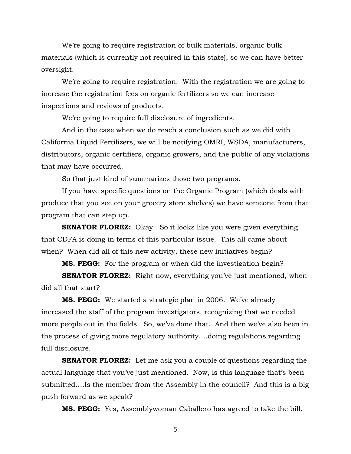We're going to require registration of bulk materials, organic bulk materials (which is currently not required in this state), so we can have better oversight.

We're going to require registration. With the registration we are going to increase the registration fees on organic fertilizers so we can increase inspections and reviews of products.

We're going to require full disclosure of ingredients.

And in the case when we do reach a conclusion such as we did with California Liquid Fertilizers, we will be notifying OMRI, WSDA, manufacturers, distributors, organic certifiers, organic growers, and the public of any violations that may have occurred.

So that just kind of summarizes those two programs.

If you have specific questions on the Organic Program (which deals with produce that you see on your grocery store shelves) we have someone from that program that can step up.

**SENATOR FLOREZ:** Okay. So it looks like you were given everything that CDFA is doing in terms of this particular issue. This all came about when? When did all of this new activity, these new initiatives begin?

**MS. PEGG:** For the program or when did the investigation begin?

**SENATOR FLOREZ:** Right now, everything you've just mentioned, when did all that start?

**MS. PEGG:** We started a strategic plan in 2006. We've already increased the staff of the program investigators, recognizing that we needed more people out in the fields. So, we've done that. And then we've also been in the process of giving more regulatory authority….doing regulations regarding full disclosure.

**SENATOR FLOREZ:** Let me ask you a couple of questions regarding the actual language that you've just mentioned. Now, is this language that's been submitted….Is the member from the Assembly in the council? And this is a big push forward as we speak?

**MS. PEGG:** Yes, Assemblywoman Caballero has agreed to take the bill.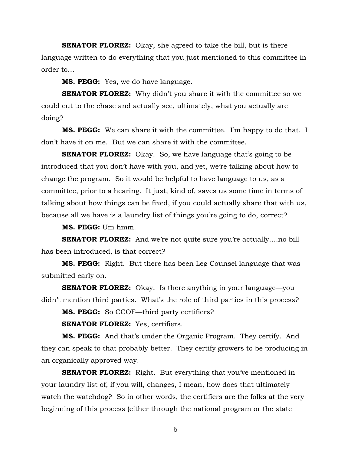**SENATOR FLOREZ:** Okay, she agreed to take the bill, but is there language written to do everything that you just mentioned to this committee in order to…

**MS. PEGG:** Yes, we do have language.

**SENATOR FLOREZ:** Why didn't you share it with the committee so we could cut to the chase and actually see, ultimately, what you actually are doing?

**MS. PEGG:** We can share it with the committee. I'm happy to do that. I don't have it on me. But we can share it with the committee.

**SENATOR FLOREZ:** Okay. So, we have language that's going to be introduced that you don't have with you, and yet, we're talking about how to change the program. So it would be helpful to have language to us, as a committee, prior to a hearing. It just, kind of, saves us some time in terms of talking about how things can be fixed, if you could actually share that with us, because all we have is a laundry list of things you're going to do, correct?

**MS. PEGG:** Um hmm.

**SENATOR FLOREZ:** And we're not quite sure you're actually....no bill has been introduced, is that correct?

**MS. PEGG:** Right. But there has been Leg Counsel language that was submitted early on.

**SENATOR FLOREZ:** Okay. Is there anything in your language—you didn't mention third parties. What's the role of third parties in this process?

**MS. PEGG:** So CCOF—third party certifiers?

**SENATOR FLOREZ:** Yes, certifiers.

**MS. PEGG:** And that's under the Organic Program. They certify. And they can speak to that probably better. They certify growers to be producing in an organically approved way.

**SENATOR FLOREZ:** Right. But everything that you've mentioned in your laundry list of, if you will, changes, I mean, how does that ultimately watch the watchdog? So in other words, the certifiers are the folks at the very beginning of this process (either through the national program or the state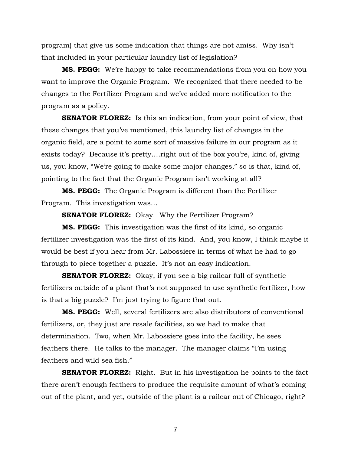program) that give us some indication that things are not amiss. Why isn't that included in your particular laundry list of legislation?

**MS. PEGG:** We're happy to take recommendations from you on how you want to improve the Organic Program. We recognized that there needed to be changes to the Fertilizer Program and we've added more notification to the program as a policy.

**SENATOR FLOREZ:** Is this an indication, from your point of view, that these changes that you've mentioned, this laundry list of changes in the organic field, are a point to some sort of massive failure in our program as it exists today? Because it's pretty….right out of the box you're, kind of, giving us, you know, "We're going to make some major changes," so is that, kind of, pointing to the fact that the Organic Program isn't working at all?

**MS. PEGG:** The Organic Program is different than the Fertilizer Program. This investigation was…

**SENATOR FLOREZ:** Okay. Why the Fertilizer Program?

**MS. PEGG:** This investigation was the first of its kind, so organic fertilizer investigation was the first of its kind. And, you know, I think maybe it would be best if you hear from Mr. Labossiere in terms of what he had to go through to piece together a puzzle. It's not an easy indication.

**SENATOR FLOREZ:** Okay, if you see a big railcar full of synthetic fertilizers outside of a plant that's not supposed to use synthetic fertilizer, how is that a big puzzle? I'm just trying to figure that out.

**MS. PEGG:** Well, several fertilizers are also distributors of conventional fertilizers, or, they just are resale facilities, so we had to make that determination. Two, when Mr. Labossiere goes into the facility, he sees feathers there. He talks to the manager. The manager claims "I'm using feathers and wild sea fish."

**SENATOR FLOREZ:** Right. But in his investigation he points to the fact there aren't enough feathers to produce the requisite amount of what's coming out of the plant, and yet, outside of the plant is a railcar out of Chicago, right?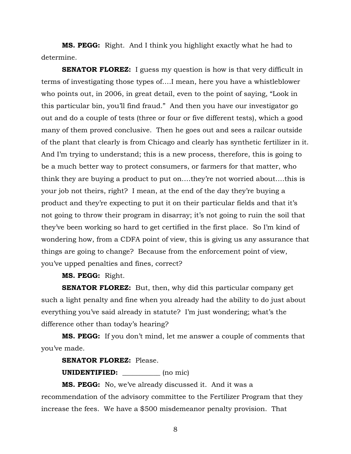**MS. PEGG:** Right. And I think you highlight exactly what he had to determine.

**SENATOR FLOREZ:** I guess my question is how is that very difficult in terms of investigating those types of….I mean, here you have a whistleblower who points out, in 2006, in great detail, even to the point of saying, "Look in this particular bin, you'll find fraud." And then you have our investigator go out and do a couple of tests (three or four or five different tests), which a good many of them proved conclusive. Then he goes out and sees a railcar outside of the plant that clearly is from Chicago and clearly has synthetic fertilizer in it. And I'm trying to understand; this is a new process, therefore, this is going to be a much better way to protect consumers, or farmers for that matter, who think they are buying a product to put on….they're not worried about….this is your job not theirs, right? I mean, at the end of the day they're buying a product and they're expecting to put it on their particular fields and that it's not going to throw their program in disarray; it's not going to ruin the soil that they've been working so hard to get certified in the first place. So I'm kind of wondering how, from a CDFA point of view, this is giving us any assurance that things are going to change? Because from the enforcement point of view, you've upped penalties and fines, correct?

**MS. PEGG:** Right.

**SENATOR FLOREZ:** But, then, why did this particular company get such a light penalty and fine when you already had the ability to do just about everything you've said already in statute? I'm just wondering; what's the difference other than today's hearing?

**MS. PEGG:** If you don't mind, let me answer a couple of comments that you've made.

#### **SENATOR FLOREZ:** Please.

**UNIDENTIFIED:** (no mic)

**MS. PEGG:** No, we've already discussed it. And it was a recommendation of the advisory committee to the Fertilizer Program that they increase the fees. We have a \$500 misdemeanor penalty provision. That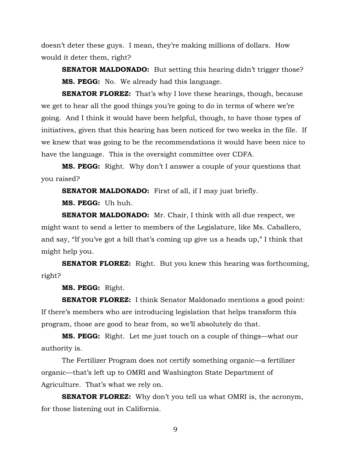doesn't deter these guys. I mean, they're making millions of dollars. How would it deter them, right?

**SENATOR MALDONADO:** But setting this hearing didn't trigger those? **MS. PEGG:** No. We already had this language.

**SENATOR FLOREZ:** That's why I love these hearings, though, because we get to hear all the good things you're going to do in terms of where we're going. And I think it would have been helpful, though, to have those types of initiatives, given that this hearing has been noticed for two weeks in the file. If we knew that was going to be the recommendations it would have been nice to have the language. This is the oversight committee over CDFA.

**MS. PEGG:** Right. Why don't I answer a couple of your questions that you raised?

**SENATOR MALDONADO:** First of all, if I may just briefly.

**MS. PEGG:** Uh huh.

**SENATOR MALDONADO:** Mr. Chair, I think with all due respect, we might want to send a letter to members of the Legislature, like Ms. Caballero, and say, "If you've got a bill that's coming up give us a heads up," I think that might help you.

**SENATOR FLOREZ:** Right. But you knew this hearing was forthcoming, right?

**MS. PEGG:** Right.

**SENATOR FLOREZ:** I think Senator Maldonado mentions a good point: If there's members who are introducing legislation that helps transform this program, those are good to hear from, so we'll absolutely do that.

**MS. PEGG:** Right. Let me just touch on a couple of things—what our authority is.

The Fertilizer Program does not certify something organic—a fertilizer organic—that's left up to OMRI and Washington State Department of Agriculture. That's what we rely on.

**SENATOR FLOREZ:** Why don't you tell us what OMRI is, the acronym, for those listening out in California.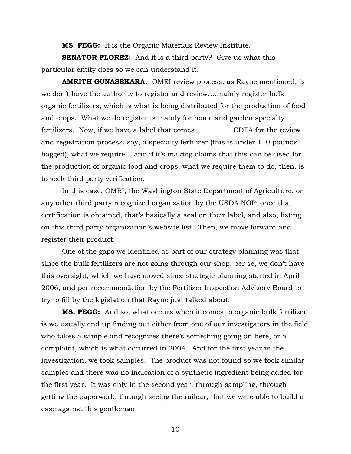**MS. PEGG:** It is the Organic Materials Review Institute.

**SENATOR FLOREZ:** And it is a third party? Give us what this particular entity does so we can understand it.

**AMRITH GUNASEKARA:** OMRI review process, as Rayne mentioned, is we don't have the authority to register and review….mainly register bulk organic fertilizers, which is what is being distributed for the production of food and crops. What we do register is mainly for home and garden specialty fertilizers. Now, if we have a label that comes \_\_\_\_\_\_\_\_\_\_ CDFA for the review and registration process, say, a specialty fertilizer (this is under 110 pounds bagged), what we require….and if it's making claims that this can be used for the production of organic food and crops, what we require them to do, then, is to seek third party verification.

In this case, OMRI, the Washington State Department of Agriculture, or any other third party recognized organization by the USDA NOP; once that certification is obtained, that's basically a seal on their label, and also, listing on this third party organization's website list. Then, we move forward and register their product.

One of the gaps we identified as part of our strategy planning was that since the bulk fertilizers are not going through our shop, per se, we don't have this oversight, which we have moved since strategic planning started in April 2006, and per recommendation by the Fertilizer Inspection Advisory Board to try to fill by the legislation that Rayne just talked about.

**MS. PEGG:** And so, what occurs when it comes to organic bulk fertilizer is we usually end up finding out either from one of our investigators in the field who takes a sample and recognizes there's something going on here, or a complaint, which is what occurred in 2004. And for the first year in the investigation, we took samples. The product was not found so we took similar samples and there was no indication of a synthetic ingredient being added for the first year. It was only in the second year, through sampling, through getting the paperwork, through seeing the railcar, that we were able to build a case against this gentleman.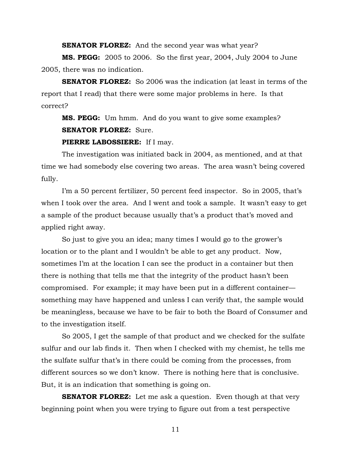**SENATOR FLOREZ:** And the second year was what year?

**MS. PEGG:** 2005 to 2006. So the first year, 2004, July 2004 to June 2005, there was no indication.

**SENATOR FLOREZ:** So 2006 was the indication (at least in terms of the report that I read) that there were some major problems in here. Is that correct?

**MS. PEGG:** Um hmm. And do you want to give some examples? **SENATOR FLOREZ:** Sure.

#### **PIERRE LABOSSIERE:** If I may.

The investigation was initiated back in 2004, as mentioned, and at that time we had somebody else covering two areas. The area wasn't being covered fully.

I'm a 50 percent fertilizer, 50 percent feed inspector. So in 2005, that's when I took over the area. And I went and took a sample. It wasn't easy to get a sample of the product because usually that's a product that's moved and applied right away.

So just to give you an idea; many times I would go to the grower's location or to the plant and I wouldn't be able to get any product. Now, sometimes I'm at the location I can see the product in a container but then there is nothing that tells me that the integrity of the product hasn't been compromised. For example; it may have been put in a different container something may have happened and unless I can verify that, the sample would be meaningless, because we have to be fair to both the Board of Consumer and to the investigation itself.

So 2005, I get the sample of that product and we checked for the sulfate sulfur and our lab finds it. Then when I checked with my chemist, he tells me the sulfate sulfur that's in there could be coming from the processes, from different sources so we don't know. There is nothing here that is conclusive. But, it is an indication that something is going on.

**SENATOR FLOREZ:** Let me ask a question. Even though at that very beginning point when you were trying to figure out from a test perspective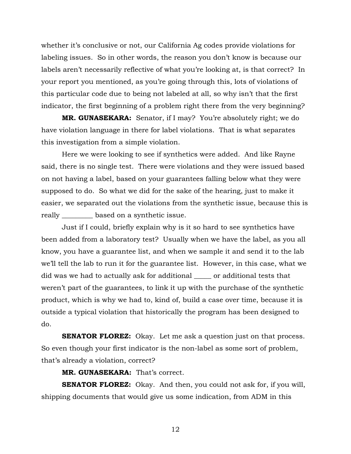whether it's conclusive or not, our California Ag codes provide violations for labeling issues. So in other words, the reason you don't know is because our labels aren't necessarily reflective of what you're looking at, is that correct? In your report you mentioned, as you're going through this, lots of violations of this particular code due to being not labeled at all, so why isn't that the first indicator, the first beginning of a problem right there from the very beginning?

**MR. GUNASEKARA:** Senator, if I may? You're absolutely right; we do have violation language in there for label violations. That is what separates this investigation from a simple violation.

Here we were looking to see if synthetics were added. And like Rayne said, there is no single test. There were violations and they were issued based on not having a label, based on your guarantees falling below what they were supposed to do. So what we did for the sake of the hearing, just to make it easier, we separated out the violations from the synthetic issue, because this is really \_\_\_\_\_\_\_\_\_ based on a synthetic issue.

Just if I could, briefly explain why is it so hard to see synthetics have been added from a laboratory test? Usually when we have the label, as you all know, you have a guarantee list, and when we sample it and send it to the lab we'll tell the lab to run it for the guarantee list. However, in this case, what we did was we had to actually ask for additional \_\_\_\_\_ or additional tests that weren't part of the guarantees, to link it up with the purchase of the synthetic product, which is why we had to, kind of, build a case over time, because it is outside a typical violation that historically the program has been designed to do.

**SENATOR FLOREZ:** Okay. Let me ask a question just on that process. So even though your first indicator is the non-label as some sort of problem, that's already a violation, correct?

**MR. GUNASEKARA:** That's correct.

**SENATOR FLOREZ:** Okay. And then, you could not ask for, if you will, shipping documents that would give us some indication, from ADM in this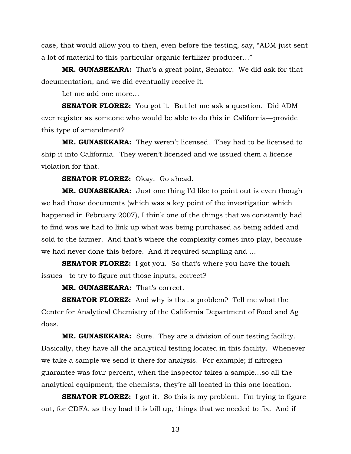case, that would allow you to then, even before the testing, say, "ADM just sent a lot of material to this particular organic fertilizer producer…"

**MR. GUNASEKARA:** That's a great point, Senator. We did ask for that documentation, and we did eventually receive it.

Let me add one more…

**SENATOR FLOREZ:** You got it. But let me ask a question. Did ADM ever register as someone who would be able to do this in California—provide this type of amendment?

**MR. GUNASEKARA:** They weren't licensed. They had to be licensed to ship it into California. They weren't licensed and we issued them a license violation for that.

**SENATOR FLOREZ:** Okay. Go ahead.

**MR. GUNASEKARA:** Just one thing I'd like to point out is even though we had those documents (which was a key point of the investigation which happened in February 2007), I think one of the things that we constantly had to find was we had to link up what was being purchased as being added and sold to the farmer. And that's where the complexity comes into play, because we had never done this before. And it required sampling and …

**SENATOR FLOREZ:** I got you. So that's where you have the tough issues—to try to figure out those inputs, correct?

**MR. GUNASEKARA:** That's correct.

**SENATOR FLOREZ:** And why is that a problem? Tell me what the Center for Analytical Chemistry of the California Department of Food and Ag does.

**MR. GUNASEKARA:** Sure. They are a division of our testing facility. Basically, they have all the analytical testing located in this facility. Whenever we take a sample we send it there for analysis. For example; if nitrogen guarantee was four percent, when the inspector takes a sample…so all the analytical equipment, the chemists, they're all located in this one location.

**SENATOR FLOREZ:** I got it. So this is my problem. I'm trying to figure out, for CDFA, as they load this bill up, things that we needed to fix. And if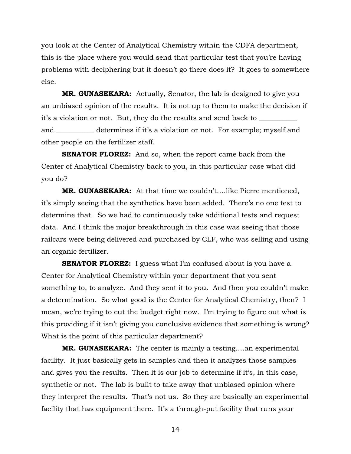you look at the Center of Analytical Chemistry within the CDFA department, this is the place where you would send that particular test that you're having problems with deciphering but it doesn't go there does it? It goes to somewhere else.

**MR. GUNASEKARA:** Actually, Senator, the lab is designed to give you an unbiased opinion of the results. It is not up to them to make the decision if it's a violation or not. But, they do the results and send back to \_\_\_\_\_\_\_\_\_\_\_\_\_\_ and \_\_\_\_\_\_\_\_\_\_\_ determines if it's a violation or not. For example; myself and other people on the fertilizer staff.

**SENATOR FLOREZ:** And so, when the report came back from the Center of Analytical Chemistry back to you, in this particular case what did you do?

**MR. GUNASEKARA:** At that time we couldn't….like Pierre mentioned, it's simply seeing that the synthetics have been added. There's no one test to determine that. So we had to continuously take additional tests and request data. And I think the major breakthrough in this case was seeing that those railcars were being delivered and purchased by CLF, who was selling and using an organic fertilizer.

**SENATOR FLOREZ:** I guess what I'm confused about is you have a Center for Analytical Chemistry within your department that you sent something to, to analyze. And they sent it to you. And then you couldn't make a determination. So what good is the Center for Analytical Chemistry, then? I mean, we're trying to cut the budget right now. I'm trying to figure out what is this providing if it isn't giving you conclusive evidence that something is wrong? What is the point of this particular department?

**MR. GUNASEKARA:** The center is mainly a testing….an experimental facility. It just basically gets in samples and then it analyzes those samples and gives you the results. Then it is our job to determine if it's, in this case, synthetic or not. The lab is built to take away that unbiased opinion where they interpret the results. That's not us. So they are basically an experimental facility that has equipment there. It's a through-put facility that runs your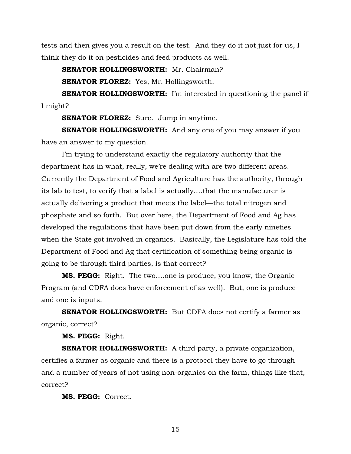tests and then gives you a result on the test. And they do it not just for us, I think they do it on pesticides and feed products as well.

**SENATOR HOLLINGSWORTH:** Mr. Chairman?

**SENATOR FLOREZ:** Yes, Mr. Hollingsworth.

**SENATOR HOLLINGSWORTH:** I'm interested in questioning the panel if I might?

**SENATOR FLOREZ:** Sure. Jump in anytime.

**SENATOR HOLLINGSWORTH:** And any one of you may answer if you have an answer to my question.

I'm trying to understand exactly the regulatory authority that the department has in what, really, we're dealing with are two different areas. Currently the Department of Food and Agriculture has the authority, through its lab to test, to verify that a label is actually….that the manufacturer is actually delivering a product that meets the label—the total nitrogen and phosphate and so forth. But over here, the Department of Food and Ag has developed the regulations that have been put down from the early nineties when the State got involved in organics. Basically, the Legislature has told the Department of Food and Ag that certification of something being organic is going to be through third parties, is that correct?

**MS. PEGG:** Right. The two….one is produce, you know, the Organic Program (and CDFA does have enforcement of as well). But, one is produce and one is inputs.

**SENATOR HOLLINGSWORTH:** But CDFA does not certify a farmer as organic, correct?

**MS. PEGG:** Right.

**SENATOR HOLLINGSWORTH:** A third party, a private organization, certifies a farmer as organic and there is a protocol they have to go through and a number of years of not using non-organics on the farm, things like that, correct?

**MS. PEGG:** Correct.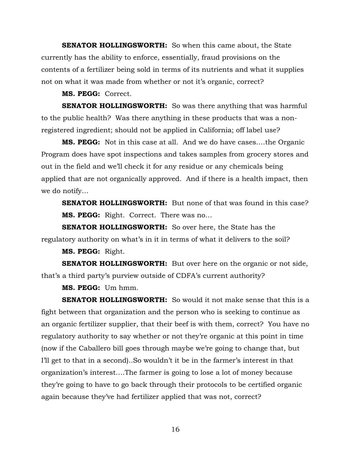**SENATOR HOLLINGSWORTH:** So when this came about, the State currently has the ability to enforce, essentially, fraud provisions on the contents of a fertilizer being sold in terms of its nutrients and what it supplies not on what it was made from whether or not it's organic, correct?

#### **MS. PEGG:** Correct.

**SENATOR HOLLINGSWORTH:** So was there anything that was harmful to the public health? Was there anything in these products that was a nonregistered ingredient; should not be applied in California; off label use?

**MS. PEGG:** Not in this case at all. And we do have cases….the Organic Program does have spot inspections and takes samples from grocery stores and out in the field and we'll check it for any residue or any chemicals being applied that are not organically approved. And if there is a health impact, then we do notify…

**SENATOR HOLLINGSWORTH:** But none of that was found in this case? **MS. PEGG:** Right. Correct. There was no…

**SENATOR HOLLINGSWORTH:** So over here, the State has the regulatory authority on what's in it in terms of what it delivers to the soil?

**MS. PEGG:** Right.

**SENATOR HOLLINGSWORTH:** But over here on the organic or not side, that's a third party's purview outside of CDFA's current authority?

**MS. PEGG:** Um hmm.

**SENATOR HOLLINGSWORTH:** So would it not make sense that this is a fight between that organization and the person who is seeking to continue as an organic fertilizer supplier, that their beef is with them, correct? You have no regulatory authority to say whether or not they're organic at this point in time (now if the Caballero bill goes through maybe we're going to change that, but I'll get to that in a second)..So wouldn't it be in the farmer's interest in that organization's interest….The farmer is going to lose a lot of money because they're going to have to go back through their protocols to be certified organic again because they've had fertilizer applied that was not, correct?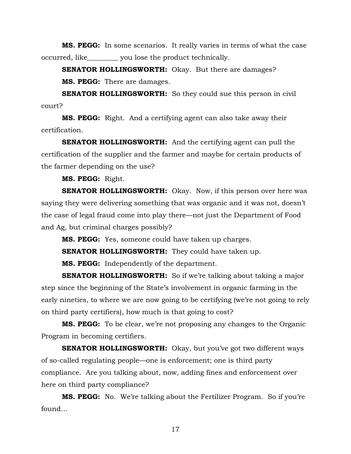**MS. PEGG:** In some scenarios. It really varies in terms of what the case occurred, like\_\_\_\_\_\_\_\_\_ you lose the product technically.

**SENATOR HOLLINGSWORTH:** Okay. But there are damages?

**MS. PEGG:** There are damages.

**SENATOR HOLLINGSWORTH:** So they could sue this person in civil court?

**MS. PEGG:** Right. And a certifying agent can also take away their certification.

**SENATOR HOLLINGSWORTH:** And the certifying agent can pull the certification of the supplier and the farmer and maybe for certain products of the farmer depending on the use?

**MS. PEGG:** Right.

**SENATOR HOLLINGSWORTH:** Okay. Now, if this person over here was saying they were delivering something that was organic and it was not, doesn't the case of legal fraud come into play there—not just the Department of Food and Ag, but criminal charges possibly?

**MS. PEGG:** Yes, someone could have taken up charges.

**SENATOR HOLLINGSWORTH:** They could have taken up.

**MS. PEGG:** Independently of the department.

**SENATOR HOLLINGSWORTH:** So if we're talking about taking a major step since the beginning of the State's involvement in organic farming in the early nineties, to where we are now going to be certifying (we're not going to rely on third party certifiers), how much is that going to cost?

**MS. PEGG:** To be clear, we're not proposing any changes to the Organic Program in becoming certifiers.

**SENATOR HOLLINGSWORTH:** Okay, but you've got two different ways of so-called regulating people—one is enforcement; one is third party compliance. Are you talking about, now, adding fines and enforcement over here on third party compliance?

**MS. PEGG:** No. We're talking about the Fertilizer Program. So if you're found…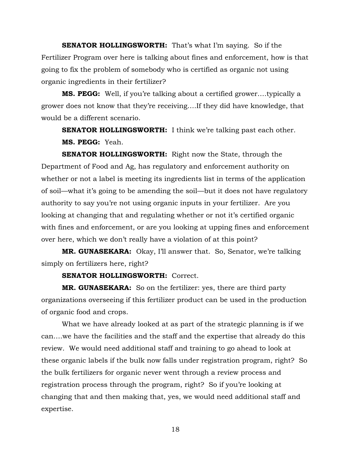**SENATOR HOLLINGSWORTH:** That's what I'm saying. So if the Fertilizer Program over here is talking about fines and enforcement, how is that going to fix the problem of somebody who is certified as organic not using organic ingredients in their fertilizer?

**MS. PEGG:** Well, if you're talking about a certified grower….typically a grower does not know that they're receiving….If they did have knowledge, that would be a different scenario.

**SENATOR HOLLINGSWORTH:** I think we're talking past each other. **MS. PEGG:** Yeah.

**SENATOR HOLLINGSWORTH:** Right now the State, through the Department of Food and Ag, has regulatory and enforcement authority on whether or not a label is meeting its ingredients list in terms of the application of soil—what it's going to be amending the soil—but it does not have regulatory authority to say you're not using organic inputs in your fertilizer. Are you looking at changing that and regulating whether or not it's certified organic with fines and enforcement, or are you looking at upping fines and enforcement over here, which we don't really have a violation of at this point?

**MR. GUNASEKARA:** Okay, I'll answer that. So, Senator, we're talking simply on fertilizers here, right?

**SENATOR HOLLINGSWORTH:** Correct.

**MR. GUNASEKARA:** So on the fertilizer: yes, there are third party organizations overseeing if this fertilizer product can be used in the production of organic food and crops.

What we have already looked at as part of the strategic planning is if we can….we have the facilities and the staff and the expertise that already do this review. We would need additional staff and training to go ahead to look at these organic labels if the bulk now falls under registration program, right? So the bulk fertilizers for organic never went through a review process and registration process through the program, right? So if you're looking at changing that and then making that, yes, we would need additional staff and expertise.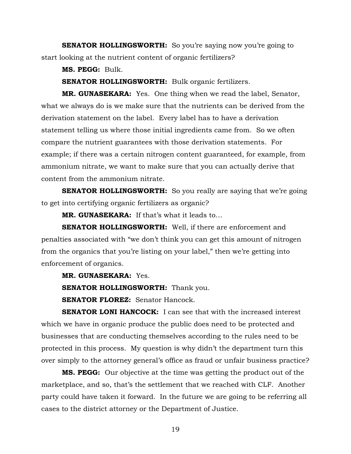**SENATOR HOLLINGSWORTH:** So you're saying now you're going to start looking at the nutrient content of organic fertilizers?

**MS. PEGG:** Bulk.

**SENATOR HOLLINGSWORTH:** Bulk organic fertilizers.

**MR. GUNASEKARA:** Yes. One thing when we read the label, Senator, what we always do is we make sure that the nutrients can be derived from the derivation statement on the label. Every label has to have a derivation statement telling us where those initial ingredients came from. So we often compare the nutrient guarantees with those derivation statements. For example; if there was a certain nitrogen content guaranteed, for example, from ammonium nitrate, we want to make sure that you can actually derive that content from the ammonium nitrate.

**SENATOR HOLLINGSWORTH:** So you really are saying that we're going to get into certifying organic fertilizers as organic?

**MR. GUNASEKARA:** If that's what it leads to…

**SENATOR HOLLINGSWORTH:** Well, if there are enforcement and penalties associated with "we don't think you can get this amount of nitrogen from the organics that you're listing on your label," then we're getting into enforcement of organics.

**MR. GUNASEKARA:** Yes.

**SENATOR HOLLINGSWORTH:** Thank you.

**SENATOR FLOREZ:** Senator Hancock.

**SENATOR LONI HANCOCK:** I can see that with the increased interest which we have in organic produce the public does need to be protected and businesses that are conducting themselves according to the rules need to be protected in this process. My question is why didn't the department turn this over simply to the attorney general's office as fraud or unfair business practice?

**MS. PEGG:** Our objective at the time was getting the product out of the marketplace, and so, that's the settlement that we reached with CLF. Another party could have taken it forward. In the future we are going to be referring all cases to the district attorney or the Department of Justice.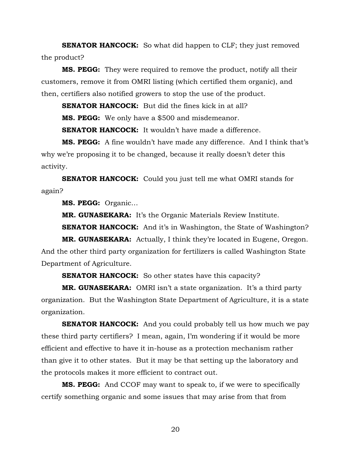**SENATOR HANCOCK:** So what did happen to CLF; they just removed the product?

**MS. PEGG:** They were required to remove the product, notify all their customers, remove it from OMRI listing (which certified them organic), and then, certifiers also notified growers to stop the use of the product.

**SENATOR HANCOCK:** But did the fines kick in at all?

**MS. PEGG:** We only have a \$500 and misdemeanor.

**SENATOR HANCOCK:** It wouldn't have made a difference.

**MS. PEGG:** A fine wouldn't have made any difference. And I think that's why we're proposing it to be changed, because it really doesn't deter this activity.

**SENATOR HANCOCK:** Could you just tell me what OMRI stands for again?

**MS. PEGG:** Organic…

**MR. GUNASEKARA:** It's the Organic Materials Review Institute.

**SENATOR HANCOCK:** And it's in Washington, the State of Washington?

**MR. GUNASEKARA:** Actually, I think they're located in Eugene, Oregon. And the other third party organization for fertilizers is called Washington State Department of Agriculture.

**SENATOR HANCOCK:** So other states have this capacity?

**MR. GUNASEKARA:** OMRI isn't a state organization. It's a third party organization. But the Washington State Department of Agriculture, it is a state organization.

**SENATOR HANCOCK:** And you could probably tell us how much we pay these third party certifiers? I mean, again, I'm wondering if it would be more efficient and effective to have it in-house as a protection mechanism rather than give it to other states. But it may be that setting up the laboratory and the protocols makes it more efficient to contract out.

**MS. PEGG:** And CCOF may want to speak to, if we were to specifically certify something organic and some issues that may arise from that from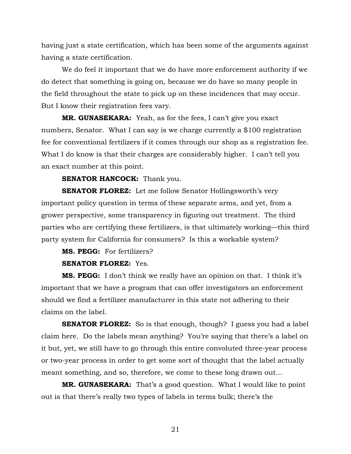having just a state certification, which has been some of the arguments against having a state certification.

We do feel it important that we do have more enforcement authority if we do detect that something is going on, because we do have so many people in the field throughout the state to pick up on these incidences that may occur. But I know their registration fees vary.

**MR. GUNASEKARA:** Yeah, as for the fees, I can't give you exact numbers, Senator. What I can say is we charge currently a \$100 registration fee for conventional fertilizers if it comes through our shop as a registration fee. What I do know is that their charges are considerably higher. I can't tell you an exact number at this point.

#### **SENATOR HANCOCK:** Thank you.

**SENATOR FLOREZ:** Let me follow Senator Hollingsworth's very important policy question in terms of these separate arms, and yet, from a grower perspective, some transparency in figuring out treatment. The third parties who are certifying these fertilizers, is that ultimately working—this third party system for California for consumers? Is this a workable system?

**MS. PEGG:** For fertilizers?

#### **SENATOR FLOREZ:** Yes.

**MS. PEGG:** I don't think we really have an opinion on that. I think it's important that we have a program that can offer investigators an enforcement should we find a fertilizer manufacturer in this state not adhering to their claims on the label.

**SENATOR FLOREZ:** So is that enough, though? I guess you had a label claim here. Do the labels mean anything? You're saying that there's a label on it but, yet, we still have to go through this entire convoluted three-year process or two-year process in order to get some sort of thought that the label actually meant something, and so, therefore, we come to these long drawn out…

**MR. GUNASEKARA:** That's a good question. What I would like to point out is that there's really two types of labels in terms bulk; there's the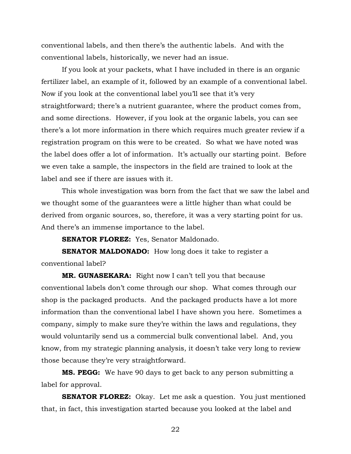conventional labels, and then there's the authentic labels. And with the conventional labels, historically, we never had an issue.

If you look at your packets, what I have included in there is an organic fertilizer label, an example of it, followed by an example of a conventional label. Now if you look at the conventional label you'll see that it's very straightforward; there's a nutrient guarantee, where the product comes from, and some directions. However, if you look at the organic labels, you can see there's a lot more information in there which requires much greater review if a registration program on this were to be created. So what we have noted was the label does offer a lot of information. It's actually our starting point. Before we even take a sample, the inspectors in the field are trained to look at the label and see if there are issues with it.

This whole investigation was born from the fact that we saw the label and we thought some of the guarantees were a little higher than what could be derived from organic sources, so, therefore, it was a very starting point for us. And there's an immense importance to the label.

**SENATOR FLOREZ:** Yes, Senator Maldonado.

**SENATOR MALDONADO:** How long does it take to register a conventional label?

**MR. GUNASEKARA:** Right now I can't tell you that because conventional labels don't come through our shop. What comes through our shop is the packaged products. And the packaged products have a lot more information than the conventional label I have shown you here. Sometimes a company, simply to make sure they're within the laws and regulations, they would voluntarily send us a commercial bulk conventional label. And, you know, from my strategic planning analysis, it doesn't take very long to review those because they're very straightforward.

**MS. PEGG:** We have 90 days to get back to any person submitting a label for approval.

**SENATOR FLOREZ:** Okay. Let me ask a question. You just mentioned that, in fact, this investigation started because you looked at the label and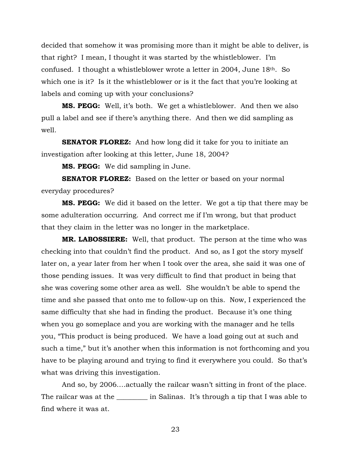decided that somehow it was promising more than it might be able to deliver, is that right? I mean, I thought it was started by the whistleblower. I'm confused. I thought a whistleblower wrote a letter in 2004, June  $18<sup>th</sup>$ . So which one is it? Is it the whistleblower or is it the fact that you're looking at labels and coming up with your conclusions?

**MS. PEGG:** Well, it's both. We get a whistleblower. And then we also pull a label and see if there's anything there. And then we did sampling as well.

**SENATOR FLOREZ:** And how long did it take for you to initiate an investigation after looking at this letter, June 18, 2004?

**MS. PEGG:** We did sampling in June.

**SENATOR FLOREZ:** Based on the letter or based on your normal everyday procedures?

**MS. PEGG:** We did it based on the letter. We got a tip that there may be some adulteration occurring. And correct me if I'm wrong, but that product that they claim in the letter was no longer in the marketplace.

**MR. LABOSSIERE:** Well, that product. The person at the time who was checking into that couldn't find the product. And so, as I got the story myself later on, a year later from her when I took over the area, she said it was one of those pending issues. It was very difficult to find that product in being that she was covering some other area as well. She wouldn't be able to spend the time and she passed that onto me to follow-up on this. Now, I experienced the same difficulty that she had in finding the product. Because it's one thing when you go someplace and you are working with the manager and he tells you, "This product is being produced. We have a load going out at such and such a time," but it's another when this information is not forthcoming and you have to be playing around and trying to find it everywhere you could. So that's what was driving this investigation.

And so, by 2006….actually the railcar wasn't sitting in front of the place. The railcar was at the \_\_\_\_\_\_\_\_\_ in Salinas. It's through a tip that I was able to find where it was at.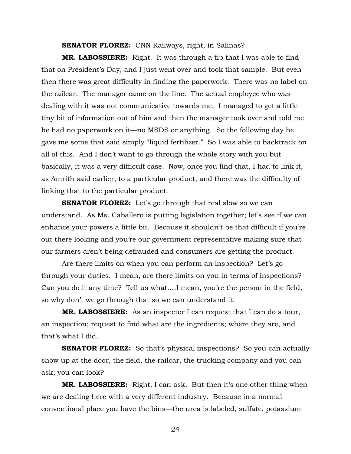**SENATOR FLOREZ:** CNN Railways, right, in Salinas?

**MR. LABOSSIERE:** Right. It was through a tip that I was able to find that on President's Day, and I just went over and took that sample. But even then there was great difficulty in finding the paperwork. There was no label on the railcar. The manager came on the line. The actual employee who was dealing with it was not communicative towards me. I managed to get a little tiny bit of information out of him and then the manager took over and told me he had no paperwork on it—no MSDS or anything. So the following day he gave me some that said simply "liquid fertilizer." So I was able to backtrack on all of this. And I don't want to go through the whole story with you but basically, it was a very difficult case. Now, once you find that, I had to link it, as Amrith said earlier, to a particular product, and there was the difficulty of linking that to the particular product.

**SENATOR FLOREZ:** Let's go through that real slow so we can understand. As Ms. Caballero is putting legislation together; let's see if we can enhance your powers a little bit. Because it shouldn't be that difficult if you're out there looking and you're our government representative making sure that our farmers aren't being defrauded and consumers are getting the product.

Are there limits on when you can perform an inspection? Let's go through your duties. I mean, are there limits on you in terms of inspections? Can you do it any time? Tell us what….I mean, you're the person in the field, so why don't we go through that so we can understand it.

**MR. LABOSSIERE:** As an inspector I can request that I can do a tour, an inspection; request to find what are the ingredients; where they are, and that's what I did.

**SENATOR FLOREZ:** So that's physical inspections? So you can actually show up at the door, the field, the railcar, the trucking company and you can ask; you can look?

**MR. LABOSSIERE:** Right, I can ask. But then it's one other thing when we are dealing here with a very different industry. Because in a normal conventional place you have the bins—the urea is labeled, sulfate, potassium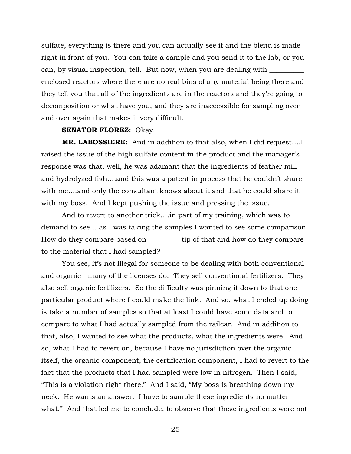sulfate, everything is there and you can actually see it and the blend is made right in front of you. You can take a sample and you send it to the lab, or you can, by visual inspection, tell. But now, when you are dealing with enclosed reactors where there are no real bins of any material being there and they tell you that all of the ingredients are in the reactors and they're going to decomposition or what have you, and they are inaccessible for sampling over and over again that makes it very difficult.

#### **SENATOR FLOREZ:** Okay.

**MR. LABOSSIERE:** And in addition to that also, when I did request….I raised the issue of the high sulfate content in the product and the manager's response was that, well, he was adamant that the ingredients of feather mill and hydrolyzed fish….and this was a patent in process that he couldn't share with me….and only the consultant knows about it and that he could share it with my boss. And I kept pushing the issue and pressing the issue.

 And to revert to another trick….in part of my training, which was to demand to see….as I was taking the samples I wanted to see some comparison. How do they compare based on \_\_\_\_\_\_\_\_\_ tip of that and how do they compare to the material that I had sampled?

 You see, it's not illegal for someone to be dealing with both conventional and organic—many of the licenses do. They sell conventional fertilizers. They also sell organic fertilizers. So the difficulty was pinning it down to that one particular product where I could make the link. And so, what I ended up doing is take a number of samples so that at least I could have some data and to compare to what I had actually sampled from the railcar. And in addition to that, also, I wanted to see what the products, what the ingredients were. And so, what I had to revert on, because I have no jurisdiction over the organic itself, the organic component, the certification component, I had to revert to the fact that the products that I had sampled were low in nitrogen. Then I said, "This is a violation right there." And I said, "My boss is breathing down my neck. He wants an answer. I have to sample these ingredients no matter what." And that led me to conclude, to observe that these ingredients were not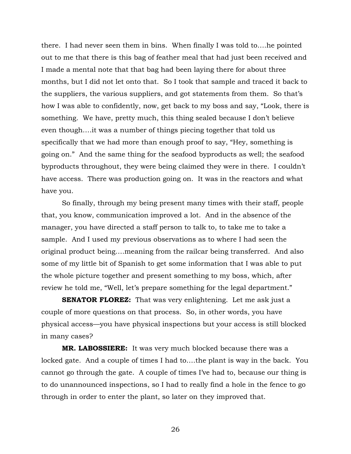there. I had never seen them in bins. When finally I was told to….he pointed out to me that there is this bag of feather meal that had just been received and I made a mental note that that bag had been laying there for about three months, but I did not let onto that. So I took that sample and traced it back to the suppliers, the various suppliers, and got statements from them. So that's how I was able to confidently, now, get back to my boss and say, "Look, there is something. We have, pretty much, this thing sealed because I don't believe even though….it was a number of things piecing together that told us specifically that we had more than enough proof to say, "Hey, something is going on." And the same thing for the seafood byproducts as well; the seafood byproducts throughout, they were being claimed they were in there. I couldn't have access. There was production going on. It was in the reactors and what have you.

So finally, through my being present many times with their staff, people that, you know, communication improved a lot. And in the absence of the manager, you have directed a staff person to talk to, to take me to take a sample. And I used my previous observations as to where I had seen the original product being….meaning from the railcar being transferred. And also some of my little bit of Spanish to get some information that I was able to put the whole picture together and present something to my boss, which, after review he told me, "Well, let's prepare something for the legal department."

**SENATOR FLOREZ:** That was very enlightening. Let me ask just a couple of more questions on that process. So, in other words, you have physical access—you have physical inspections but your access is still blocked in many cases?

 **MR. LABOSSIERE:** It was very much blocked because there was a locked gate. And a couple of times I had to….the plant is way in the back. You cannot go through the gate. A couple of times I've had to, because our thing is to do unannounced inspections, so I had to really find a hole in the fence to go through in order to enter the plant, so later on they improved that.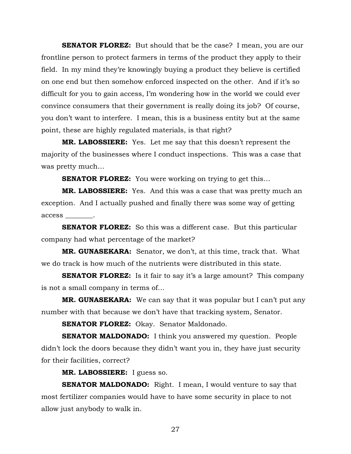**SENATOR FLOREZ:** But should that be the case? I mean, you are our frontline person to protect farmers in terms of the product they apply to their field. In my mind they're knowingly buying a product they believe is certified on one end but then somehow enforced inspected on the other. And if it's so difficult for you to gain access, I'm wondering how in the world we could ever convince consumers that their government is really doing its job? Of course, you don't want to interfere. I mean, this is a business entity but at the same point, these are highly regulated materials, is that right?

**MR. LABOSSIERE:** Yes. Let me say that this doesn't represent the majority of the businesses where I conduct inspections. This was a case that was pretty much…

**SENATOR FLOREZ:** You were working on trying to get this...

**MR. LABOSSIERE:** Yes. And this was a case that was pretty much an exception. And I actually pushed and finally there was some way of getting access \_\_\_\_\_\_\_\_.

**SENATOR FLOREZ:** So this was a different case. But this particular company had what percentage of the market?

**MR. GUNASEKARA:** Senator, we don't, at this time, track that. What we do track is how much of the nutrients were distributed in this state.

**SENATOR FLOREZ:** Is it fair to say it's a large amount? This company is not a small company in terms of…

**MR. GUNASEKARA:** We can say that it was popular but I can't put any number with that because we don't have that tracking system, Senator.

**SENATOR FLOREZ:** Okay. Senator Maldonado.

**SENATOR MALDONADO:** I think you answered my question. People didn't lock the doors because they didn't want you in, they have just security for their facilities, correct?

**MR. LABOSSIERE:** I guess so.

**SENATOR MALDONADO:** Right. I mean, I would venture to say that most fertilizer companies would have to have some security in place to not allow just anybody to walk in.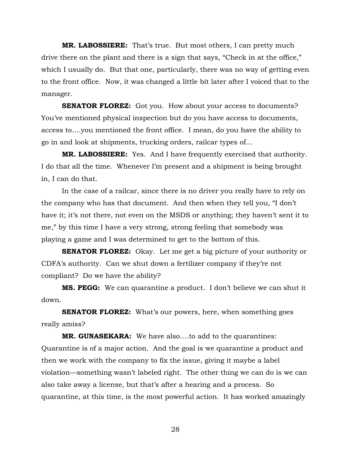**MR. LABOSSIERE:** That's true. But most others, I can pretty much drive there on the plant and there is a sign that says, "Check in at the office," which I usually do. But that one, particularly, there was no way of getting even to the front office. Now, it was changed a little bit later after I voiced that to the manager.

**SENATOR FLOREZ:** Got you. How about your access to documents? You've mentioned physical inspection but do you have access to documents, access to….you mentioned the front office. I mean, do you have the ability to go in and look at shipments, trucking orders, railcar types of…

**MR. LABOSSIERE:** Yes. And I have frequently exercised that authority. I do that all the time. Whenever I'm present and a shipment is being brought in, I can do that.

In the case of a railcar, since there is no driver you really have to rely on the company who has that document. And then when they tell you, "I don't have it; it's not there, not even on the MSDS or anything; they haven't sent it to me," by this time I have a very strong, strong feeling that somebody was playing a game and I was determined to get to the bottom of this.

**SENATOR FLOREZ:** Okay. Let me get a big picture of your authority or CDFA's authority. Can we shut down a fertilizer company if they're not compliant? Do we have the ability?

**MS. PEGG:** We can quarantine a product. I don't believe we can shut it down.

**SENATOR FLOREZ:** What's our powers, here, when something goes really amiss?

**MR. GUNASEKARA:** We have also….to add to the quarantines: Quarantine is of a major action. And the goal is we quarantine a product and then we work with the company to fix the issue, giving it maybe a label violation—something wasn't labeled right. The other thing we can do is we can also take away a license, but that's after a hearing and a process. So quarantine, at this time, is the most powerful action. It has worked amazingly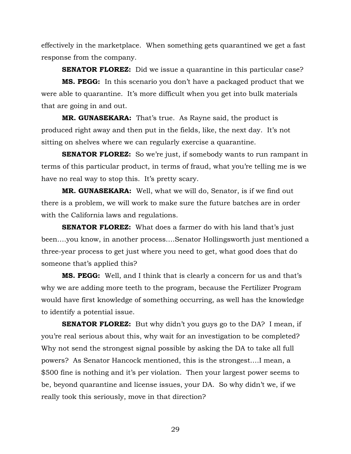effectively in the marketplace. When something gets quarantined we get a fast response from the company.

**SENATOR FLOREZ:** Did we issue a quarantine in this particular case?

**MS. PEGG:** In this scenario you don't have a packaged product that we were able to quarantine. It's more difficult when you get into bulk materials that are going in and out.

**MR. GUNASEKARA:** That's true. As Rayne said, the product is produced right away and then put in the fields, like, the next day. It's not sitting on shelves where we can regularly exercise a quarantine.

**SENATOR FLOREZ:** So we're just, if somebody wants to run rampant in terms of this particular product, in terms of fraud, what you're telling me is we have no real way to stop this. It's pretty scary.

**MR. GUNASEKARA:** Well, what we will do, Senator, is if we find out there is a problem, we will work to make sure the future batches are in order with the California laws and regulations.

**SENATOR FLOREZ:** What does a farmer do with his land that's just been….you know, in another process….Senator Hollingsworth just mentioned a three-year process to get just where you need to get, what good does that do someone that's applied this?

**MS. PEGG:** Well, and I think that is clearly a concern for us and that's why we are adding more teeth to the program, because the Fertilizer Program would have first knowledge of something occurring, as well has the knowledge to identify a potential issue.

**SENATOR FLOREZ:** But why didn't you guys go to the DA? I mean, if you're real serious about this, why wait for an investigation to be completed? Why not send the strongest signal possible by asking the DA to take all full powers? As Senator Hancock mentioned, this is the strongest….I mean, a \$500 fine is nothing and it's per violation. Then your largest power seems to be, beyond quarantine and license issues, your DA. So why didn't we, if we really took this seriously, move in that direction?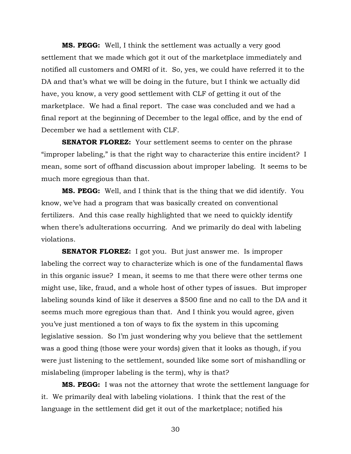**MS. PEGG:** Well, I think the settlement was actually a very good settlement that we made which got it out of the marketplace immediately and notified all customers and OMRI of it. So, yes, we could have referred it to the DA and that's what we will be doing in the future, but I think we actually did have, you know, a very good settlement with CLF of getting it out of the marketplace. We had a final report. The case was concluded and we had a final report at the beginning of December to the legal office, and by the end of December we had a settlement with CLF.

**SENATOR FLOREZ:** Your settlement seems to center on the phrase "improper labeling," is that the right way to characterize this entire incident? I mean, some sort of offhand discussion about improper labeling. It seems to be much more egregious than that.

**MS. PEGG:** Well, and I think that is the thing that we did identify. You know, we've had a program that was basically created on conventional fertilizers. And this case really highlighted that we need to quickly identify when there's adulterations occurring. And we primarily do deal with labeling violations.

**SENATOR FLOREZ:** I got you. But just answer me. Is improper labeling the correct way to characterize which is one of the fundamental flaws in this organic issue? I mean, it seems to me that there were other terms one might use, like, fraud, and a whole host of other types of issues. But improper labeling sounds kind of like it deserves a \$500 fine and no call to the DA and it seems much more egregious than that. And I think you would agree, given you've just mentioned a ton of ways to fix the system in this upcoming legislative session. So I'm just wondering why you believe that the settlement was a good thing (those were your words) given that it looks as though, if you were just listening to the settlement, sounded like some sort of mishandling or mislabeling (improper labeling is the term), why is that?

**MS. PEGG:** I was not the attorney that wrote the settlement language for it. We primarily deal with labeling violations. I think that the rest of the language in the settlement did get it out of the marketplace; notified his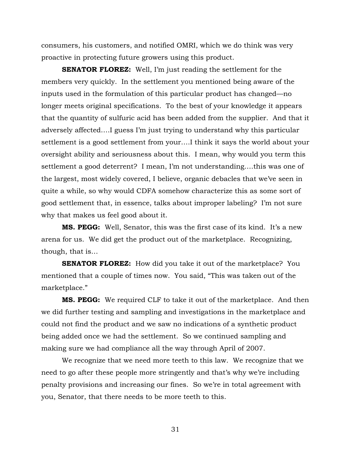consumers, his customers, and notified OMRI, which we do think was very proactive in protecting future growers using this product.

**SENATOR FLOREZ:** Well, I'm just reading the settlement for the members very quickly. In the settlement you mentioned being aware of the inputs used in the formulation of this particular product has changed—no longer meets original specifications. To the best of your knowledge it appears that the quantity of sulfuric acid has been added from the supplier. And that it adversely affected….I guess I'm just trying to understand why this particular settlement is a good settlement from your….I think it says the world about your oversight ability and seriousness about this. I mean, why would you term this settlement a good deterrent? I mean, I'm not understanding….this was one of the largest, most widely covered, I believe, organic debacles that we've seen in quite a while, so why would CDFA somehow characterize this as some sort of good settlement that, in essence, talks about improper labeling? I'm not sure why that makes us feel good about it.

**MS. PEGG:** Well, Senator, this was the first case of its kind. It's a new arena for us. We did get the product out of the marketplace. Recognizing, though, that is…

**SENATOR FLOREZ:** How did you take it out of the marketplace? You mentioned that a couple of times now. You said, "This was taken out of the marketplace."

**MS. PEGG:** We required CLF to take it out of the marketplace. And then we did further testing and sampling and investigations in the marketplace and could not find the product and we saw no indications of a synthetic product being added once we had the settlement. So we continued sampling and making sure we had compliance all the way through April of 2007.

 We recognize that we need more teeth to this law. We recognize that we need to go after these people more stringently and that's why we're including penalty provisions and increasing our fines. So we're in total agreement with you, Senator, that there needs to be more teeth to this.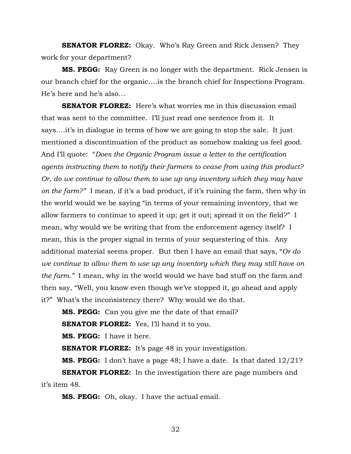**SENATOR FLOREZ:** Okay. Who's Ray Green and Rick Jensen? They work for your department?

**MS. PEGG:** Ray Green is no longer with the department. Rick Jensen is our branch chief for the organic….is the branch chief for Inspections Program. He's here and he's also…

**SENATOR FLOREZ:** Here's what worries me in this discussion email that was sent to the committee. I'll just read one sentence from it. It says….it's in dialogue in terms of how we are going to stop the sale. It just mentioned a discontinuation of the product as somehow making us feel good. And I'll quote: "*Does the Organic Program issue a letter to the certification agents instructing them to notify their farmers to cease from using this product? Or, do we continue to allow them to use up any inventory which they may have on the farm?"* I mean, if it's a bad product, if it's ruining the farm, then why in the world would we be saying "in terms of your remaining inventory, that we allow farmers to continue to speed it up; get it out; spread it on the field?" I mean, why would we be writing that from the enforcement agency itself? I mean, this is the proper signal in terms of your sequestering of this. Any additional material seems proper. But then I have an email that says, "*Or do we continue to allow them to use up any inventory which they may still have on the farm."* I mean, why in the world would we have bad stuff on the farm and then say, "Well, you know even though we've stopped it, go ahead and apply it?" What's the inconsistency there? Why would we do that.

**MS. PEGG:** Can you give me the date of that email?

**SENATOR FLOREZ:** Yes, I'll hand it to you.

**MS. PEGG:** I have it here.

**SENATOR FLOREZ:** It's page 48 in your investigation.

**MS. PEGG:** I don't have a page 48; I have a date. Is that dated 12/21?

**SENATOR FLOREZ:** In the investigation there are page numbers and it's item 48.

**MS. PEGG:** Oh, okay. I have the actual email.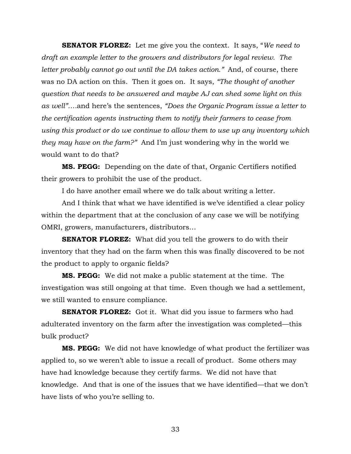**SENATOR FLOREZ:** Let me give you the context. It says, "*We need to draft an example letter to the growers and distributors for legal review. The letter probably cannot go out until the DA takes action."* And, of course, there was no DA action on this. Then it goes on. It says, *"The thought of another question that needs to be answered and maybe AJ can shed some light on this as well"….*and here's the sentences, *"Does the Organic Program issue a letter to the certification agents instructing them to notify their farmers to cease from using this product or do we continue to allow them to use up any inventory which they may have on the farm?"* And I'm just wondering why in the world we would want to do that?

**MS. PEGG:** Depending on the date of that, Organic Certifiers notified their growers to prohibit the use of the product.

I do have another email where we do talk about writing a letter.

And I think that what we have identified is we've identified a clear policy within the department that at the conclusion of any case we will be notifying OMRI, growers, manufacturers, distributors…

**SENATOR FLOREZ:** What did you tell the growers to do with their inventory that they had on the farm when this was finally discovered to be not the product to apply to organic fields?

**MS. PEGG:** We did not make a public statement at the time. The investigation was still ongoing at that time. Even though we had a settlement, we still wanted to ensure compliance.

**SENATOR FLOREZ:** Got it. What did you issue to farmers who had adulterated inventory on the farm after the investigation was completed—this bulk product?

**MS. PEGG:** We did not have knowledge of what product the fertilizer was applied to, so we weren't able to issue a recall of product. Some others may have had knowledge because they certify farms. We did not have that knowledge. And that is one of the issues that we have identified—that we don't have lists of who you're selling to.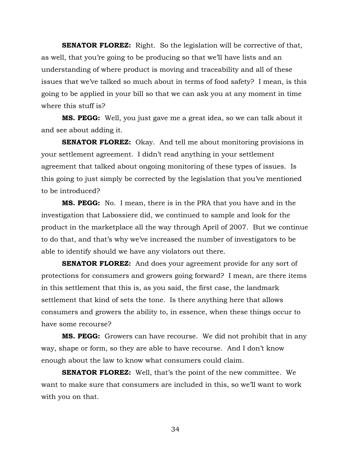**SENATOR FLOREZ:** Right. So the legislation will be corrective of that, as well, that you're going to be producing so that we'll have lists and an understanding of where product is moving and traceability and all of these issues that we've talked so much about in terms of food safety? I mean, is this going to be applied in your bill so that we can ask you at any moment in time where this stuff is?

**MS. PEGG:** Well, you just gave me a great idea, so we can talk about it and see about adding it.

**SENATOR FLOREZ:** Okay. And tell me about monitoring provisions in your settlement agreement. I didn't read anything in your settlement agreement that talked about ongoing monitoring of these types of issues. Is this going to just simply be corrected by the legislation that you've mentioned to be introduced?

**MS. PEGG:** No. I mean, there is in the PRA that you have and in the investigation that Labossiere did, we continued to sample and look for the product in the marketplace all the way through April of 2007. But we continue to do that, and that's why we've increased the number of investigators to be able to identify should we have any violators out there.

**SENATOR FLOREZ:** And does your agreement provide for any sort of protections for consumers and growers going forward? I mean, are there items in this settlement that this is, as you said, the first case, the landmark settlement that kind of sets the tone. Is there anything here that allows consumers and growers the ability to, in essence, when these things occur to have some recourse?

**MS. PEGG:** Growers can have recourse. We did not prohibit that in any way, shape or form, so they are able to have recourse. And I don't know enough about the law to know what consumers could claim.

**SENATOR FLOREZ:** Well, that's the point of the new committee. We want to make sure that consumers are included in this, so we'll want to work with you on that.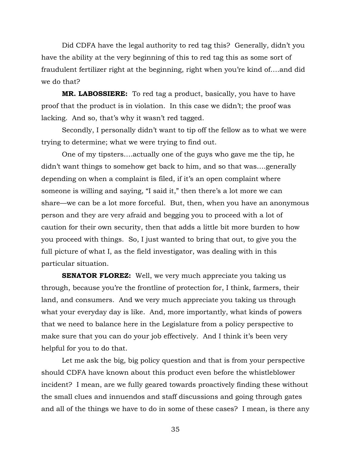Did CDFA have the legal authority to red tag this? Generally, didn't you have the ability at the very beginning of this to red tag this as some sort of fraudulent fertilizer right at the beginning, right when you're kind of….and did we do that?

**MR. LABOSSIERE:** To red tag a product, basically, you have to have proof that the product is in violation. In this case we didn't; the proof was lacking. And so, that's why it wasn't red tagged.

Secondly, I personally didn't want to tip off the fellow as to what we were trying to determine; what we were trying to find out.

One of my tipsters….actually one of the guys who gave me the tip, he didn't want things to somehow get back to him, and so that was….generally depending on when a complaint is filed, if it's an open complaint where someone is willing and saying, "I said it," then there's a lot more we can share—we can be a lot more forceful. But, then, when you have an anonymous person and they are very afraid and begging you to proceed with a lot of caution for their own security, then that adds a little bit more burden to how you proceed with things. So, I just wanted to bring that out, to give you the full picture of what I, as the field investigator, was dealing with in this particular situation.

**SENATOR FLOREZ:** Well, we very much appreciate you taking us through, because you're the frontline of protection for, I think, farmers, their land, and consumers. And we very much appreciate you taking us through what your everyday day is like. And, more importantly, what kinds of powers that we need to balance here in the Legislature from a policy perspective to make sure that you can do your job effectively. And I think it's been very helpful for you to do that.

Let me ask the big, big policy question and that is from your perspective should CDFA have known about this product even before the whistleblower incident? I mean, are we fully geared towards proactively finding these without the small clues and innuendos and staff discussions and going through gates and all of the things we have to do in some of these cases? I mean, is there any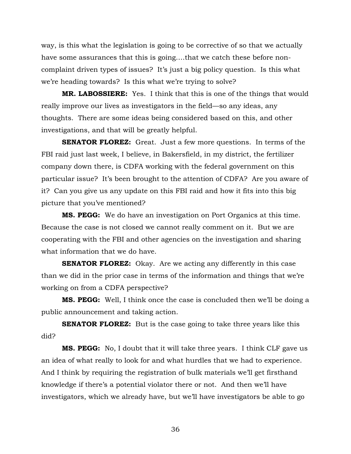way, is this what the legislation is going to be corrective of so that we actually have some assurances that this is going....that we catch these before noncomplaint driven types of issues? It's just a big policy question. Is this what we're heading towards? Is this what we're trying to solve?

**MR. LABOSSIERE:** Yes. I think that this is one of the things that would really improve our lives as investigators in the field—so any ideas, any thoughts. There are some ideas being considered based on this, and other investigations, and that will be greatly helpful.

**SENATOR FLOREZ:** Great. Just a few more questions. In terms of the FBI raid just last week, I believe, in Bakersfield, in my district, the fertilizer company down there, is CDFA working with the federal government on this particular issue? It's been brought to the attention of CDFA? Are you aware of it? Can you give us any update on this FBI raid and how it fits into this big picture that you've mentioned?

**MS. PEGG:** We do have an investigation on Port Organics at this time. Because the case is not closed we cannot really comment on it. But we are cooperating with the FBI and other agencies on the investigation and sharing what information that we do have.

**SENATOR FLOREZ:** Okay. Are we acting any differently in this case than we did in the prior case in terms of the information and things that we're working on from a CDFA perspective?

**MS. PEGG:** Well, I think once the case is concluded then we'll be doing a public announcement and taking action.

**SENATOR FLOREZ:** But is the case going to take three years like this did?

**MS. PEGG:** No, I doubt that it will take three years. I think CLF gave us an idea of what really to look for and what hurdles that we had to experience. And I think by requiring the registration of bulk materials we'll get firsthand knowledge if there's a potential violator there or not. And then we'll have investigators, which we already have, but we'll have investigators be able to go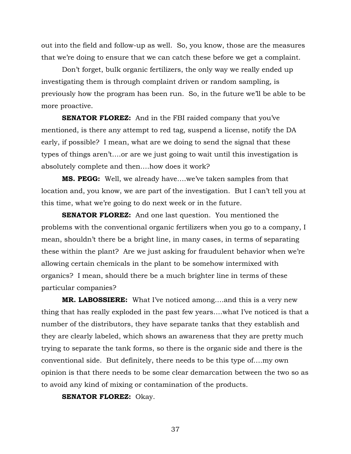out into the field and follow-up as well. So, you know, those are the measures that we're doing to ensure that we can catch these before we get a complaint.

Don't forget, bulk organic fertilizers, the only way we really ended up investigating them is through complaint driven or random sampling, is previously how the program has been run. So, in the future we'll be able to be more proactive.

**SENATOR FLOREZ:** And in the FBI raided company that you've mentioned, is there any attempt to red tag, suspend a license, notify the DA early, if possible? I mean, what are we doing to send the signal that these types of things aren't….or are we just going to wait until this investigation is absolutely complete and then….how does it work?

**MS. PEGG:** Well, we already have….we've taken samples from that location and, you know, we are part of the investigation. But I can't tell you at this time, what we're going to do next week or in the future.

**SENATOR FLOREZ:** And one last question. You mentioned the problems with the conventional organic fertilizers when you go to a company, I mean, shouldn't there be a bright line, in many cases, in terms of separating these within the plant? Are we just asking for fraudulent behavior when we're allowing certain chemicals in the plant to be somehow intermixed with organics? I mean, should there be a much brighter line in terms of these particular companies?

**MR. LABOSSIERE:** What I've noticed among….and this is a very new thing that has really exploded in the past few years….what I've noticed is that a number of the distributors, they have separate tanks that they establish and they are clearly labeled, which shows an awareness that they are pretty much trying to separate the tank forms, so there is the organic side and there is the conventional side. But definitely, there needs to be this type of….my own opinion is that there needs to be some clear demarcation between the two so as to avoid any kind of mixing or contamination of the products.

**SENATOR FLOREZ:** Okay.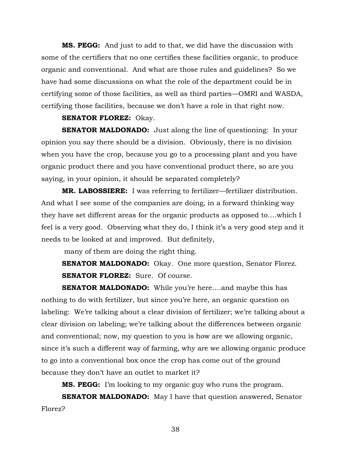**MS. PEGG:** And just to add to that, we did have the discussion with some of the certifiers that no one certifies these facilities organic, to produce organic and conventional. And what are those rules and guidelines? So we have had some discussions on what the role of the department could be in certifying some of those facilities, as well as third parties—OMRI and WASDA, certifying those facilities, because we don't have a role in that right now.

### **SENATOR FLOREZ:** Okay.

**SENATOR MALDONADO:** Just along the line of questioning: In your opinion you say there should be a division. Obviously, there is no division when you have the crop, because you go to a processing plant and you have organic product there and you have conventional product there, so are you saying, in your opinion, it should be separated completely?

**MR. LABOSSIERE:** I was referring to fertilizer—fertilizer distribution. And what I see some of the companies are doing, in a forward thinking way they have set different areas for the organic products as opposed to….which I feel is a very good. Observing what they do, I think it's a very good step and it needs to be looked at and improved. But definitely,

many of them are doing the right thing.

**SENATOR MALDONADO:** Okay. One more question, Senator Florez. **SENATOR FLOREZ:** Sure. Of course.

**SENATOR MALDONADO:** While you're here....and maybe this has nothing to do with fertilizer, but since you're here, an organic question on labeling: We're talking about a clear division of fertilizer; we're talking about a clear division on labeling; we're talking about the differences between organic and conventional; now, my question to you is how are we allowing organic, since it's such a different way of farming, why are we allowing organic produce to go into a conventional box once the crop has come out of the ground because they don't have an outlet to market it?

**MS. PEGG:** I'm looking to my organic guy who runs the program.

**SENATOR MALDONADO:** May I have that question answered, Senator Florez?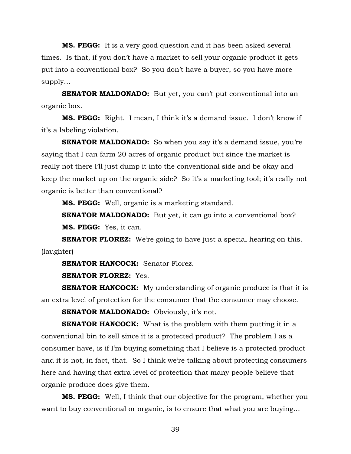**MS. PEGG:** It is a very good question and it has been asked several times. Is that, if you don't have a market to sell your organic product it gets put into a conventional box? So you don't have a buyer, so you have more supply…

**SENATOR MALDONADO:** But yet, you can't put conventional into an organic box.

**MS. PEGG:** Right. I mean, I think it's a demand issue. I don't know if it's a labeling violation.

**SENATOR MALDONADO:** So when you say it's a demand issue, you're saying that I can farm 20 acres of organic product but since the market is really not there I'll just dump it into the conventional side and be okay and keep the market up on the organic side? So it's a marketing tool; it's really not organic is better than conventional?

**MS. PEGG:** Well, organic is a marketing standard.

**SENATOR MALDONADO:** But yet, it can go into a conventional box? **MS. PEGG:** Yes, it can.

**SENATOR FLOREZ:** We're going to have just a special hearing on this. (laughter)

**SENATOR HANCOCK:** Senator Florez.

**SENATOR FLOREZ:** Yes.

**SENATOR HANCOCK:** My understanding of organic produce is that it is an extra level of protection for the consumer that the consumer may choose.

**SENATOR MALDONADO:** Obviously, it's not.

**SENATOR HANCOCK:** What is the problem with them putting it in a conventional bin to sell since it is a protected product? The problem I as a consumer have, is if I'm buying something that I believe is a protected product and it is not, in fact, that. So I think we're talking about protecting consumers here and having that extra level of protection that many people believe that organic produce does give them.

**MS. PEGG:** Well, I think that our objective for the program, whether you want to buy conventional or organic, is to ensure that what you are buying…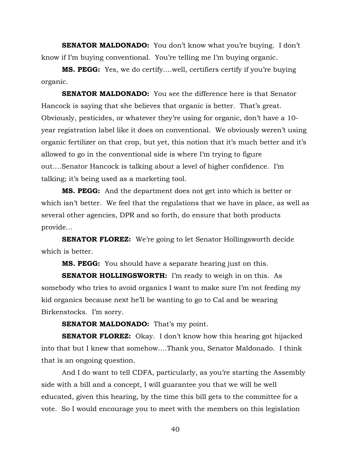**SENATOR MALDONADO:** You don't know what you're buying. I don't know if I'm buying conventional. You're telling me I'm buying organic.

**MS. PEGG:** Yes, we do certify….well, certifiers certify if you're buying organic.

**SENATOR MALDONADO:** You see the difference here is that Senator Hancock is saying that she believes that organic is better. That's great. Obviously, pesticides, or whatever they're using for organic, don't have a 10 year registration label like it does on conventional. We obviously weren't using organic fertilizer on that crop, but yet, this notion that it's much better and it's allowed to go in the conventional side is where I'm trying to figure out….Senator Hancock is talking about a level of higher confidence. I'm talking; it's being used as a marketing tool.

**MS. PEGG:** And the department does not get into which is better or which isn't better. We feel that the regulations that we have in place, as well as several other agencies, DPR and so forth, do ensure that both products provide…

**SENATOR FLOREZ:** We're going to let Senator Hollingsworth decide which is better.

**MS. PEGG:** You should have a separate hearing just on this.

**SENATOR HOLLINGSWORTH:** I'm ready to weigh in on this. As somebody who tries to avoid organics I want to make sure I'm not feeding my kid organics because next he'll be wanting to go to Cal and be wearing Birkenstocks. I'm sorry.

**SENATOR MALDONADO:** That's my point.

**SENATOR FLOREZ:** Okay. I don't know how this hearing got hijacked into that but I knew that somehow….Thank you, Senator Maldonado. I think that is an ongoing question.

And I do want to tell CDFA, particularly, as you're starting the Assembly side with a bill and a concept, I will guarantee you that we will be well educated, given this hearing, by the time this bill gets to the committee for a vote. So I would encourage you to meet with the members on this legislation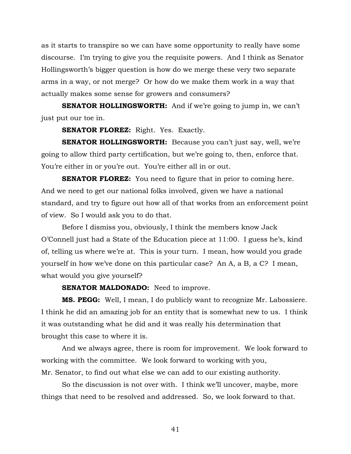as it starts to transpire so we can have some opportunity to really have some discourse. I'm trying to give you the requisite powers. And I think as Senator Hollingsworth's bigger question is how do we merge these very two separate arms in a way, or not merge? Or how do we make them work in a way that actually makes some sense for growers and consumers?

**SENATOR HOLLINGSWORTH:** And if we're going to jump in, we can't just put our toe in.

**SENATOR FLOREZ:** Right. Yes. Exactly.

**SENATOR HOLLINGSWORTH:** Because you can't just say, well, we're going to allow third party certification, but we're going to, then, enforce that. You're either in or you're out. You're either all in or out.

**SENATOR FLOREZ:** You need to figure that in prior to coming here. And we need to get our national folks involved, given we have a national standard, and try to figure out how all of that works from an enforcement point of view. So I would ask you to do that.

Before I dismiss you, obviously, I think the members know Jack O'Connell just had a State of the Education piece at 11:00. I guess he's, kind of, telling us where we're at. This is your turn. I mean, how would you grade yourself in how we've done on this particular case? An A, a B, a C? I mean, what would you give yourself?

### **SENATOR MALDONADO:** Need to improve.

**MS. PEGG:** Well, I mean, I do publicly want to recognize Mr. Labossiere. I think he did an amazing job for an entity that is somewhat new to us. I think it was outstanding what he did and it was really his determination that brought this case to where it is.

And we always agree, there is room for improvement. We look forward to working with the committee. We look forward to working with you, Mr. Senator, to find out what else we can add to our existing authority.

So the discussion is not over with. I think we'll uncover, maybe, more things that need to be resolved and addressed. So, we look forward to that.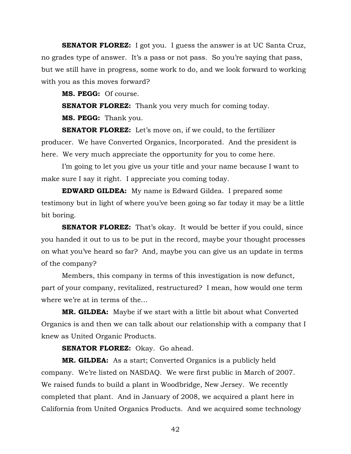**SENATOR FLOREZ:** I got you. I guess the answer is at UC Santa Cruz, no grades type of answer. It's a pass or not pass. So you're saying that pass, but we still have in progress, some work to do, and we look forward to working with you as this moves forward?

**MS. PEGG:** Of course.

**SENATOR FLOREZ:** Thank you very much for coming today.

**MS. PEGG:** Thank you.

**SENATOR FLOREZ:** Let's move on, if we could, to the fertilizer producer. We have Converted Organics, Incorporated. And the president is here. We very much appreciate the opportunity for you to come here.

I'm going to let you give us your title and your name because I want to make sure I say it right. I appreciate you coming today.

**EDWARD GILDEA:** My name is Edward Gildea. I prepared some testimony but in light of where you've been going so far today it may be a little bit boring.

**SENATOR FLOREZ:** That's okay. It would be better if you could, since you handed it out to us to be put in the record, maybe your thought processes on what you've heard so far? And, maybe you can give us an update in terms of the company?

Members, this company in terms of this investigation is now defunct, part of your company, revitalized, restructured? I mean, how would one term where we're at in terms of the…

**MR. GILDEA:** Maybe if we start with a little bit about what Converted Organics is and then we can talk about our relationship with a company that I knew as United Organic Products.

**SENATOR FLOREZ:** Okay. Go ahead.

**MR. GILDEA:** As a start; Converted Organics is a publicly held company. We're listed on NASDAQ. We were first public in March of 2007. We raised funds to build a plant in Woodbridge, New Jersey. We recently completed that plant. And in January of 2008, we acquired a plant here in California from United Organics Products. And we acquired some technology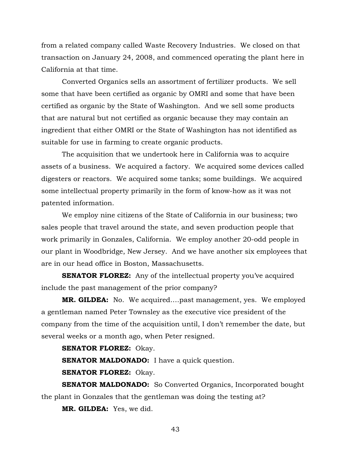from a related company called Waste Recovery Industries. We closed on that transaction on January 24, 2008, and commenced operating the plant here in California at that time.

Converted Organics sells an assortment of fertilizer products. We sell some that have been certified as organic by OMRI and some that have been certified as organic by the State of Washington. And we sell some products that are natural but not certified as organic because they may contain an ingredient that either OMRI or the State of Washington has not identified as suitable for use in farming to create organic products.

The acquisition that we undertook here in California was to acquire assets of a business. We acquired a factory. We acquired some devices called digesters or reactors. We acquired some tanks; some buildings. We acquired some intellectual property primarily in the form of know-how as it was not patented information.

We employ nine citizens of the State of California in our business; two sales people that travel around the state, and seven production people that work primarily in Gonzales, California. We employ another 20-odd people in our plant in Woodbridge, New Jersey. And we have another six employees that are in our head office in Boston, Massachusetts.

**SENATOR FLOREZ:** Any of the intellectual property you've acquired include the past management of the prior company?

**MR. GILDEA:** No. We acquired….past management, yes. We employed a gentleman named Peter Townsley as the executive vice president of the company from the time of the acquisition until, I don't remember the date, but several weeks or a month ago, when Peter resigned.

**SENATOR FLOREZ:** Okay.

**SENATOR MALDONADO:** I have a quick question.

**SENATOR FLOREZ:** Okay.

**SENATOR MALDONADO:** So Converted Organics, Incorporated bought the plant in Gonzales that the gentleman was doing the testing at?

**MR. GILDEA:** Yes, we did.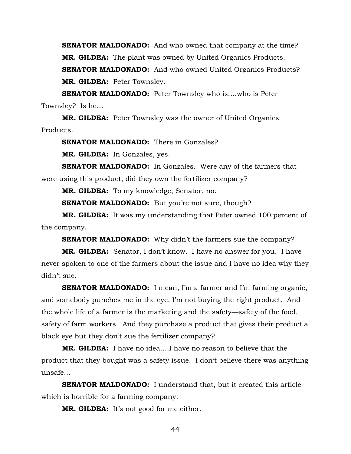**SENATOR MALDONADO:** And who owned that company at the time? **MR. GILDEA:** The plant was owned by United Organics Products. **SENATOR MALDONADO:** And who owned United Organics Products? **MR. GILDEA:** Peter Townsley.

**SENATOR MALDONADO:** Peter Townsley who is….who is Peter Townsley? Is he…

**MR. GILDEA:** Peter Townsley was the owner of United Organics Products.

**SENATOR MALDONADO:** There in Gonzales?

**MR. GILDEA:** In Gonzales, yes.

**SENATOR MALDONADO:** In Gonzales. Were any of the farmers that were using this product, did they own the fertilizer company?

**MR. GILDEA:** To my knowledge, Senator, no.

**SENATOR MALDONADO:** But you're not sure, though?

**MR. GILDEA:** It was my understanding that Peter owned 100 percent of the company.

**SENATOR MALDONADO:** Why didn't the farmers sue the company?

**MR. GILDEA:** Senator, I don't know. I have no answer for you. I have never spoken to one of the farmers about the issue and I have no idea why they didn't sue.

**SENATOR MALDONADO:** I mean, I'm a farmer and I'm farming organic, and somebody punches me in the eye, I'm not buying the right product. And the whole life of a farmer is the marketing and the safety—safety of the food, safety of farm workers. And they purchase a product that gives their product a black eye but they don't sue the fertilizer company?

**MR. GILDEA:** I have no idea….I have no reason to believe that the product that they bought was a safety issue. I don't believe there was anything unsafe…

**SENATOR MALDONADO:** I understand that, but it created this article which is horrible for a farming company.

**MR. GILDEA:** It's not good for me either.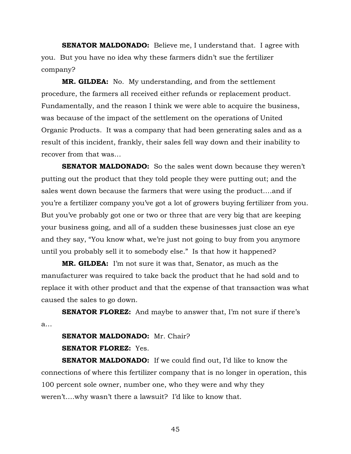**SENATOR MALDONADO:** Believe me, I understand that. I agree with you. But you have no idea why these farmers didn't sue the fertilizer company?

**MR. GILDEA:** No. My understanding, and from the settlement procedure, the farmers all received either refunds or replacement product. Fundamentally, and the reason I think we were able to acquire the business, was because of the impact of the settlement on the operations of United Organic Products. It was a company that had been generating sales and as a result of this incident, frankly, their sales fell way down and their inability to recover from that was…

**SENATOR MALDONADO:** So the sales went down because they weren't putting out the product that they told people they were putting out; and the sales went down because the farmers that were using the product….and if you're a fertilizer company you've got a lot of growers buying fertilizer from you. But you've probably got one or two or three that are very big that are keeping your business going, and all of a sudden these businesses just close an eye and they say, "You know what, we're just not going to buy from you anymore until you probably sell it to somebody else." Is that how it happened?

**MR. GILDEA:** I'm not sure it was that, Senator, as much as the manufacturer was required to take back the product that he had sold and to replace it with other product and that the expense of that transaction was what caused the sales to go down.

**SENATOR FLOREZ:** And maybe to answer that, I'm not sure if there's a…

**SENATOR MALDONADO:** Mr. Chair? **SENATOR FLOREZ:** Yes.

**SENATOR MALDONADO:** If we could find out, I'd like to know the connections of where this fertilizer company that is no longer in operation, this 100 percent sole owner, number one, who they were and why they weren't….why wasn't there a lawsuit? I'd like to know that.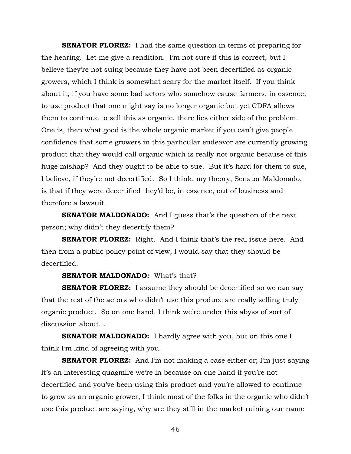**SENATOR FLOREZ:** I had the same question in terms of preparing for the hearing. Let me give a rendition. I'm not sure if this is correct, but I believe they're not suing because they have not been decertified as organic growers, which I think is somewhat scary for the market itself. If you think about it, if you have some bad actors who somehow cause farmers, in essence, to use product that one might say is no longer organic but yet CDFA allows them to continue to sell this as organic, there lies either side of the problem. One is, then what good is the whole organic market if you can't give people confidence that some growers in this particular endeavor are currently growing product that they would call organic which is really not organic because of this huge mishap? And they ought to be able to sue. But it's hard for them to sue, I believe, if they're not decertified. So I think, my theory, Senator Maldonado, is that if they were decertified they'd be, in essence, out of business and therefore a lawsuit.

**SENATOR MALDONADO:** And I guess that's the question of the next person; why didn't they decertify them?

**SENATOR FLOREZ:** Right. And I think that's the real issue here. And then from a public policy point of view, I would say that they should be decertified.

# **SENATOR MALDONADO:** What's that?

**SENATOR FLOREZ:** I assume they should be decertified so we can say that the rest of the actors who didn't use this produce are really selling truly organic product. So on one hand, I think we're under this abyss of sort of discussion about…

**SENATOR MALDONADO:** I hardly agree with you, but on this one I think I'm kind of agreeing with you.

**SENATOR FLOREZ:** And I'm not making a case either or; I'm just saying it's an interesting quagmire we're in because on one hand if you're not decertified and you've been using this product and you're allowed to continue to grow as an organic grower, I think most of the folks in the organic who didn't use this product are saying, why are they still in the market ruining our name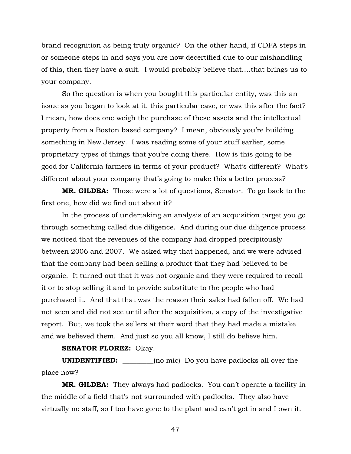brand recognition as being truly organic? On the other hand, if CDFA steps in or someone steps in and says you are now decertified due to our mishandling of this, then they have a suit. I would probably believe that….that brings us to your company.

So the question is when you bought this particular entity, was this an issue as you began to look at it, this particular case, or was this after the fact? I mean, how does one weigh the purchase of these assets and the intellectual property from a Boston based company? I mean, obviously you're building something in New Jersey. I was reading some of your stuff earlier, some proprietary types of things that you're doing there. How is this going to be good for California farmers in terms of your product? What's different? What's different about your company that's going to make this a better process?

**MR. GILDEA:** Those were a lot of questions, Senator. To go back to the first one, how did we find out about it?

In the process of undertaking an analysis of an acquisition target you go through something called due diligence. And during our due diligence process we noticed that the revenues of the company had dropped precipitously between 2006 and 2007. We asked why that happened, and we were advised that the company had been selling a product that they had believed to be organic. It turned out that it was not organic and they were required to recall it or to stop selling it and to provide substitute to the people who had purchased it. And that that was the reason their sales had fallen off. We had not seen and did not see until after the acquisition, a copy of the investigative report. But, we took the sellers at their word that they had made a mistake and we believed them. And just so you all know, I still do believe him.

**SENATOR FLOREZ:** Okay.

**UNIDENTIFIED: \_\_\_\_\_\_\_\_\_**(no mic) Do you have padlocks all over the place now?

**MR. GILDEA:** They always had padlocks. You can't operate a facility in the middle of a field that's not surrounded with padlocks. They also have virtually no staff, so I too have gone to the plant and can't get in and I own it.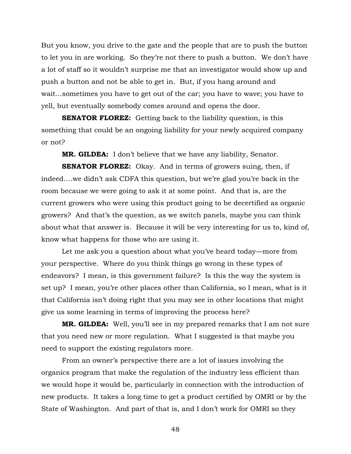But you know, you drive to the gate and the people that are to push the button to let you in are working. So they're not there to push a button. We don't have a lot of staff so it wouldn't surprise me that an investigator would show up and push a button and not be able to get in. But, if you hang around and wait…sometimes you have to get out of the car; you have to wave; you have to yell, but eventually somebody comes around and opens the door.

**SENATOR FLOREZ:** Getting back to the liability question, is this something that could be an ongoing liability for your newly acquired company or not?

**MR. GILDEA:** I don't believe that we have any liability, Senator.

**SENATOR FLOREZ:** Okay. And in terms of growers suing, then, if indeed….we didn't ask CDFA this question, but we're glad you're back in the room because we were going to ask it at some point. And that is, are the current growers who were using this product going to be decertified as organic growers? And that's the question, as we switch panels, maybe you can think about what that answer is. Because it will be very interesting for us to, kind of, know what happens for those who are using it.

Let me ask you a question about what you've heard today—more from your perspective. Where do you think things go wrong in these types of endeavors? I mean, is this government failure? Is this the way the system is set up? I mean, you're other places other than California, so I mean, what is it that California isn't doing right that you may see in other locations that might give us some learning in terms of improving the process here?

**MR. GILDEA:** Well, you'll see in my prepared remarks that I am not sure that you need new or more regulation. What I suggested is that maybe you need to support the existing regulators more.

From an owner's perspective there are a lot of issues involving the organics program that make the regulation of the industry less efficient than we would hope it would be, particularly in connection with the introduction of new products. It takes a long time to get a product certified by OMRI or by the State of Washington. And part of that is, and I don't work for OMRI so they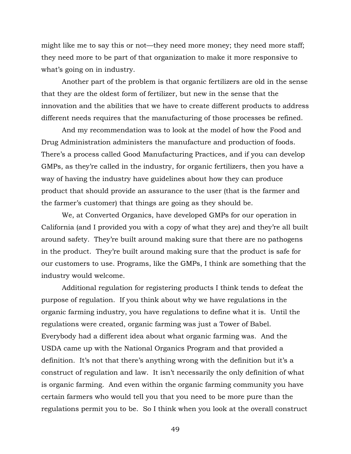might like me to say this or not—they need more money; they need more staff; they need more to be part of that organization to make it more responsive to what's going on in industry.

Another part of the problem is that organic fertilizers are old in the sense that they are the oldest form of fertilizer, but new in the sense that the innovation and the abilities that we have to create different products to address different needs requires that the manufacturing of those processes be refined.

And my recommendation was to look at the model of how the Food and Drug Administration administers the manufacture and production of foods. There's a process called Good Manufacturing Practices, and if you can develop GMPs, as they're called in the industry, for organic fertilizers, then you have a way of having the industry have guidelines about how they can produce product that should provide an assurance to the user (that is the farmer and the farmer's customer) that things are going as they should be.

We, at Converted Organics, have developed GMPs for our operation in California (and I provided you with a copy of what they are) and they're all built around safety. They're built around making sure that there are no pathogens in the product. They're built around making sure that the product is safe for our customers to use. Programs, like the GMPs, I think are something that the industry would welcome.

Additional regulation for registering products I think tends to defeat the purpose of regulation. If you think about why we have regulations in the organic farming industry, you have regulations to define what it is. Until the regulations were created, organic farming was just a Tower of Babel. Everybody had a different idea about what organic farming was. And the USDA came up with the National Organics Program and that provided a definition. It's not that there's anything wrong with the definition but it's a construct of regulation and law. It isn't necessarily the only definition of what is organic farming. And even within the organic farming community you have certain farmers who would tell you that you need to be more pure than the regulations permit you to be. So I think when you look at the overall construct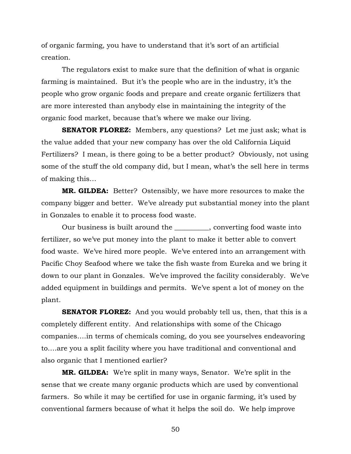of organic farming, you have to understand that it's sort of an artificial creation.

The regulators exist to make sure that the definition of what is organic farming is maintained. But it's the people who are in the industry, it's the people who grow organic foods and prepare and create organic fertilizers that are more interested than anybody else in maintaining the integrity of the organic food market, because that's where we make our living.

**SENATOR FLOREZ:** Members, any questions? Let me just ask; what is the value added that your new company has over the old California Liquid Fertilizers? I mean, is there going to be a better product? Obviously, not using some of the stuff the old company did, but I mean, what's the sell here in terms of making this…

**MR. GILDEA:** Better? Ostensibly, we have more resources to make the company bigger and better. We've already put substantial money into the plant in Gonzales to enable it to process food waste.

Our business is built around the \_\_\_\_\_\_\_\_\_\_, converting food waste into fertilizer, so we've put money into the plant to make it better able to convert food waste. We've hired more people. We've entered into an arrangement with Pacific Choy Seafood where we take the fish waste from Eureka and we bring it down to our plant in Gonzales. We've improved the facility considerably. We've added equipment in buildings and permits. We've spent a lot of money on the plant.

**SENATOR FLOREZ:** And you would probably tell us, then, that this is a completely different entity. And relationships with some of the Chicago companies….in terms of chemicals coming, do you see yourselves endeavoring to….are you a split facility where you have traditional and conventional and also organic that I mentioned earlier?

**MR. GILDEA:** We're split in many ways, Senator. We're split in the sense that we create many organic products which are used by conventional farmers. So while it may be certified for use in organic farming, it's used by conventional farmers because of what it helps the soil do. We help improve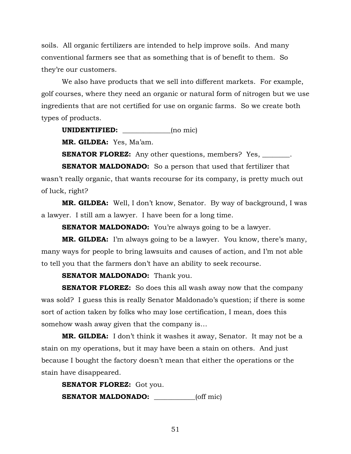soils. All organic fertilizers are intended to help improve soils. And many conventional farmers see that as something that is of benefit to them. So they're our customers.

We also have products that we sell into different markets. For example, golf courses, where they need an organic or natural form of nitrogen but we use ingredients that are not certified for use on organic farms. So we create both types of products.

**UNIDENTIFIED:** (no mic)

**MR. GILDEA:** Yes, Ma'am.

**SENATOR FLOREZ:** Any other questions, members? Yes, \_\_\_\_\_\_\_.

**SENATOR MALDONADO:** So a person that used that fertilizer that wasn't really organic, that wants recourse for its company, is pretty much out of luck, right?

**MR. GILDEA:** Well, I don't know, Senator. By way of background, I was a lawyer. I still am a lawyer. I have been for a long time.

**SENATOR MALDONADO:** You're always going to be a lawyer.

**MR. GILDEA:** I'm always going to be a lawyer. You know, there's many, many ways for people to bring lawsuits and causes of action, and I'm not able to tell you that the farmers don't have an ability to seek recourse.

**SENATOR MALDONADO:** Thank you.

**SENATOR FLOREZ:** So does this all wash away now that the company was sold? I guess this is really Senator Maldonado's question; if there is some sort of action taken by folks who may lose certification, I mean, does this somehow wash away given that the company is…

**MR. GILDEA:** I don't think it washes it away, Senator. It may not be a stain on my operations, but it may have been a stain on others. And just because I bought the factory doesn't mean that either the operations or the stain have disappeared.

**SENATOR FLOREZ:** Got you. **SENATOR MALDONADO:** \_\_\_\_\_\_\_\_\_\_\_\_(off mic)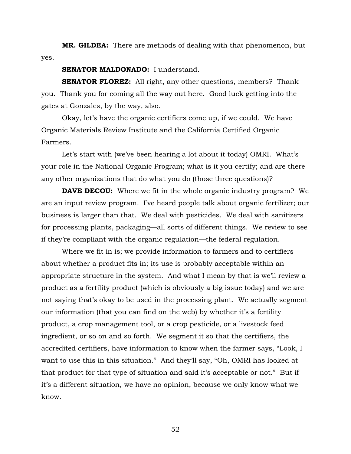**MR. GILDEA:** There are methods of dealing with that phenomenon, but yes.

# **SENATOR MALDONADO:** I understand.

**SENATOR FLOREZ:** All right, any other questions, members? Thank you. Thank you for coming all the way out here. Good luck getting into the gates at Gonzales, by the way, also.

Okay, let's have the organic certifiers come up, if we could. We have Organic Materials Review Institute and the California Certified Organic Farmers.

Let's start with (we've been hearing a lot about it today) OMRI. What's your role in the National Organic Program; what is it you certify; and are there any other organizations that do what you do (those three questions)?

**DAVE DECOU:** Where we fit in the whole organic industry program? We are an input review program. I've heard people talk about organic fertilizer; our business is larger than that. We deal with pesticides. We deal with sanitizers for processing plants, packaging—all sorts of different things. We review to see if they're compliant with the organic regulation—the federal regulation.

Where we fit in is; we provide information to farmers and to certifiers about whether a product fits in; its use is probably acceptable within an appropriate structure in the system. And what I mean by that is we'll review a product as a fertility product (which is obviously a big issue today) and we are not saying that's okay to be used in the processing plant. We actually segment our information (that you can find on the web) by whether it's a fertility product, a crop management tool, or a crop pesticide, or a livestock feed ingredient, or so on and so forth. We segment it so that the certifiers, the accredited certifiers, have information to know when the farmer says, "Look, I want to use this in this situation." And they'll say, "Oh, OMRI has looked at that product for that type of situation and said it's acceptable or not." But if it's a different situation, we have no opinion, because we only know what we know.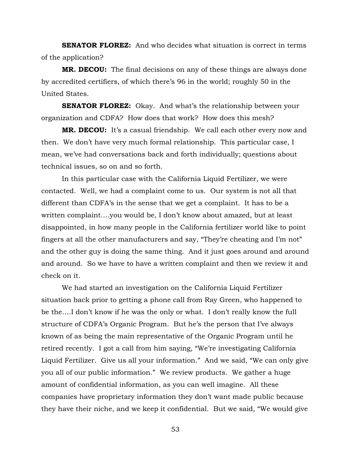**SENATOR FLOREZ:** And who decides what situation is correct in terms of the application?

**MR. DECOU:** The final decisions on any of these things are always done by accredited certifiers, of which there's 96 in the world; roughly 50 in the United States.

**SENATOR FLOREZ:** Okay. And what's the relationship between your organization and CDFA? How does that work? How does this mesh?

**MR. DECOU:** It's a casual friendship. We call each other every now and then. We don't have very much formal relationship. This particular case, I mean, we've had conversations back and forth individually; questions about technical issues, so on and so forth.

In this particular case with the California Liquid Fertilizer, we were contacted. Well, we had a complaint come to us. Our system is not all that different than CDFA's in the sense that we get a complaint. It has to be a written complaint….you would be, I don't know about amazed, but at least disappointed, in how many people in the California fertilizer world like to point fingers at all the other manufacturers and say, "They're cheating and I'm not" and the other guy is doing the same thing. And it just goes around and around and around. So we have to have a written complaint and then we review it and check on it.

We had started an investigation on the California Liquid Fertilizer situation back prior to getting a phone call from Ray Green, who happened to be the….I don't know if he was the only or what. I don't really know the full structure of CDFA's Organic Program. But he's the person that I've always known of as being the main representative of the Organic Program until he retired recently. I got a call from him saying, "We're investigating California Liquid Fertilizer. Give us all your information." And we said, "We can only give you all of our public information." We review products. We gather a huge amount of confidential information, as you can well imagine. All these companies have proprietary information they don't want made public because they have their niche, and we keep it confidential. But we said, "We would give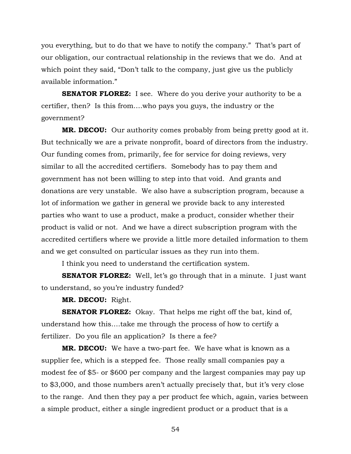you everything, but to do that we have to notify the company." That's part of our obligation, our contractual relationship in the reviews that we do. And at which point they said, "Don't talk to the company, just give us the publicly available information."

**SENATOR FLOREZ:** I see. Where do you derive your authority to be a certifier, then? Is this from….who pays you guys, the industry or the government?

**MR. DECOU:** Our authority comes probably from being pretty good at it. But technically we are a private nonprofit, board of directors from the industry. Our funding comes from, primarily, fee for service for doing reviews, very similar to all the accredited certifiers. Somebody has to pay them and government has not been willing to step into that void. And grants and donations are very unstable. We also have a subscription program, because a lot of information we gather in general we provide back to any interested parties who want to use a product, make a product, consider whether their product is valid or not. And we have a direct subscription program with the accredited certifiers where we provide a little more detailed information to them and we get consulted on particular issues as they run into them.

I think you need to understand the certification system.

**SENATOR FLOREZ:** Well, let's go through that in a minute. I just want to understand, so you're industry funded?

**MR. DECOU:** Right.

**SENATOR FLOREZ:** Okay. That helps me right off the bat, kind of, understand how this….take me through the process of how to certify a fertilizer. Do you file an application? Is there a fee?

**MR. DECOU:** We have a two-part fee. We have what is known as a supplier fee, which is a stepped fee. Those really small companies pay a modest fee of \$5- or \$600 per company and the largest companies may pay up to \$3,000, and those numbers aren't actually precisely that, but it's very close to the range. And then they pay a per product fee which, again, varies between a simple product, either a single ingredient product or a product that is a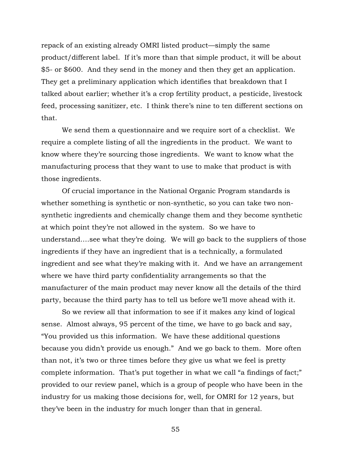repack of an existing already OMRI listed product—simply the same product/different label. If it's more than that simple product, it will be about \$5- or \$600. And they send in the money and then they get an application. They get a preliminary application which identifies that breakdown that I talked about earlier; whether it's a crop fertility product, a pesticide, livestock feed, processing sanitizer, etc. I think there's nine to ten different sections on that.

We send them a questionnaire and we require sort of a checklist. We require a complete listing of all the ingredients in the product. We want to know where they're sourcing those ingredients. We want to know what the manufacturing process that they want to use to make that product is with those ingredients.

Of crucial importance in the National Organic Program standards is whether something is synthetic or non-synthetic, so you can take two nonsynthetic ingredients and chemically change them and they become synthetic at which point they're not allowed in the system. So we have to understand….see what they're doing. We will go back to the suppliers of those ingredients if they have an ingredient that is a technically, a formulated ingredient and see what they're making with it. And we have an arrangement where we have third party confidentiality arrangements so that the manufacturer of the main product may never know all the details of the third party, because the third party has to tell us before we'll move ahead with it.

So we review all that information to see if it makes any kind of logical sense. Almost always, 95 percent of the time, we have to go back and say, "You provided us this information. We have these additional questions because you didn't provide us enough." And we go back to them. More often than not, it's two or three times before they give us what we feel is pretty complete information. That's put together in what we call "a findings of fact;" provided to our review panel, which is a group of people who have been in the industry for us making those decisions for, well, for OMRI for 12 years, but they've been in the industry for much longer than that in general.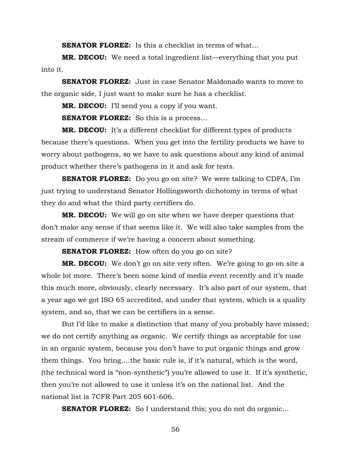**SENATOR FLOREZ:** Is this a checklist in terms of what...

**MR. DECOU:** We need a total ingredient list—everything that you put into it.

**SENATOR FLOREZ:** Just in case Senator Maldonado wants to move to the organic side, I just want to make sure he has a checklist.

**MR. DECOU:** I'll send you a copy if you want.

**SENATOR FLOREZ:** So this is a process...

**MR. DECOU:** It's a different checklist for different types of products because there's questions. When you get into the fertility products we have to worry about pathogens, so we have to ask questions about any kind of animal product whether there's pathogens in it and ask for tests.

**SENATOR FLOREZ:** Do you go on site? We were talking to CDFA, I'm just trying to understand Senator Hollingsworth dichotomy in terms of what they do and what the third party certifiers do.

**MR. DECOU:** We will go on site when we have deeper questions that don't make any sense if that seems like it. We will also take samples from the stream of commerce if we're having a concern about something.

**SENATOR FLOREZ:** How often do you go on site?

**MR. DECOU:** We don't go on site very often. We're going to go on site a whole lot more. There's been some kind of media event recently and it's made this much more, obviously, clearly necessary. It's also part of our system, that a year ago we got ISO 65 accredited, and under that system, which is a quality system, and so, that we can be certifiers in a sense.

But I'd like to make a distinction that many of you probably have missed; we do not certify anything as organic. We certify things as acceptable for use in an organic system, because you don't have to put organic things and grow them things. You bring….the basic rule is, if it's natural, which is the word, (the technical word is "non-synthetic") you're allowed to use it. If it's synthetic, then you're not allowed to use it unless it's on the national list. And the national list is 7CFR Part 205 601-606.

**SENATOR FLOREZ:** So I understand this; you do not do organic...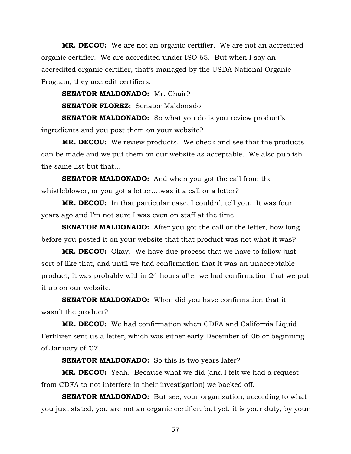**MR. DECOU:** We are not an organic certifier. We are not an accredited organic certifier. We are accredited under ISO 65. But when I say an accredited organic certifier, that's managed by the USDA National Organic Program, they accredit certifiers.

**SENATOR MALDONADO:** Mr. Chair?

**SENATOR FLOREZ:** Senator Maldonado.

**SENATOR MALDONADO:** So what you do is you review product's ingredients and you post them on your website?

**MR. DECOU:** We review products. We check and see that the products can be made and we put them on our website as acceptable. We also publish the same list but that…

**SENATOR MALDONADO:** And when you got the call from the whistleblower, or you got a letter….was it a call or a letter?

**MR. DECOU:** In that particular case, I couldn't tell you. It was four years ago and I'm not sure I was even on staff at the time.

**SENATOR MALDONADO:** After you got the call or the letter, how long before you posted it on your website that that product was not what it was?

**MR. DECOU:** Okay. We have due process that we have to follow just sort of like that, and until we had confirmation that it was an unacceptable product, it was probably within 24 hours after we had confirmation that we put it up on our website.

**SENATOR MALDONADO:** When did you have confirmation that it wasn't the product?

**MR. DECOU:** We had confirmation when CDFA and California Liquid Fertilizer sent us a letter, which was either early December of '06 or beginning of January of '07.

**SENATOR MALDONADO:** So this is two years later?

**MR. DECOU:** Yeah. Because what we did (and I felt we had a request from CDFA to not interfere in their investigation) we backed off.

**SENATOR MALDONADO:** But see, your organization, according to what you just stated, you are not an organic certifier, but yet, it is your duty, by your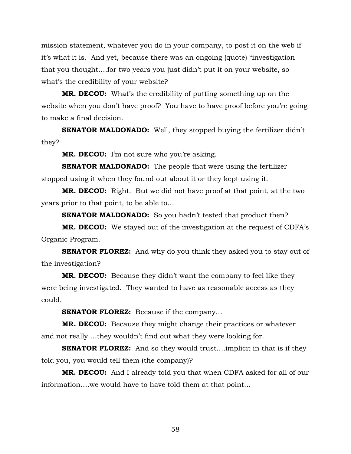mission statement, whatever you do in your company, to post it on the web if it's what it is. And yet, because there was an ongoing (quote) "investigation that you thought….for two years you just didn't put it on your website, so what's the credibility of your website?

**MR. DECOU:** What's the credibility of putting something up on the website when you don't have proof? You have to have proof before you're going to make a final decision.

**SENATOR MALDONADO:** Well, they stopped buying the fertilizer didn't they?

**MR. DECOU:** I'm not sure who you're asking.

**SENATOR MALDONADO:** The people that were using the fertilizer stopped using it when they found out about it or they kept using it.

**MR. DECOU:** Right. But we did not have proof at that point, at the two years prior to that point, to be able to…

**SENATOR MALDONADO:** So you hadn't tested that product then?

**MR. DECOU:** We stayed out of the investigation at the request of CDFA's Organic Program.

**SENATOR FLOREZ:** And why do you think they asked you to stay out of the investigation?

**MR. DECOU:** Because they didn't want the company to feel like they were being investigated. They wanted to have as reasonable access as they could.

**SENATOR FLOREZ:** Because if the company…

**MR. DECOU:** Because they might change their practices or whatever and not really….they wouldn't find out what they were looking for.

**SENATOR FLOREZ:** And so they would trust....implicit in that is if they told you, you would tell them (the company)?

**MR. DECOU:** And I already told you that when CDFA asked for all of our information….we would have to have told them at that point…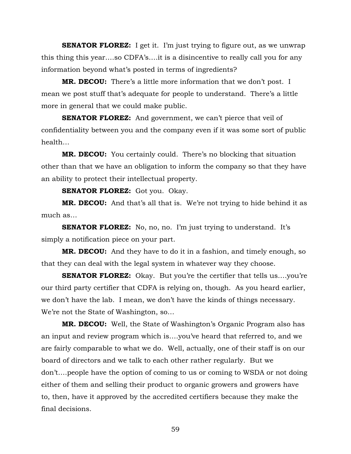**SENATOR FLOREZ:** I get it. I'm just trying to figure out, as we unwrap this thing this year….so CDFA's….it is a disincentive to really call you for any information beyond what's posted in terms of ingredients?

**MR. DECOU:** There's a little more information that we don't post. I mean we post stuff that's adequate for people to understand. There's a little more in general that we could make public.

**SENATOR FLOREZ:** And government, we can't pierce that veil of confidentiality between you and the company even if it was some sort of public health…

**MR. DECOU:** You certainly could. There's no blocking that situation other than that we have an obligation to inform the company so that they have an ability to protect their intellectual property.

**SENATOR FLOREZ:** Got you. Okay.

**MR. DECOU:** And that's all that is. We're not trying to hide behind it as much as…

**SENATOR FLOREZ:** No, no, no. I'm just trying to understand. It's simply a notification piece on your part.

**MR. DECOU:** And they have to do it in a fashion, and timely enough, so that they can deal with the legal system in whatever way they choose.

**SENATOR FLOREZ:** Okay. But you're the certifier that tells us....you're our third party certifier that CDFA is relying on, though. As you heard earlier, we don't have the lab. I mean, we don't have the kinds of things necessary. We're not the State of Washington, so…

**MR. DECOU:** Well, the State of Washington's Organic Program also has an input and review program which is….you've heard that referred to, and we are fairly comparable to what we do. Well, actually, one of their staff is on our board of directors and we talk to each other rather regularly. But we don't….people have the option of coming to us or coming to WSDA or not doing either of them and selling their product to organic growers and growers have to, then, have it approved by the accredited certifiers because they make the final decisions.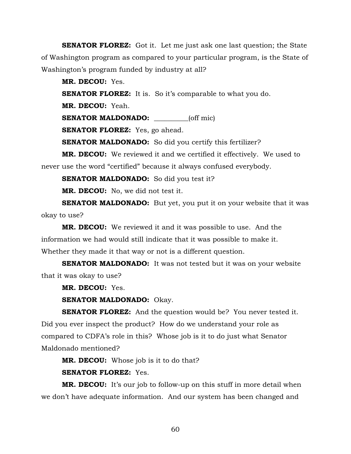**SENATOR FLOREZ:** Got it. Let me just ask one last question; the State of Washington program as compared to your particular program, is the State of Washington's program funded by industry at all?

**MR. DECOU:** Yes.

**SENATOR FLOREZ:** It is. So it's comparable to what you do.

**MR. DECOU:** Yeah.

**SENATOR MALDONADO:** (off mic)

**SENATOR FLOREZ:** Yes, go ahead.

**SENATOR MALDONADO:** So did you certify this fertilizer?

**MR. DECOU:** We reviewed it and we certified it effectively. We used to never use the word "certified" because it always confused everybody.

**SENATOR MALDONADO:** So did you test it?

**MR. DECOU:** No, we did not test it.

**SENATOR MALDONADO:** But yet, you put it on your website that it was okay to use?

**MR. DECOU:** We reviewed it and it was possible to use. And the information we had would still indicate that it was possible to make it. Whether they made it that way or not is a different question.

**SENATOR MALDONADO:** It was not tested but it was on your website that it was okay to use?

**MR. DECOU:** Yes.

**SENATOR MALDONADO:** Okay.

**SENATOR FLOREZ:** And the question would be? You never tested it. Did you ever inspect the product? How do we understand your role as compared to CDFA's role in this? Whose job is it to do just what Senator Maldonado mentioned?

**MR. DECOU:** Whose job is it to do that?

**SENATOR FLOREZ:** Yes.

**MR. DECOU:** It's our job to follow-up on this stuff in more detail when we don't have adequate information. And our system has been changed and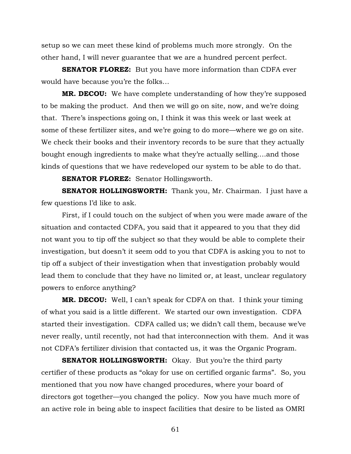setup so we can meet these kind of problems much more strongly. On the other hand, I will never guarantee that we are a hundred percent perfect.

**SENATOR FLOREZ:** But you have more information than CDFA ever would have because you're the folks…

**MR. DECOU:** We have complete understanding of how they're supposed to be making the product. And then we will go on site, now, and we're doing that. There's inspections going on, I think it was this week or last week at some of these fertilizer sites, and we're going to do more—where we go on site. We check their books and their inventory records to be sure that they actually bought enough ingredients to make what they're actually selling….and those kinds of questions that we have redeveloped our system to be able to do that.

**SENATOR FLOREZ:** Senator Hollingsworth.

**SENATOR HOLLINGSWORTH:** Thank you, Mr. Chairman. I just have a few questions I'd like to ask.

First, if I could touch on the subject of when you were made aware of the situation and contacted CDFA, you said that it appeared to you that they did not want you to tip off the subject so that they would be able to complete their investigation, but doesn't it seem odd to you that CDFA is asking you to not to tip off a subject of their investigation when that investigation probably would lead them to conclude that they have no limited or, at least, unclear regulatory powers to enforce anything?

**MR. DECOU:** Well, I can't speak for CDFA on that. I think your timing of what you said is a little different. We started our own investigation. CDFA started their investigation. CDFA called us; we didn't call them, because we've never really, until recently, not had that interconnection with them. And it was not CDFA's fertilizer division that contacted us, it was the Organic Program.

**SENATOR HOLLINGSWORTH:** Okay. But you're the third party certifier of these products as "okay for use on certified organic farms". So, you mentioned that you now have changed procedures, where your board of directors got together—you changed the policy. Now you have much more of an active role in being able to inspect facilities that desire to be listed as OMRI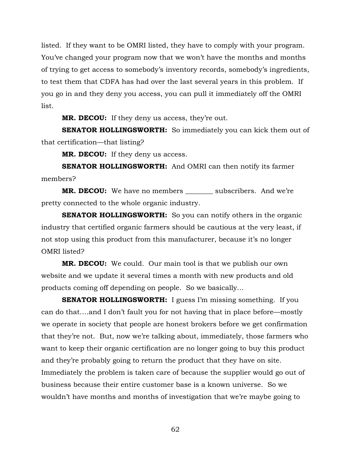listed. If they want to be OMRI listed, they have to comply with your program. You've changed your program now that we won't have the months and months of trying to get access to somebody's inventory records, somebody's ingredients, to test them that CDFA has had over the last several years in this problem. If you go in and they deny you access, you can pull it immediately off the OMRI list.

**MR. DECOU:** If they deny us access, they're out.

**SENATOR HOLLINGSWORTH:** So immediately you can kick them out of that certification—that listing?

**MR. DECOU:** If they deny us access.

**SENATOR HOLLINGSWORTH:** And OMRI can then notify its farmer members?

**MR. DECOU:** We have no members subscribers. And we're pretty connected to the whole organic industry.

**SENATOR HOLLINGSWORTH:** So you can notify others in the organic industry that certified organic farmers should be cautious at the very least, if not stop using this product from this manufacturer, because it's no longer OMRI listed?

**MR. DECOU:** We could. Our main tool is that we publish our own website and we update it several times a month with new products and old products coming off depending on people. So we basically…

**SENATOR HOLLINGSWORTH:** I guess I'm missing something. If you can do that….and I don't fault you for not having that in place before—mostly we operate in society that people are honest brokers before we get confirmation that they're not. But, now we're talking about, immediately, those farmers who want to keep their organic certification are no longer going to buy this product and they're probably going to return the product that they have on site. Immediately the problem is taken care of because the supplier would go out of business because their entire customer base is a known universe. So we wouldn't have months and months of investigation that we're maybe going to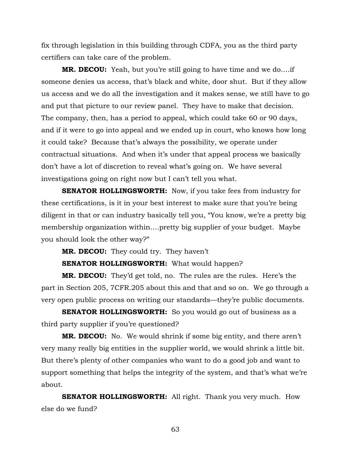fix through legislation in this building through CDFA, you as the third party certifiers can take care of the problem.

**MR. DECOU:** Yeah, but you're still going to have time and we do….if someone denies us access, that's black and white, door shut. But if they allow us access and we do all the investigation and it makes sense, we still have to go and put that picture to our review panel. They have to make that decision. The company, then, has a period to appeal, which could take 60 or 90 days, and if it were to go into appeal and we ended up in court, who knows how long it could take? Because that's always the possibility, we operate under contractual situations. And when it's under that appeal process we basically don't have a lot of discretion to reveal what's going on. We have several investigations going on right now but I can't tell you what.

**SENATOR HOLLINGSWORTH:** Now, if you take fees from industry for these certifications, is it in your best interest to make sure that you're being diligent in that or can industry basically tell you, "You know, we're a pretty big membership organization within….pretty big supplier of your budget. Maybe you should look the other way?"

**MR. DECOU:** They could try. They haven't

**SENATOR HOLLINGSWORTH:** What would happen?

**MR. DECOU:** They'd get told, no. The rules are the rules. Here's the part in Section 205, 7CFR.205 about this and that and so on. We go through a very open public process on writing our standards—they're public documents.

**SENATOR HOLLINGSWORTH:** So you would go out of business as a third party supplier if you're questioned?

**MR. DECOU:** No. We would shrink if some big entity, and there aren't very many really big entities in the supplier world, we would shrink a little bit. But there's plenty of other companies who want to do a good job and want to support something that helps the integrity of the system, and that's what we're about.

**SENATOR HOLLINGSWORTH:** All right. Thank you very much. How else do we fund?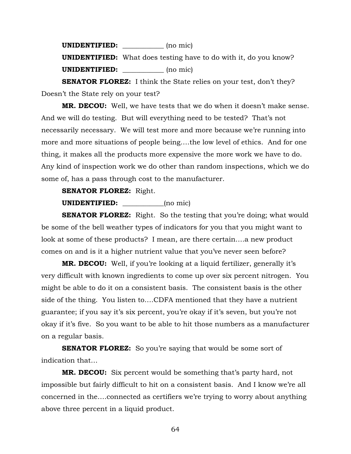**UNIDENTIFIED:** \_\_\_\_\_\_\_\_\_\_\_\_ (no mic) **UNIDENTIFIED:** What does testing have to do with it, do you know? **UNIDENTIFIED: \_\_\_\_\_\_\_\_\_\_\_\_** (no mic)

**SENATOR FLOREZ:** I think the State relies on your test, don't they? Doesn't the State rely on your test?

**MR. DECOU:** Well, we have tests that we do when it doesn't make sense. And we will do testing. But will everything need to be tested? That's not necessarily necessary. We will test more and more because we're running into more and more situations of people being….the low level of ethics. And for one thing, it makes all the products more expensive the more work we have to do. Any kind of inspection work we do other than random inspections, which we do some of, has a pass through cost to the manufacturer.

## **SENATOR FLOREZ:** Right.

## **UNIDENTIFIED:** (no mic)

**SENATOR FLOREZ:** Right. So the testing that you're doing; what would be some of the bell weather types of indicators for you that you might want to look at some of these products? I mean, are there certain….a new product comes on and is it a higher nutrient value that you've never seen before?

**MR. DECOU:** Well, if you're looking at a liquid fertilizer, generally it's very difficult with known ingredients to come up over six percent nitrogen. You might be able to do it on a consistent basis. The consistent basis is the other side of the thing. You listen to….CDFA mentioned that they have a nutrient guarantee; if you say it's six percent, you're okay if it's seven, but you're not okay if it's five. So you want to be able to hit those numbers as a manufacturer on a regular basis.

**SENATOR FLOREZ:** So you're saying that would be some sort of indication that…

**MR. DECOU:** Six percent would be something that's party hard, not impossible but fairly difficult to hit on a consistent basis. And I know we're all concerned in the….connected as certifiers we're trying to worry about anything above three percent in a liquid product.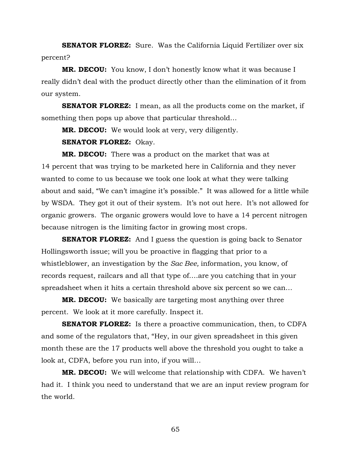**SENATOR FLOREZ:** Sure. Was the California Liquid Fertilizer over six percent?

**MR. DECOU:** You know, I don't honestly know what it was because I really didn't deal with the product directly other than the elimination of it from our system.

**SENATOR FLOREZ:** I mean, as all the products come on the market, if something then pops up above that particular threshold…

**MR. DECOU:** We would look at very, very diligently.

**SENATOR FLOREZ:** Okay.

**MR. DECOU:** There was a product on the market that was at 14 percent that was trying to be marketed here in California and they never wanted to come to us because we took one look at what they were talking about and said, "We can't imagine it's possible." It was allowed for a little while by WSDA. They got it out of their system. It's not out here. It's not allowed for organic growers. The organic growers would love to have a 14 percent nitrogen because nitrogen is the limiting factor in growing most crops.

**SENATOR FLOREZ:** And I guess the question is going back to Senator Hollingsworth issue; will you be proactive in flagging that prior to a whistleblower, an investigation by the *Sac Bee,* information, you know, of records request, railcars and all that type of….are you catching that in your spreadsheet when it hits a certain threshold above six percent so we can…

**MR. DECOU:** We basically are targeting most anything over three percent. We look at it more carefully. Inspect it.

**SENATOR FLOREZ:** Is there a proactive communication, then, to CDFA and some of the regulators that, "Hey, in our given spreadsheet in this given month these are the 17 products well above the threshold you ought to take a look at, CDFA, before you run into, if you will…

**MR. DECOU:** We will welcome that relationship with CDFA. We haven't had it. I think you need to understand that we are an input review program for the world.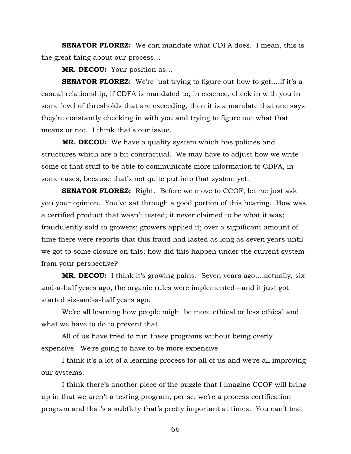**SENATOR FLOREZ:** We can mandate what CDFA does. I mean, this is the great thing about our process…

**MR. DECOU:** Your position as…

**SENATOR FLOREZ:** We're just trying to figure out how to get....if it's a casual relationship, if CDFA is mandated to, in essence, check in with you in some level of thresholds that are exceeding, then it is a mandate that one says they're constantly checking in with you and trying to figure out what that means or not. I think that's our issue.

**MR. DECOU:** We have a quality system which has policies and structures which are a bit contractual. We may have to adjust how we write some of that stuff to be able to communicate more information to CDFA, in some cases, because that's not quite put into that system yet.

**SENATOR FLOREZ:** Right. Before we move to CCOF, let me just ask you your opinion. You've sat through a good portion of this hearing. How was a certified product that wasn't tested; it never claimed to be what it was; fraudulently sold to growers; growers applied it; over a significant amount of time there were reports that this fraud had lasted as long as seven years until we got to some closure on this; how did this happen under the current system from your perspective?

**MR. DECOU:** I think it's growing pains. Seven years ago….actually, sixand-a-half years ago, the organic rules were implemented—and it just got started six-and-a-half years ago.

We're all learning how people might be more ethical or less ethical and what we have to do to prevent that.

All of us have tried to run these programs without being overly expensive. We're going to have to be more expensive.

I think it's a lot of a learning process for all of us and we're all improving our systems.

I think there's another piece of the puzzle that I imagine CCOF will bring up in that we aren't a testing program, per se, we're a process certification program and that's a subtlety that's pretty important at times. You can't test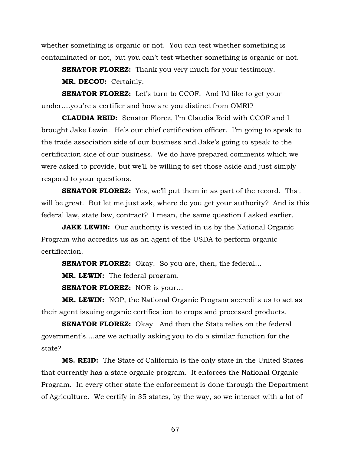whether something is organic or not. You can test whether something is contaminated or not, but you can't test whether something is organic or not.

**SENATOR FLOREZ:** Thank you very much for your testimony. **MR. DECOU:** Certainly.

**SENATOR FLOREZ:** Let's turn to CCOF. And I'd like to get your under….you're a certifier and how are you distinct from OMRI?

**CLAUDIA REID:** Senator Florez, I'm Claudia Reid with CCOF and I brought Jake Lewin. He's our chief certification officer. I'm going to speak to the trade association side of our business and Jake's going to speak to the certification side of our business. We do have prepared comments which we were asked to provide, but we'll be willing to set those aside and just simply respond to your questions.

**SENATOR FLOREZ:** Yes, we'll put them in as part of the record. That will be great. But let me just ask, where do you get your authority? And is this federal law, state law, contract? I mean, the same question I asked earlier.

**JAKE LEWIN:** Our authority is vested in us by the National Organic Program who accredits us as an agent of the USDA to perform organic certification.

**SENATOR FLOREZ:** Okay. So you are, then, the federal...

**MR. LEWIN:** The federal program.

**SENATOR FLOREZ:** NOR is your…

**MR. LEWIN:** NOP, the National Organic Program accredits us to act as their agent issuing organic certification to crops and processed products.

**SENATOR FLOREZ:** Okay. And then the State relies on the federal government's….are we actually asking you to do a similar function for the state?

**MS. REID:** The State of California is the only state in the United States that currently has a state organic program. It enforces the National Organic Program. In every other state the enforcement is done through the Department of Agriculture. We certify in 35 states, by the way, so we interact with a lot of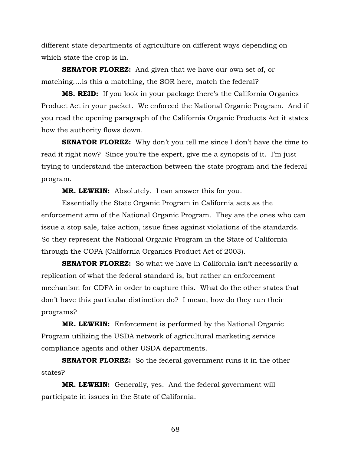different state departments of agriculture on different ways depending on which state the crop is in.

**SENATOR FLOREZ:** And given that we have our own set of, or matching….is this a matching, the SOR here, match the federal?

**MS. REID:** If you look in your package there's the California Organics Product Act in your packet. We enforced the National Organic Program. And if you read the opening paragraph of the California Organic Products Act it states how the authority flows down.

**SENATOR FLOREZ:** Why don't you tell me since I don't have the time to read it right now? Since you're the expert, give me a synopsis of it. I'm just trying to understand the interaction between the state program and the federal program.

**MR. LEWKIN:** Absolutely. I can answer this for you.

Essentially the State Organic Program in California acts as the enforcement arm of the National Organic Program. They are the ones who can issue a stop sale, take action, issue fines against violations of the standards. So they represent the National Organic Program in the State of California through the COPA (California Organics Product Act of 2003).

**SENATOR FLOREZ:** So what we have in California isn't necessarily a replication of what the federal standard is, but rather an enforcement mechanism for CDFA in order to capture this. What do the other states that don't have this particular distinction do? I mean, how do they run their programs?

**MR. LEWKIN:** Enforcement is performed by the National Organic Program utilizing the USDA network of agricultural marketing service compliance agents and other USDA departments.

**SENATOR FLOREZ:** So the federal government runs it in the other states?

**MR. LEWKIN:** Generally, yes. And the federal government will participate in issues in the State of California.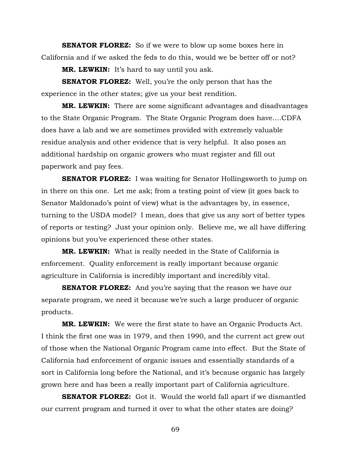**SENATOR FLOREZ:** So if we were to blow up some boxes here in California and if we asked the feds to do this, would we be better off or not?

**MR. LEWKIN:** It's hard to say until you ask.

**SENATOR FLOREZ:** Well, you're the only person that has the experience in the other states; give us your best rendition.

**MR. LEWKIN:** There are some significant advantages and disadvantages to the State Organic Program. The State Organic Program does have….CDFA does have a lab and we are sometimes provided with extremely valuable residue analysis and other evidence that is very helpful. It also poses an additional hardship on organic growers who must register and fill out paperwork and pay fees.

**SENATOR FLOREZ:** I was waiting for Senator Hollingsworth to jump on in there on this one. Let me ask; from a testing point of view (it goes back to Senator Maldonado's point of view) what is the advantages by, in essence, turning to the USDA model? I mean, does that give us any sort of better types of reports or testing? Just your opinion only. Believe me, we all have differing opinions but you've experienced these other states.

**MR. LEWKIN:** What is really needed in the State of California is enforcement. Quality enforcement is really important because organic agriculture in California is incredibly important and incredibly vital.

**SENATOR FLOREZ:** And you're saying that the reason we have our separate program, we need it because we're such a large producer of organic products.

**MR. LEWKIN:** We were the first state to have an Organic Products Act. I think the first one was in 1979, and then 1990, and the current act grew out of those when the National Organic Program came into effect. But the State of California had enforcement of organic issues and essentially standards of a sort in California long before the National, and it's because organic has largely grown here and has been a really important part of California agriculture.

**SENATOR FLOREZ:** Got it. Would the world fall apart if we dismantled our current program and turned it over to what the other states are doing?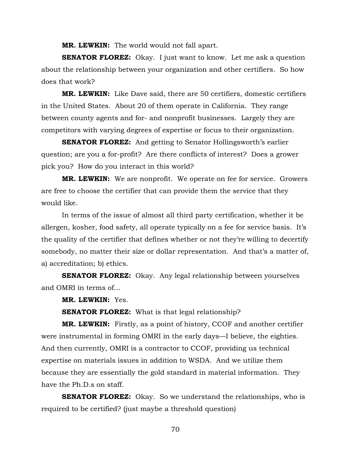**MR. LEWKIN:** The world would not fall apart.

**SENATOR FLOREZ:** Okay. I just want to know. Let me ask a question about the relationship between your organization and other certifiers. So how does that work?

**MR. LEWKIN:** Like Dave said, there are 50 certifiers, domestic certifiers in the United States. About 20 of them operate in California. They range between county agents and for- and nonprofit businesses. Largely they are competitors with varying degrees of expertise or focus to their organization.

**SENATOR FLOREZ:** And getting to Senator Hollingsworth's earlier question; are you a for-profit? Are there conflicts of interest? Does a grower pick you? How do you interact in this world?

**MR. LEWKIN:** We are nonprofit. We operate on fee for service. Growers are free to choose the certifier that can provide them the service that they would like.

In terms of the issue of almost all third party certification, whether it be allergen, kosher, food safety, all operate typically on a fee for service basis. It's the quality of the certifier that defines whether or not they're willing to decertify somebody, no matter their size or dollar representation. And that's a matter of, a) accreditation; b) ethics.

**SENATOR FLOREZ:** Okay. Any legal relationship between yourselves and OMRI in terms of…

**MR. LEWKIN:** Yes.

**SENATOR FLOREZ:** What is that legal relationship?

**MR. LEWKIN:** Firstly, as a point of history, CCOF and another certifier were instrumental in forming OMRI in the early days—I believe, the eighties. And then currently, OMRI is a contractor to CCOF, providing us technical expertise on materials issues in addition to WSDA. And we utilize them because they are essentially the gold standard in material information. They have the Ph.D.s on staff.

**SENATOR FLOREZ:** Okay. So we understand the relationships, who is required to be certified? (just maybe a threshold question)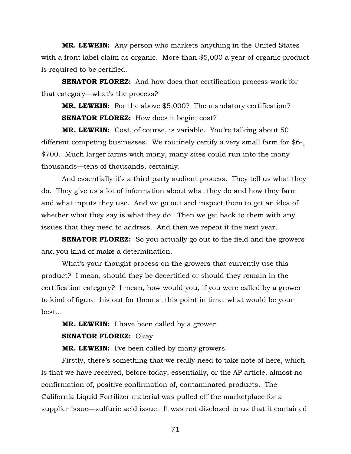**MR. LEWKIN:** Any person who markets anything in the United States with a front label claim as organic. More than \$5,000 a year of organic product is required to be certified.

**SENATOR FLOREZ:** And how does that certification process work for that category—what's the process?

**MR. LEWKIN:** For the above \$5,000? The mandatory certification? **SENATOR FLOREZ:** How does it begin; cost?

**MR. LEWKIN:** Cost, of course, is variable. You're talking about 50 different competing businesses. We routinely certify a very small farm for \$6-, \$700. Much larger farms with many, many sites could run into the many thousands—tens of thousands, certainly.

And essentially it's a third party audient process. They tell us what they do. They give us a lot of information about what they do and how they farm and what inputs they use. And we go out and inspect them to get an idea of whether what they say is what they do. Then we get back to them with any issues that they need to address. And then we repeat it the next year.

**SENATOR FLOREZ:** So you actually go out to the field and the growers and you kind of make a determination.

What's your thought process on the growers that currently use this product? I mean, should they be decertified or should they remain in the certification category? I mean, how would you, if you were called by a grower to kind of figure this out for them at this point in time, what would be your best…

**MR. LEWKIN:** I have been called by a grower. **SENATOR FLOREZ:** Okay.

**MR. LEWKIN:** I've been called by many growers.

Firstly, there's something that we really need to take note of here, which is that we have received, before today, essentially, or the AP article, almost no confirmation of, positive confirmation of, contaminated products. The California Liquid Fertilizer material was pulled off the marketplace for a supplier issue—sulfuric acid issue. It was not disclosed to us that it contained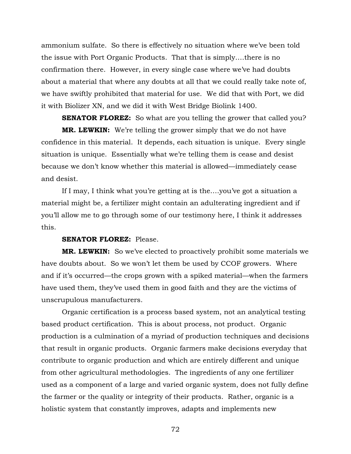ammonium sulfate. So there is effectively no situation where we've been told the issue with Port Organic Products. That that is simply….there is no confirmation there. However, in every single case where we've had doubts about a material that where any doubts at all that we could really take note of, we have swiftly prohibited that material for use. We did that with Port, we did it with Biolizer XN, and we did it with West Bridge Biolink 1400.

**SENATOR FLOREZ:** So what are you telling the grower that called you? **MR. LEWKIN:** We're telling the grower simply that we do not have confidence in this material. It depends, each situation is unique. Every single situation is unique. Essentially what we're telling them is cease and desist because we don't know whether this material is allowed—immediately cease and desist.

If I may, I think what you're getting at is the….you've got a situation a material might be, a fertilizer might contain an adulterating ingredient and if you'll allow me to go through some of our testimony here, I think it addresses this.

#### **SENATOR FLOREZ:** Please.

**MR. LEWKIN:** So we've elected to proactively prohibit some materials we have doubts about. So we won't let them be used by CCOF growers. Where and if it's occurred—the crops grown with a spiked material—when the farmers have used them, they've used them in good faith and they are the victims of unscrupulous manufacturers.

Organic certification is a process based system, not an analytical testing based product certification. This is about process, not product. Organic production is a culmination of a myriad of production techniques and decisions that result in organic products. Organic farmers make decisions everyday that contribute to organic production and which are entirely different and unique from other agricultural methodologies. The ingredients of any one fertilizer used as a component of a large and varied organic system, does not fully define the farmer or the quality or integrity of their products. Rather, organic is a holistic system that constantly improves, adapts and implements new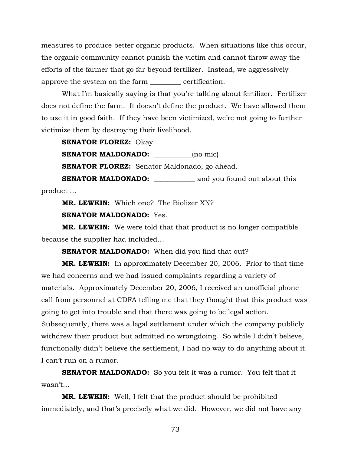measures to produce better organic products. When situations like this occur, the organic community cannot punish the victim and cannot throw away the efforts of the farmer that go far beyond fertilizer. Instead, we aggressively approve the system on the farm \_\_\_\_\_\_\_\_\_ certification.

What I'm basically saying is that you're talking about fertilizer. Fertilizer does not define the farm. It doesn't define the product. We have allowed them to use it in good faith. If they have been victimized, we're not going to further victimize them by destroying their livelihood.

**SENATOR FLOREZ:** Okay.

**SENATOR MALDONADO:** \_\_\_\_\_\_\_\_\_\_\_(no mic)

**SENATOR FLOREZ:** Senator Maldonado, go ahead.

**SENATOR MALDONADO:** \_\_\_\_\_\_\_\_\_\_\_\_\_ and you found out about this product …

**MR. LEWKIN:** Which one? The Biolizer XN?

## **SENATOR MALDONADO:** Yes.

**MR. LEWKIN:** We were told that that product is no longer compatible because the supplier had included…

**SENATOR MALDONADO:** When did you find that out?

**MR. LEWKIN:** In approximately December 20, 2006. Prior to that time we had concerns and we had issued complaints regarding a variety of materials. Approximately December 20, 2006, I received an unofficial phone call from personnel at CDFA telling me that they thought that this product was going to get into trouble and that there was going to be legal action. Subsequently, there was a legal settlement under which the company publicly withdrew their product but admitted no wrongdoing. So while I didn't believe, functionally didn't believe the settlement, I had no way to do anything about it. I can't run on a rumor.

**SENATOR MALDONADO:** So you felt it was a rumor. You felt that it wasn't…

**MR. LEWKIN:** Well, I felt that the product should be prohibited immediately, and that's precisely what we did. However, we did not have any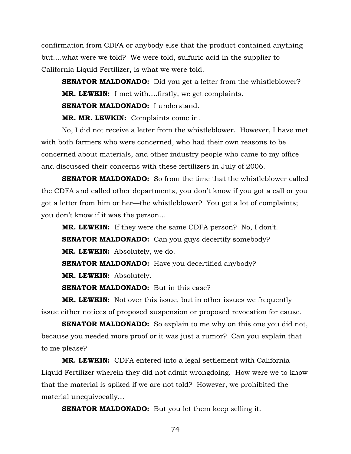confirmation from CDFA or anybody else that the product contained anything but….what were we told? We were told, sulfuric acid in the supplier to California Liquid Fertilizer, is what we were told.

**SENATOR MALDONADO:** Did you get a letter from the whistleblower? **MR. LEWKIN:** I met with….firstly, we get complaints. **SENATOR MALDONADO:** I understand.

**MR. MR. LEWKIN:** Complaints come in.

No, I did not receive a letter from the whistleblower. However, I have met with both farmers who were concerned, who had their own reasons to be concerned about materials, and other industry people who came to my office and discussed their concerns with these fertilizers in July of 2006.

**SENATOR MALDONADO:** So from the time that the whistleblower called the CDFA and called other departments, you don't know if you got a call or you got a letter from him or her—the whistleblower? You get a lot of complaints; you don't know if it was the person…

**MR. LEWKIN:** If they were the same CDFA person? No, I don't. **SENATOR MALDONADO:** Can you guys decertify somebody? **MR. LEWKIN:** Absolutely, we do.

**SENATOR MALDONADO:** Have you decertified anybody?

**MR. LEWKIN:** Absolutely.

**SENATOR MALDONADO:** But in this case?

**MR. LEWKIN:** Not over this issue, but in other issues we frequently issue either notices of proposed suspension or proposed revocation for cause.

**SENATOR MALDONADO:** So explain to me why on this one you did not, because you needed more proof or it was just a rumor? Can you explain that to me please?

**MR. LEWKIN:** CDFA entered into a legal settlement with California Liquid Fertilizer wherein they did not admit wrongdoing. How were we to know that the material is spiked if we are not told? However, we prohibited the material unequivocally…

**SENATOR MALDONADO:** But you let them keep selling it.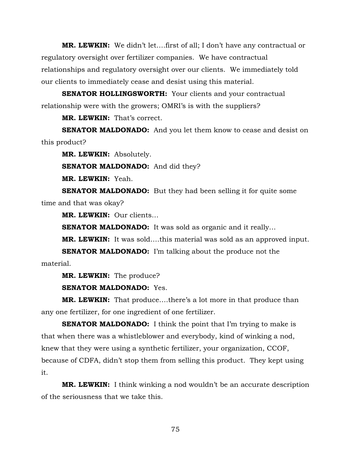**MR. LEWKIN:** We didn't let….first of all; I don't have any contractual or regulatory oversight over fertilizer companies. We have contractual relationships and regulatory oversight over our clients. We immediately told our clients to immediately cease and desist using this material.

**SENATOR HOLLINGSWORTH:** Your clients and your contractual relationship were with the growers; OMRI's is with the suppliers?

**MR. LEWKIN:** That's correct.

**SENATOR MALDONADO:** And you let them know to cease and desist on this product?

**MR. LEWKIN:** Absolutely.

**SENATOR MALDONADO:** And did they?

**MR. LEWKIN:** Yeah.

**SENATOR MALDONADO:** But they had been selling it for quite some time and that was okay?

**MR. LEWKIN:** Our clients…

**SENATOR MALDONADO:** It was sold as organic and it really...

**MR. LEWKIN:** It was sold….this material was sold as an approved input.

**SENATOR MALDONADO:** I'm talking about the produce not the material.

**MR. LEWKIN:** The produce?

**SENATOR MALDONADO:** Yes.

**MR. LEWKIN:** That produce….there's a lot more in that produce than any one fertilizer, for one ingredient of one fertilizer.

**SENATOR MALDONADO:** I think the point that I'm trying to make is that when there was a whistleblower and everybody, kind of winking a nod, knew that they were using a synthetic fertilizer, your organization, CCOF, because of CDFA, didn't stop them from selling this product. They kept using it.

**MR. LEWKIN:** I think winking a nod wouldn't be an accurate description of the seriousness that we take this.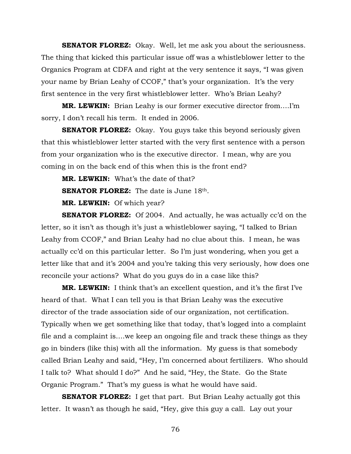**SENATOR FLOREZ:** Okay. Well, let me ask you about the seriousness. The thing that kicked this particular issue off was a whistleblower letter to the Organics Program at CDFA and right at the very sentence it says, "I was given your name by Brian Leahy of CCOF," that's your organization. It's the very first sentence in the very first whistleblower letter. Who's Brian Leahy?

**MR. LEWKIN:** Brian Leahy is our former executive director from….I'm sorry, I don't recall his term. It ended in 2006.

**SENATOR FLOREZ:** Okay. You guys take this beyond seriously given that this whistleblower letter started with the very first sentence with a person from your organization who is the executive director. I mean, why are you coming in on the back end of this when this is the front end?

**MR. LEWKIN:** What's the date of that?

**SENATOR FLOREZ:** The date is June 18th.

**MR. LEWKIN:** Of which year?

**SENATOR FLOREZ:** Of 2004. And actually, he was actually cc'd on the letter, so it isn't as though it's just a whistleblower saying, "I talked to Brian Leahy from CCOF," and Brian Leahy had no clue about this. I mean, he was actually cc'd on this particular letter. So I'm just wondering, when you get a letter like that and it's 2004 and you're taking this very seriously, how does one reconcile your actions? What do you guys do in a case like this?

**MR. LEWKIN:** I think that's an excellent question, and it's the first I've heard of that. What I can tell you is that Brian Leahy was the executive director of the trade association side of our organization, not certification. Typically when we get something like that today, that's logged into a complaint file and a complaint is….we keep an ongoing file and track these things as they go in binders (like this) with all the information. My guess is that somebody called Brian Leahy and said, "Hey, I'm concerned about fertilizers. Who should I talk to? What should I do?" And he said, "Hey, the State. Go the State Organic Program." That's my guess is what he would have said.

**SENATOR FLOREZ:** I get that part. But Brian Leahy actually got this letter. It wasn't as though he said, "Hey, give this guy a call. Lay out your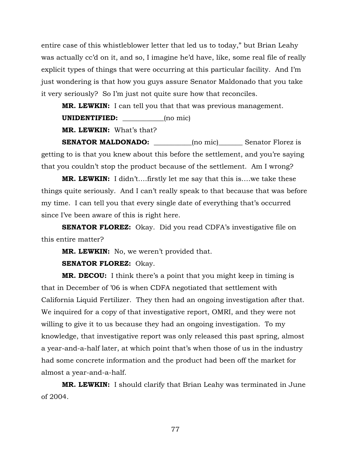entire case of this whistleblower letter that led us to today," but Brian Leahy was actually cc'd on it, and so, I imagine he'd have, like, some real file of really explicit types of things that were occurring at this particular facility. And I'm just wondering is that how you guys assure Senator Maldonado that you take it very seriously? So I'm just not quite sure how that reconciles.

**MR. LEWKIN:** I can tell you that that was previous management.

**UNIDENTIFIED:** (no mic)

**MR. LEWKIN:** What's that?

**SENATOR MALDONADO:**  $\qquad \qquad \text{(no mic)} \qquad \text{Senator Florez is}$ getting to is that you knew about this before the settlement, and you're saying that you couldn't stop the product because of the settlement. Am I wrong?

**MR. LEWKIN:** I didn't….firstly let me say that this is….we take these things quite seriously. And I can't really speak to that because that was before my time. I can tell you that every single date of everything that's occurred since I've been aware of this is right here.

**SENATOR FLOREZ:** Okay. Did you read CDFA's investigative file on this entire matter?

**MR. LEWKIN:** No, we weren't provided that.

**SENATOR FLOREZ:** Okay.

**MR. DECOU:** I think there's a point that you might keep in timing is that in December of '06 is when CDFA negotiated that settlement with California Liquid Fertilizer. They then had an ongoing investigation after that. We inquired for a copy of that investigative report, OMRI, and they were not willing to give it to us because they had an ongoing investigation. To my knowledge, that investigative report was only released this past spring, almost a year-and-a-half later, at which point that's when those of us in the industry had some concrete information and the product had been off the market for almost a year-and-a-half.

**MR. LEWKIN:** I should clarify that Brian Leahy was terminated in June of 2004.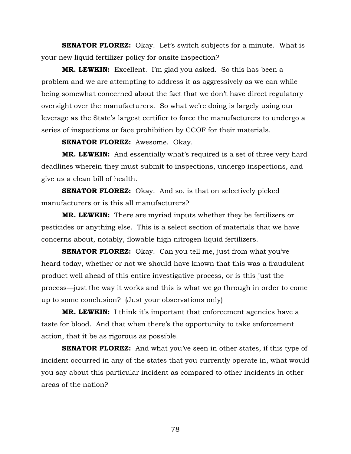**SENATOR FLOREZ:** Okay. Let's switch subjects for a minute. What is your new liquid fertilizer policy for onsite inspection?

**MR. LEWKIN:** Excellent. I'm glad you asked. So this has been a problem and we are attempting to address it as aggressively as we can while being somewhat concerned about the fact that we don't have direct regulatory oversight over the manufacturers. So what we're doing is largely using our leverage as the State's largest certifier to force the manufacturers to undergo a series of inspections or face prohibition by CCOF for their materials.

**SENATOR FLOREZ:** Awesome. Okay.

**MR. LEWKIN:** And essentially what's required is a set of three very hard deadlines wherein they must submit to inspections, undergo inspections, and give us a clean bill of health.

**SENATOR FLOREZ:** Okay. And so, is that on selectively picked manufacturers or is this all manufacturers?

**MR. LEWKIN:** There are myriad inputs whether they be fertilizers or pesticides or anything else. This is a select section of materials that we have concerns about, notably, flowable high nitrogen liquid fertilizers.

**SENATOR FLOREZ:** Okay. Can you tell me, just from what you've heard today, whether or not we should have known that this was a fraudulent product well ahead of this entire investigative process, or is this just the process—just the way it works and this is what we go through in order to come up to some conclusion? (Just your observations only)

**MR. LEWKIN:** I think it's important that enforcement agencies have a taste for blood. And that when there's the opportunity to take enforcement action, that it be as rigorous as possible.

**SENATOR FLOREZ:** And what you've seen in other states, if this type of incident occurred in any of the states that you currently operate in, what would you say about this particular incident as compared to other incidents in other areas of the nation?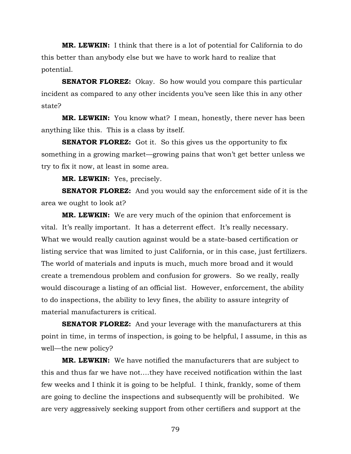**MR. LEWKIN:** I think that there is a lot of potential for California to do this better than anybody else but we have to work hard to realize that potential.

**SENATOR FLOREZ:** Okay. So how would you compare this particular incident as compared to any other incidents you've seen like this in any other state?

**MR. LEWKIN:** You know what? I mean, honestly, there never has been anything like this. This is a class by itself.

**SENATOR FLOREZ:** Got it. So this gives us the opportunity to fix something in a growing market—growing pains that won't get better unless we try to fix it now, at least in some area.

**MR. LEWKIN:** Yes, precisely.

**SENATOR FLOREZ:** And you would say the enforcement side of it is the area we ought to look at?

**MR. LEWKIN:** We are very much of the opinion that enforcement is vital. It's really important. It has a deterrent effect. It's really necessary. What we would really caution against would be a state-based certification or listing service that was limited to just California, or in this case, just fertilizers. The world of materials and inputs is much, much more broad and it would create a tremendous problem and confusion for growers. So we really, really would discourage a listing of an official list. However, enforcement, the ability to do inspections, the ability to levy fines, the ability to assure integrity of material manufacturers is critical.

**SENATOR FLOREZ:** And your leverage with the manufacturers at this point in time, in terms of inspection, is going to be helpful, I assume, in this as well—the new policy?

**MR. LEWKIN:** We have notified the manufacturers that are subject to this and thus far we have not….they have received notification within the last few weeks and I think it is going to be helpful. I think, frankly, some of them are going to decline the inspections and subsequently will be prohibited. We are very aggressively seeking support from other certifiers and support at the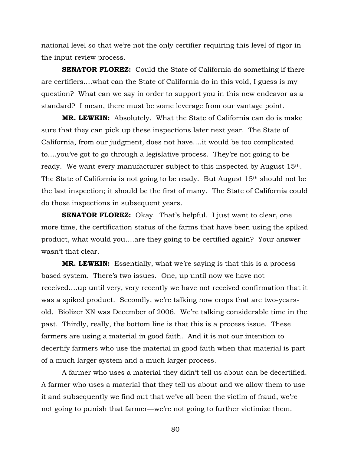national level so that we're not the only certifier requiring this level of rigor in the input review process.

**SENATOR FLOREZ:** Could the State of California do something if there are certifiers….what can the State of California do in this void, I guess is my question? What can we say in order to support you in this new endeavor as a standard? I mean, there must be some leverage from our vantage point.

**MR. LEWKIN:** Absolutely. What the State of California can do is make sure that they can pick up these inspections later next year. The State of California, from our judgment, does not have….it would be too complicated to….you've got to go through a legislative process. They're not going to be ready. We want every manufacturer subject to this inspected by August 15<sup>th</sup>. The State of California is not going to be ready. But August 15<sup>th</sup> should not be the last inspection; it should be the first of many. The State of California could do those inspections in subsequent years.

**SENATOR FLOREZ:** Okay. That's helpful. I just want to clear, one more time, the certification status of the farms that have been using the spiked product, what would you….are they going to be certified again? Your answer wasn't that clear.

**MR. LEWKIN:** Essentially, what we're saying is that this is a process based system. There's two issues. One, up until now we have not received….up until very, very recently we have not received confirmation that it was a spiked product. Secondly, we're talking now crops that are two-yearsold. Biolizer XN was December of 2006. We're talking considerable time in the past. Thirdly, really, the bottom line is that this is a process issue. These farmers are using a material in good faith. And it is not our intention to decertify farmers who use the material in good faith when that material is part of a much larger system and a much larger process.

A farmer who uses a material they didn't tell us about can be decertified. A farmer who uses a material that they tell us about and we allow them to use it and subsequently we find out that we've all been the victim of fraud, we're not going to punish that farmer—we're not going to further victimize them.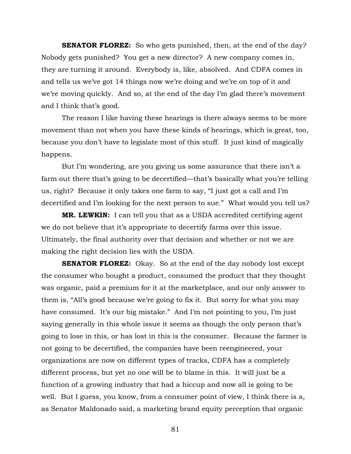**SENATOR FLOREZ:** So who gets punished, then, at the end of the day? Nobody gets punished? You get a new director? A new company comes in, they are turning it around. Everybody is, like, absolved. And CDFA comes in and tells us we've got 14 things now we're doing and we're on top of it and we're moving quickly. And so, at the end of the day I'm glad there's movement and I think that's good.

The reason I like having these hearings is there always seems to be more movement than not when you have these kinds of hearings, which is great, too, because you don't have to legislate most of this stuff. It just kind of magically happens.

But I'm wondering, are you giving us some assurance that there isn't a farm out there that's going to be decertified—that's basically what you're telling us, right? Because it only takes one farm to say, "I just got a call and I'm decertified and I'm looking for the next person to sue." What would you tell us?

**MR. LEWKIN:** I can tell you that as a USDA accredited certifying agent we do not believe that it's appropriate to decertify farms over this issue. Ultimately, the final authority over that decision and whether or not we are making the right decision lies with the USDA.

**SENATOR FLOREZ:** Okay. So at the end of the day nobody lost except the consumer who bought a product, consumed the product that they thought was organic, paid a premium for it at the marketplace, and our only answer to them is, "All's good because we're going to fix it. But sorry for what you may have consumed. It's our big mistake." And I'm not pointing to you, I'm just saying generally in this whole issue it seems as though the only person that's going to lose in this, or has lost in this is the consumer. Because the farmer is not going to be decertified, the companies have been reengineered, your organizations are now on different types of tracks, CDFA has a completely different process, but yet no one will be to blame in this. It will just be a function of a growing industry that had a hiccup and now all is going to be well. But I guess, you know, from a consumer point of view, I think there is a, as Senator Maldonado said, a marketing brand equity perception that organic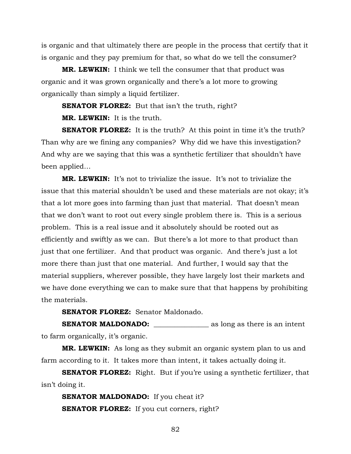is organic and that ultimately there are people in the process that certify that it is organic and they pay premium for that, so what do we tell the consumer?

**MR. LEWKIN:** I think we tell the consumer that that product was organic and it was grown organically and there's a lot more to growing organically than simply a liquid fertilizer.

**SENATOR FLOREZ:** But that isn't the truth, right?

**MR. LEWKIN:** It is the truth.

**SENATOR FLOREZ:** It is the truth? At this point in time it's the truth? Than why are we fining any companies? Why did we have this investigation? And why are we saying that this was a synthetic fertilizer that shouldn't have been applied…

**MR. LEWKIN:** It's not to trivialize the issue. It's not to trivialize the issue that this material shouldn't be used and these materials are not okay; it's that a lot more goes into farming than just that material. That doesn't mean that we don't want to root out every single problem there is. This is a serious problem. This is a real issue and it absolutely should be rooted out as efficiently and swiftly as we can. But there's a lot more to that product than just that one fertilizer. And that product was organic. And there's just a lot more there than just that one material. And further, I would say that the material suppliers, wherever possible, they have largely lost their markets and we have done everything we can to make sure that that happens by prohibiting the materials.

**SENATOR FLOREZ:** Senator Maldonado.

**SENATOR MALDONADO:** \_\_\_\_\_\_\_\_\_\_\_\_\_\_\_\_ as long as there is an intent to farm organically, it's organic.

**MR. LEWKIN:** As long as they submit an organic system plan to us and farm according to it. It takes more than intent, it takes actually doing it.

**SENATOR FLOREZ:** Right. But if you're using a synthetic fertilizer, that isn't doing it.

**SENATOR MALDONADO:** If you cheat it? **SENATOR FLOREZ:** If you cut corners, right?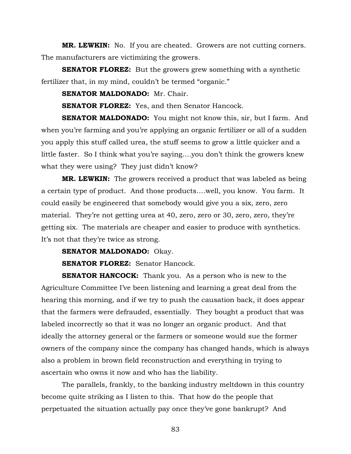**MR. LEWKIN:** No. If you are cheated. Growers are not cutting corners. The manufacturers are victimizing the growers.

**SENATOR FLOREZ:** But the growers grew something with a synthetic fertilizer that, in my mind, couldn't be termed "organic."

**SENATOR MALDONADO:** Mr. Chair.

**SENATOR FLOREZ:** Yes, and then Senator Hancock.

**SENATOR MALDONADO:** You might not know this, sir, but I farm. And when you're farming and you're applying an organic fertilizer or all of a sudden you apply this stuff called urea, the stuff seems to grow a little quicker and a little faster. So I think what you're saying….you don't think the growers knew what they were using? They just didn't know?

**MR. LEWKIN:** The growers received a product that was labeled as being a certain type of product. And those products….well, you know. You farm. It could easily be engineered that somebody would give you a six, zero, zero material. They're not getting urea at 40, zero, zero or 30, zero, zero, they're getting six. The materials are cheaper and easier to produce with synthetics. It's not that they're twice as strong.

**SENATOR MALDONADO:** Okay.

**SENATOR FLOREZ:** Senator Hancock.

**SENATOR HANCOCK:** Thank you. As a person who is new to the Agriculture Committee I've been listening and learning a great deal from the hearing this morning, and if we try to push the causation back, it does appear that the farmers were defrauded, essentially. They bought a product that was labeled incorrectly so that it was no longer an organic product. And that ideally the attorney general or the farmers or someone would sue the former owners of the company since the company has changed hands, which is always also a problem in brown field reconstruction and everything in trying to ascertain who owns it now and who has the liability.

The parallels, frankly, to the banking industry meltdown in this country become quite striking as I listen to this. That how do the people that perpetuated the situation actually pay once they've gone bankrupt? And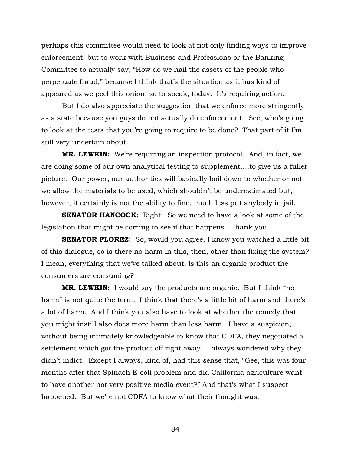perhaps this committee would need to look at not only finding ways to improve enforcement, but to work with Business and Professions or the Banking Committee to actually say, "How do we nail the assets of the people who perpetuate fraud," because I think that's the situation as it has kind of appeared as we peel this onion, so to speak, today. It's requiring action.

But I do also appreciate the suggestion that we enforce more stringently as a state because you guys do not actually do enforcement. See, who's going to look at the tests that you're going to require to be done? That part of it I'm still very uncertain about.

**MR. LEWKIN:** We're requiring an inspection protocol. And, in fact, we are doing some of our own analytical testing to supplement….to give us a fuller picture. Our power, our authorities will basically boil down to whether or not we allow the materials to be used, which shouldn't be underestimated but, however, it certainly is not the ability to fine, much less put anybody in jail.

**SENATOR HANCOCK:** Right. So we need to have a look at some of the legislation that might be coming to see if that happens. Thank you.

**SENATOR FLOREZ:** So, would you agree, I know you watched a little bit of this dialogue, so is there no harm in this, then, other than fixing the system? I mean, everything that we've talked about, is this an organic product the consumers are consuming?

**MR. LEWKIN:** I would say the products are organic. But I think "no harm" is not quite the term. I think that there's a little bit of harm and there's a lot of harm. And I think you also have to look at whether the remedy that you might instill also does more harm than less harm. I have a suspicion, without being intimately knowledgeable to know that CDFA, they negotiated a settlement which got the product off right away. I always wondered why they didn't indict. Except I always, kind of, had this sense that, "Gee, this was four months after that Spinach E-coli problem and did California agriculture want to have another not very positive media event?" And that's what I suspect happened. But we're not CDFA to know what their thought was.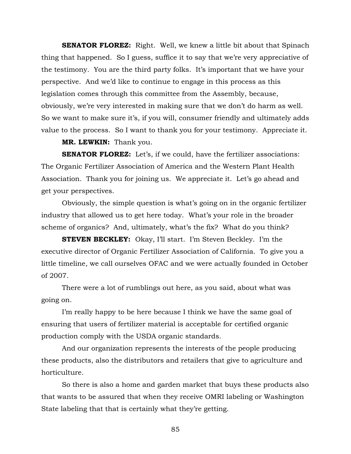**SENATOR FLOREZ:** Right. Well, we knew a little bit about that Spinach thing that happened. So I guess, suffice it to say that we're very appreciative of the testimony. You are the third party folks. It's important that we have your perspective. And we'd like to continue to engage in this process as this legislation comes through this committee from the Assembly, because, obviously, we're very interested in making sure that we don't do harm as well. So we want to make sure it's, if you will, consumer friendly and ultimately adds value to the process. So I want to thank you for your testimony. Appreciate it.

**MR. LEWKIN:** Thank you.

**SENATOR FLOREZ:** Let's, if we could, have the fertilizer associations: The Organic Fertilizer Association of America and the Western Plant Health Association. Thank you for joining us. We appreciate it. Let's go ahead and get your perspectives.

Obviously, the simple question is what's going on in the organic fertilizer industry that allowed us to get here today. What's your role in the broader scheme of organics? And, ultimately, what's the fix? What do you think?

**STEVEN BECKLEY:** Okay, I'll start. I'm Steven Beckley. I'm the executive director of Organic Fertilizer Association of California. To give you a little timeline, we call ourselves OFAC and we were actually founded in October of 2007.

There were a lot of rumblings out here, as you said, about what was going on.

I'm really happy to be here because I think we have the same goal of ensuring that users of fertilizer material is acceptable for certified organic production comply with the USDA organic standards.

And our organization represents the interests of the people producing these products, also the distributors and retailers that give to agriculture and horticulture.

So there is also a home and garden market that buys these products also that wants to be assured that when they receive OMRI labeling or Washington State labeling that that is certainly what they're getting.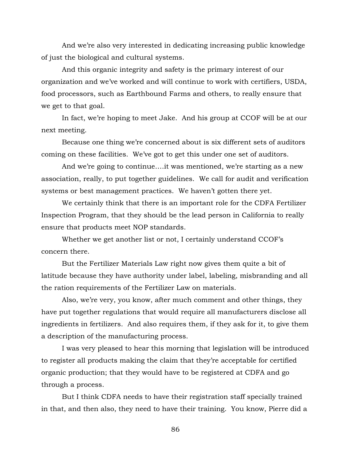And we're also very interested in dedicating increasing public knowledge of just the biological and cultural systems.

And this organic integrity and safety is the primary interest of our organization and we've worked and will continue to work with certifiers, USDA, food processors, such as Earthbound Farms and others, to really ensure that we get to that goal.

In fact, we're hoping to meet Jake. And his group at CCOF will be at our next meeting.

Because one thing we're concerned about is six different sets of auditors coming on these facilities. We've got to get this under one set of auditors.

And we're going to continue….it was mentioned, we're starting as a new association, really, to put together guidelines. We call for audit and verification systems or best management practices. We haven't gotten there yet.

We certainly think that there is an important role for the CDFA Fertilizer Inspection Program, that they should be the lead person in California to really ensure that products meet NOP standards.

Whether we get another list or not, I certainly understand CCOF's concern there.

But the Fertilizer Materials Law right now gives them quite a bit of latitude because they have authority under label, labeling, misbranding and all the ration requirements of the Fertilizer Law on materials.

Also, we're very, you know, after much comment and other things, they have put together regulations that would require all manufacturers disclose all ingredients in fertilizers. And also requires them, if they ask for it, to give them a description of the manufacturing process.

I was very pleased to hear this morning that legislation will be introduced to register all products making the claim that they're acceptable for certified organic production; that they would have to be registered at CDFA and go through a process.

But I think CDFA needs to have their registration staff specially trained in that, and then also, they need to have their training. You know, Pierre did a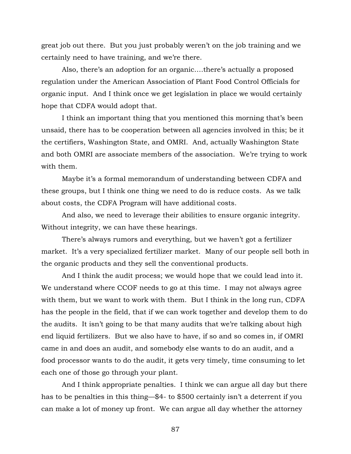great job out there. But you just probably weren't on the job training and we certainly need to have training, and we're there.

Also, there's an adoption for an organic….there's actually a proposed regulation under the American Association of Plant Food Control Officials for organic input. And I think once we get legislation in place we would certainly hope that CDFA would adopt that.

I think an important thing that you mentioned this morning that's been unsaid, there has to be cooperation between all agencies involved in this; be it the certifiers, Washington State, and OMRI. And, actually Washington State and both OMRI are associate members of the association. We're trying to work with them.

Maybe it's a formal memorandum of understanding between CDFA and these groups, but I think one thing we need to do is reduce costs. As we talk about costs, the CDFA Program will have additional costs.

And also, we need to leverage their abilities to ensure organic integrity. Without integrity, we can have these hearings.

There's always rumors and everything, but we haven't got a fertilizer market. It's a very specialized fertilizer market. Many of our people sell both in the organic products and they sell the conventional products.

And I think the audit process; we would hope that we could lead into it. We understand where CCOF needs to go at this time. I may not always agree with them, but we want to work with them. But I think in the long run, CDFA has the people in the field, that if we can work together and develop them to do the audits. It isn't going to be that many audits that we're talking about high end liquid fertilizers. But we also have to have, if so and so comes in, if OMRI came in and does an audit, and somebody else wants to do an audit, and a food processor wants to do the audit, it gets very timely, time consuming to let each one of those go through your plant.

And I think appropriate penalties. I think we can argue all day but there has to be penalties in this thing—\$4- to \$500 certainly isn't a deterrent if you can make a lot of money up front. We can argue all day whether the attorney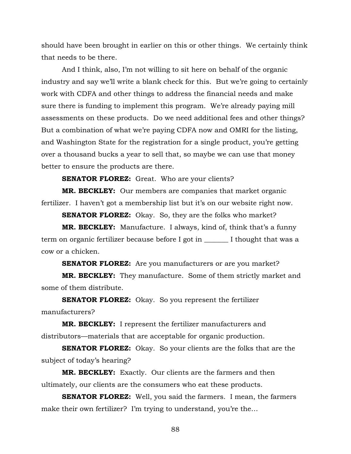should have been brought in earlier on this or other things. We certainly think that needs to be there.

And I think, also, I'm not willing to sit here on behalf of the organic industry and say we'll write a blank check for this. But we're going to certainly work with CDFA and other things to address the financial needs and make sure there is funding to implement this program. We're already paying mill assessments on these products. Do we need additional fees and other things? But a combination of what we're paying CDFA now and OMRI for the listing, and Washington State for the registration for a single product, you're getting over a thousand bucks a year to sell that, so maybe we can use that money better to ensure the products are there.

**SENATOR FLOREZ:** Great. Who are your clients?

**MR. BECKLEY:** Our members are companies that market organic fertilizer. I haven't got a membership list but it's on our website right now.

**SENATOR FLOREZ:** Okay. So, they are the folks who market?

**MR. BECKLEY:** Manufacture. I always, kind of, think that's a funny term on organic fertilizer because before I got in \_\_\_\_\_\_\_ I thought that was a cow or a chicken.

**SENATOR FLOREZ:** Are you manufacturers or are you market?

**MR. BECKLEY:** They manufacture. Some of them strictly market and some of them distribute.

**SENATOR FLOREZ:** Okay. So you represent the fertilizer manufacturers?

**MR. BECKLEY:** I represent the fertilizer manufacturers and distributors—materials that are acceptable for organic production.

**SENATOR FLOREZ:** Okay. So your clients are the folks that are the subject of today's hearing?

**MR. BECKLEY:** Exactly. Our clients are the farmers and then ultimately, our clients are the consumers who eat these products.

**SENATOR FLOREZ:** Well, you said the farmers. I mean, the farmers make their own fertilizer? I'm trying to understand, you're the…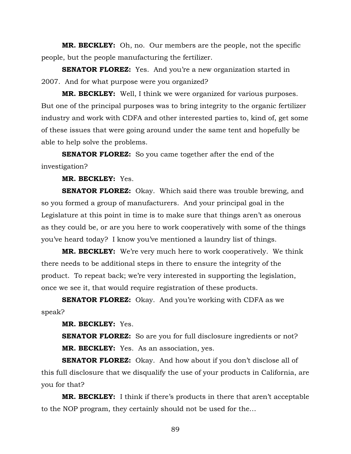**MR. BECKLEY:** Oh, no. Our members are the people, not the specific people, but the people manufacturing the fertilizer.

**SENATOR FLOREZ:** Yes. And you're a new organization started in 2007. And for what purpose were you organized?

**MR. BECKLEY:** Well, I think we were organized for various purposes. But one of the principal purposes was to bring integrity to the organic fertilizer industry and work with CDFA and other interested parties to, kind of, get some of these issues that were going around under the same tent and hopefully be able to help solve the problems.

**SENATOR FLOREZ:** So you came together after the end of the investigation?

**MR. BECKLEY:** Yes.

**SENATOR FLOREZ:** Okay. Which said there was trouble brewing, and so you formed a group of manufacturers. And your principal goal in the Legislature at this point in time is to make sure that things aren't as onerous as they could be, or are you here to work cooperatively with some of the things you've heard today? I know you've mentioned a laundry list of things.

**MR. BECKLEY:** We're very much here to work cooperatively. We think there needs to be additional steps in there to ensure the integrity of the product. To repeat back; we're very interested in supporting the legislation, once we see it, that would require registration of these products.

**SENATOR FLOREZ:** Okay. And you're working with CDFA as we speak?

**MR. BECKLEY:** Yes.

**SENATOR FLOREZ:** So are you for full disclosure ingredients or not? **MR. BECKLEY:** Yes. As an association, yes.

**SENATOR FLOREZ:** Okay. And how about if you don't disclose all of this full disclosure that we disqualify the use of your products in California, are you for that?

**MR. BECKLEY:** I think if there's products in there that aren't acceptable to the NOP program, they certainly should not be used for the…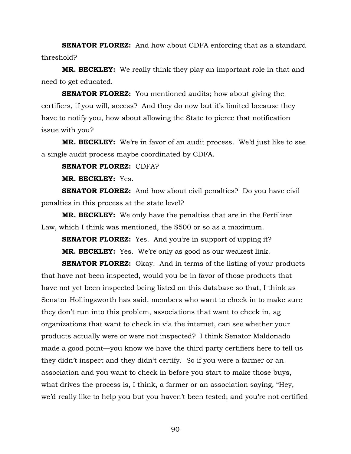**SENATOR FLOREZ:** And how about CDFA enforcing that as a standard threshold?

**MR. BECKLEY:** We really think they play an important role in that and need to get educated.

**SENATOR FLOREZ:** You mentioned audits; how about giving the certifiers, if you will, access? And they do now but it's limited because they have to notify you, how about allowing the State to pierce that notification issue with you?

**MR. BECKLEY:** We're in favor of an audit process. We'd just like to see a single audit process maybe coordinated by CDFA.

## **SENATOR FLOREZ:** CDFA?

**MR. BECKLEY:** Yes.

**SENATOR FLOREZ:** And how about civil penalties? Do you have civil penalties in this process at the state level?

**MR. BECKLEY:** We only have the penalties that are in the Fertilizer Law, which I think was mentioned, the \$500 or so as a maximum.

**SENATOR FLOREZ:** Yes. And you're in support of upping it? **MR. BECKLEY:** Yes. We're only as good as our weakest link.

**SENATOR FLOREZ:** Okay. And in terms of the listing of your products that have not been inspected, would you be in favor of those products that have not yet been inspected being listed on this database so that, I think as Senator Hollingsworth has said, members who want to check in to make sure they don't run into this problem, associations that want to check in, ag organizations that want to check in via the internet, can see whether your products actually were or were not inspected? I think Senator Maldonado made a good point—you know we have the third party certifiers here to tell us they didn't inspect and they didn't certify. So if you were a farmer or an association and you want to check in before you start to make those buys, what drives the process is, I think, a farmer or an association saying, "Hey, we'd really like to help you but you haven't been tested; and you're not certified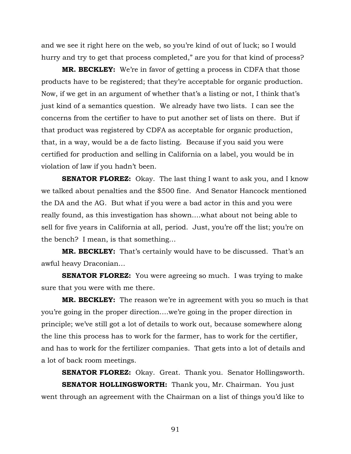and we see it right here on the web, so you're kind of out of luck; so I would hurry and try to get that process completed," are you for that kind of process?

**MR. BECKLEY:** We're in favor of getting a process in CDFA that those products have to be registered; that they're acceptable for organic production. Now, if we get in an argument of whether that's a listing or not, I think that's just kind of a semantics question. We already have two lists. I can see the concerns from the certifier to have to put another set of lists on there. But if that product was registered by CDFA as acceptable for organic production, that, in a way, would be a de facto listing. Because if you said you were certified for production and selling in California on a label, you would be in violation of law if you hadn't been.

**SENATOR FLOREZ:** Okay. The last thing I want to ask you, and I know we talked about penalties and the \$500 fine. And Senator Hancock mentioned the DA and the AG. But what if you were a bad actor in this and you were really found, as this investigation has shown….what about not being able to sell for five years in California at all, period. Just, you're off the list; you're on the bench? I mean, is that something…

**MR. BECKLEY:** That's certainly would have to be discussed. That's an awful heavy Draconian…

**SENATOR FLOREZ:** You were agreeing so much. I was trying to make sure that you were with me there.

**MR. BECKLEY:** The reason we're in agreement with you so much is that you're going in the proper direction….we're going in the proper direction in principle; we've still got a lot of details to work out, because somewhere along the line this process has to work for the farmer, has to work for the certifier, and has to work for the fertilizer companies. That gets into a lot of details and a lot of back room meetings.

**SENATOR FLOREZ:** Okay. Great. Thank you. Senator Hollingsworth. **SENATOR HOLLINGSWORTH:** Thank you, Mr. Chairman. You just went through an agreement with the Chairman on a list of things you'd like to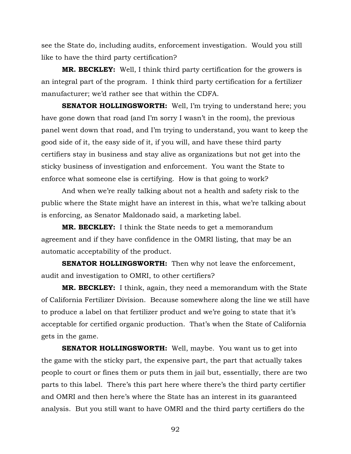see the State do, including audits, enforcement investigation. Would you still like to have the third party certification?

**MR. BECKLEY:** Well, I think third party certification for the growers is an integral part of the program. I think third party certification for a fertilizer manufacturer; we'd rather see that within the CDFA.

**SENATOR HOLLINGSWORTH:** Well, I'm trying to understand here; you have gone down that road (and I'm sorry I wasn't in the room), the previous panel went down that road, and I'm trying to understand, you want to keep the good side of it, the easy side of it, if you will, and have these third party certifiers stay in business and stay alive as organizations but not get into the sticky business of investigation and enforcement. You want the State to enforce what someone else is certifying. How is that going to work?

And when we're really talking about not a health and safety risk to the public where the State might have an interest in this, what we're talking about is enforcing, as Senator Maldonado said, a marketing label.

**MR. BECKLEY:** I think the State needs to get a memorandum agreement and if they have confidence in the OMRI listing, that may be an automatic acceptability of the product.

**SENATOR HOLLINGSWORTH:** Then why not leave the enforcement, audit and investigation to OMRI, to other certifiers?

**MR. BECKLEY:** I think, again, they need a memorandum with the State of California Fertilizer Division. Because somewhere along the line we still have to produce a label on that fertilizer product and we're going to state that it's acceptable for certified organic production. That's when the State of California gets in the game.

**SENATOR HOLLINGSWORTH:** Well, maybe. You want us to get into the game with the sticky part, the expensive part, the part that actually takes people to court or fines them or puts them in jail but, essentially, there are two parts to this label. There's this part here where there's the third party certifier and OMRI and then here's where the State has an interest in its guaranteed analysis. But you still want to have OMRI and the third party certifiers do the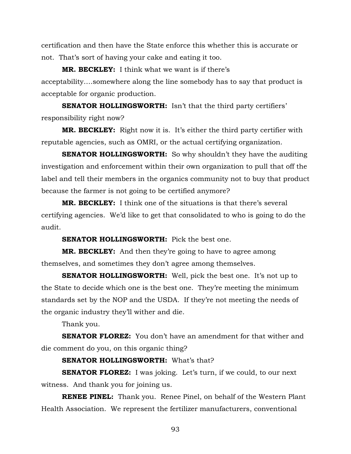certification and then have the State enforce this whether this is accurate or not. That's sort of having your cake and eating it too.

**MR. BECKLEY:** I think what we want is if there's acceptability….somewhere along the line somebody has to say that product is acceptable for organic production.

**SENATOR HOLLINGSWORTH:** Isn't that the third party certifiers' responsibility right now?

**MR. BECKLEY:** Right now it is. It's either the third party certifier with reputable agencies, such as OMRI, or the actual certifying organization.

**SENATOR HOLLINGSWORTH:** So why shouldn't they have the auditing investigation and enforcement within their own organization to pull that off the label and tell their members in the organics community not to buy that product because the farmer is not going to be certified anymore?

**MR. BECKLEY:** I think one of the situations is that there's several certifying agencies. We'd like to get that consolidated to who is going to do the audit.

**SENATOR HOLLINGSWORTH:** Pick the best one.

**MR. BECKLEY:** And then they're going to have to agree among themselves, and sometimes they don't agree among themselves.

**SENATOR HOLLINGSWORTH:** Well, pick the best one. It's not up to the State to decide which one is the best one. They're meeting the minimum standards set by the NOP and the USDA. If they're not meeting the needs of the organic industry they'll wither and die.

Thank you.

**SENATOR FLOREZ:** You don't have an amendment for that wither and die comment do you, on this organic thing?

## **SENATOR HOLLINGSWORTH:** What's that?

**SENATOR FLOREZ:** I was joking. Let's turn, if we could, to our next witness. And thank you for joining us.

**RENEE PINEL:** Thank you. Renee Pinel, on behalf of the Western Plant Health Association. We represent the fertilizer manufacturers, conventional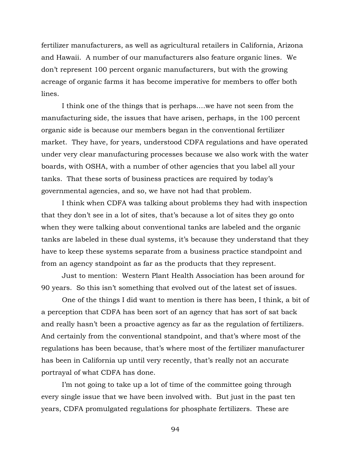fertilizer manufacturers, as well as agricultural retailers in California, Arizona and Hawaii. A number of our manufacturers also feature organic lines. We don't represent 100 percent organic manufacturers, but with the growing acreage of organic farms it has become imperative for members to offer both lines.

I think one of the things that is perhaps….we have not seen from the manufacturing side, the issues that have arisen, perhaps, in the 100 percent organic side is because our members began in the conventional fertilizer market. They have, for years, understood CDFA regulations and have operated under very clear manufacturing processes because we also work with the water boards, with OSHA, with a number of other agencies that you label all your tanks. That these sorts of business practices are required by today's governmental agencies, and so, we have not had that problem.

I think when CDFA was talking about problems they had with inspection that they don't see in a lot of sites, that's because a lot of sites they go onto when they were talking about conventional tanks are labeled and the organic tanks are labeled in these dual systems, it's because they understand that they have to keep these systems separate from a business practice standpoint and from an agency standpoint as far as the products that they represent.

Just to mention: Western Plant Health Association has been around for 90 years. So this isn't something that evolved out of the latest set of issues.

One of the things I did want to mention is there has been, I think, a bit of a perception that CDFA has been sort of an agency that has sort of sat back and really hasn't been a proactive agency as far as the regulation of fertilizers. And certainly from the conventional standpoint, and that's where most of the regulations has been because, that's where most of the fertilizer manufacturer has been in California up until very recently, that's really not an accurate portrayal of what CDFA has done.

I'm not going to take up a lot of time of the committee going through every single issue that we have been involved with. But just in the past ten years, CDFA promulgated regulations for phosphate fertilizers. These are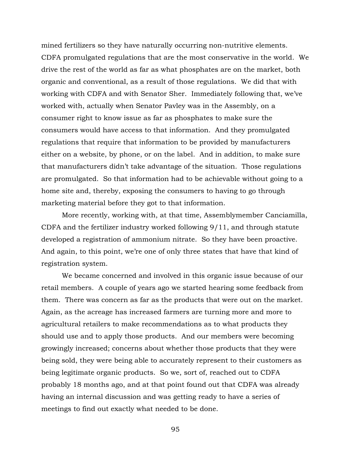mined fertilizers so they have naturally occurring non-nutritive elements. CDFA promulgated regulations that are the most conservative in the world. We drive the rest of the world as far as what phosphates are on the market, both organic and conventional, as a result of those regulations. We did that with working with CDFA and with Senator Sher. Immediately following that, we've worked with, actually when Senator Pavley was in the Assembly, on a consumer right to know issue as far as phosphates to make sure the consumers would have access to that information. And they promulgated regulations that require that information to be provided by manufacturers either on a website, by phone, or on the label. And in addition, to make sure that manufacturers didn't take advantage of the situation. Those regulations are promulgated. So that information had to be achievable without going to a home site and, thereby, exposing the consumers to having to go through marketing material before they got to that information.

More recently, working with, at that time, Assemblymember Canciamilla, CDFA and the fertilizer industry worked following 9/11, and through statute developed a registration of ammonium nitrate. So they have been proactive. And again, to this point, we're one of only three states that have that kind of registration system.

We became concerned and involved in this organic issue because of our retail members. A couple of years ago we started hearing some feedback from them. There was concern as far as the products that were out on the market. Again, as the acreage has increased farmers are turning more and more to agricultural retailers to make recommendations as to what products they should use and to apply those products. And our members were becoming growingly increased; concerns about whether those products that they were being sold, they were being able to accurately represent to their customers as being legitimate organic products. So we, sort of, reached out to CDFA probably 18 months ago, and at that point found out that CDFA was already having an internal discussion and was getting ready to have a series of meetings to find out exactly what needed to be done.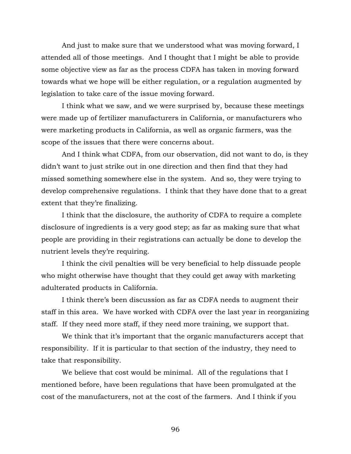And just to make sure that we understood what was moving forward, I attended all of those meetings. And I thought that I might be able to provide some objective view as far as the process CDFA has taken in moving forward towards what we hope will be either regulation, or a regulation augmented by legislation to take care of the issue moving forward.

I think what we saw, and we were surprised by, because these meetings were made up of fertilizer manufacturers in California, or manufacturers who were marketing products in California, as well as organic farmers, was the scope of the issues that there were concerns about.

And I think what CDFA, from our observation, did not want to do, is they didn't want to just strike out in one direction and then find that they had missed something somewhere else in the system. And so, they were trying to develop comprehensive regulations. I think that they have done that to a great extent that they're finalizing.

I think that the disclosure, the authority of CDFA to require a complete disclosure of ingredients is a very good step; as far as making sure that what people are providing in their registrations can actually be done to develop the nutrient levels they're requiring.

I think the civil penalties will be very beneficial to help dissuade people who might otherwise have thought that they could get away with marketing adulterated products in California.

I think there's been discussion as far as CDFA needs to augment their staff in this area. We have worked with CDFA over the last year in reorganizing staff. If they need more staff, if they need more training, we support that.

We think that it's important that the organic manufacturers accept that responsibility. If it is particular to that section of the industry, they need to take that responsibility.

We believe that cost would be minimal. All of the regulations that I mentioned before, have been regulations that have been promulgated at the cost of the manufacturers, not at the cost of the farmers. And I think if you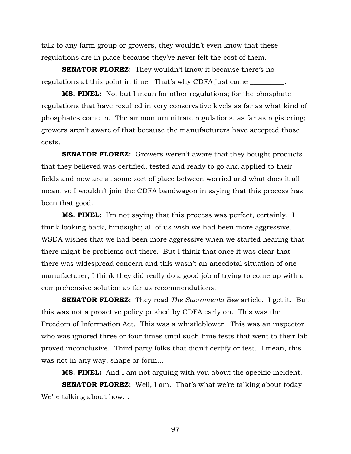talk to any farm group or growers, they wouldn't even know that these regulations are in place because they've never felt the cost of them.

**SENATOR FLOREZ:** They wouldn't know it because there's no regulations at this point in time. That's why CDFA just came  $\equiv$ 

**MS. PINEL:** No, but I mean for other regulations; for the phosphate regulations that have resulted in very conservative levels as far as what kind of phosphates come in. The ammonium nitrate regulations, as far as registering; growers aren't aware of that because the manufacturers have accepted those costs.

**SENATOR FLOREZ:** Growers weren't aware that they bought products that they believed was certified, tested and ready to go and applied to their fields and now are at some sort of place between worried and what does it all mean, so I wouldn't join the CDFA bandwagon in saying that this process has been that good.

**MS. PINEL:** I'm not saying that this process was perfect, certainly. I think looking back, hindsight; all of us wish we had been more aggressive. WSDA wishes that we had been more aggressive when we started hearing that there might be problems out there. But I think that once it was clear that there was widespread concern and this wasn't an anecdotal situation of one manufacturer, I think they did really do a good job of trying to come up with a comprehensive solution as far as recommendations.

**SENATOR FLOREZ:** They read *The Sacramento Bee* article. I get it. But this was not a proactive policy pushed by CDFA early on. This was the Freedom of Information Act. This was a whistleblower. This was an inspector who was ignored three or four times until such time tests that went to their lab proved inconclusive. Third party folks that didn't certify or test. I mean, this was not in any way, shape or form…

**MS. PINEL:** And I am not arguing with you about the specific incident.

**SENATOR FLOREZ:** Well, I am. That's what we're talking about today. We're talking about how…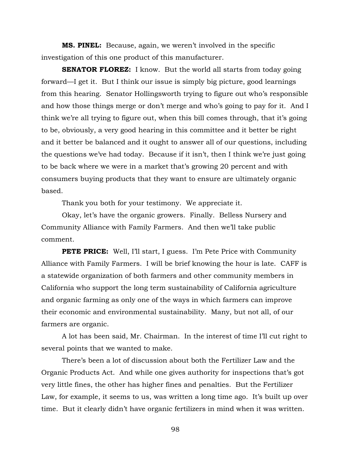**MS. PINEL:** Because, again, we weren't involved in the specific investigation of this one product of this manufacturer.

**SENATOR FLOREZ:** I know. But the world all starts from today going forward—I get it. But I think our issue is simply big picture, good learnings from this hearing. Senator Hollingsworth trying to figure out who's responsible and how those things merge or don't merge and who's going to pay for it. And I think we're all trying to figure out, when this bill comes through, that it's going to be, obviously, a very good hearing in this committee and it better be right and it better be balanced and it ought to answer all of our questions, including the questions we've had today. Because if it isn't, then I think we're just going to be back where we were in a market that's growing 20 percent and with consumers buying products that they want to ensure are ultimately organic based.

Thank you both for your testimony. We appreciate it.

Okay, let's have the organic growers. Finally. Belless Nursery and Community Alliance with Family Farmers. And then we'll take public comment.

**PETE PRICE:** Well, I'll start, I guess. I'm Pete Price with Community Alliance with Family Farmers. I will be brief knowing the hour is late. CAFF is a statewide organization of both farmers and other community members in California who support the long term sustainability of California agriculture and organic farming as only one of the ways in which farmers can improve their economic and environmental sustainability. Many, but not all, of our farmers are organic.

A lot has been said, Mr. Chairman. In the interest of time I'll cut right to several points that we wanted to make.

There's been a lot of discussion about both the Fertilizer Law and the Organic Products Act. And while one gives authority for inspections that's got very little fines, the other has higher fines and penalties. But the Fertilizer Law, for example, it seems to us, was written a long time ago. It's built up over time. But it clearly didn't have organic fertilizers in mind when it was written.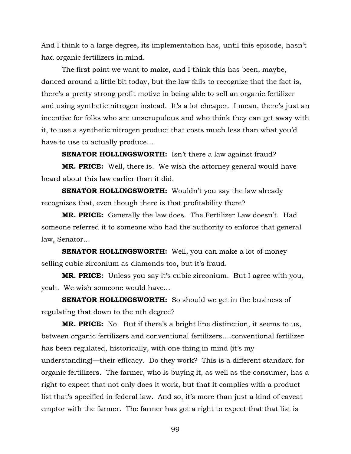And I think to a large degree, its implementation has, until this episode, hasn't had organic fertilizers in mind.

The first point we want to make, and I think this has been, maybe, danced around a little bit today, but the law fails to recognize that the fact is, there's a pretty strong profit motive in being able to sell an organic fertilizer and using synthetic nitrogen instead. It's a lot cheaper. I mean, there's just an incentive for folks who are unscrupulous and who think they can get away with it, to use a synthetic nitrogen product that costs much less than what you'd have to use to actually produce…

**SENATOR HOLLINGSWORTH:** Isn't there a law against fraud?

**MR. PRICE:** Well, there is. We wish the attorney general would have heard about this law earlier than it did.

**SENATOR HOLLINGSWORTH:** Wouldn't you say the law already recognizes that, even though there is that profitability there?

**MR. PRICE:** Generally the law does. The Fertilizer Law doesn't. Had someone referred it to someone who had the authority to enforce that general law, Senator…

**SENATOR HOLLINGSWORTH:** Well, you can make a lot of money selling cubic zirconium as diamonds too, but it's fraud.

**MR. PRICE:** Unless you say it's cubic zirconium. But I agree with you, yeah. We wish someone would have…

**SENATOR HOLLINGSWORTH:** So should we get in the business of regulating that down to the nth degree?

**MR. PRICE:** No. But if there's a bright line distinction, it seems to us, between organic fertilizers and conventional fertilizers….conventional fertilizer has been regulated, historically, with one thing in mind (it's my understanding)—their efficacy. Do they work? This is a different standard for organic fertilizers. The farmer, who is buying it, as well as the consumer, has a right to expect that not only does it work, but that it complies with a product list that's specified in federal law. And so, it's more than just a kind of caveat emptor with the farmer. The farmer has got a right to expect that that list is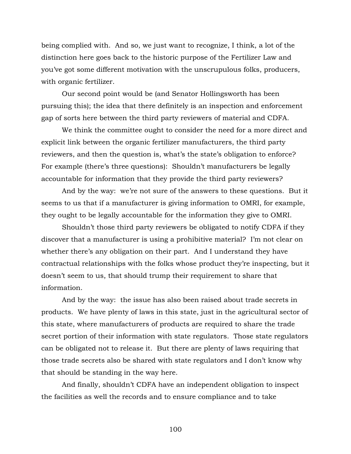being complied with. And so, we just want to recognize, I think, a lot of the distinction here goes back to the historic purpose of the Fertilizer Law and you've got some different motivation with the unscrupulous folks, producers, with organic fertilizer.

Our second point would be (and Senator Hollingsworth has been pursuing this); the idea that there definitely is an inspection and enforcement gap of sorts here between the third party reviewers of material and CDFA.

We think the committee ought to consider the need for a more direct and explicit link between the organic fertilizer manufacturers, the third party reviewers, and then the question is, what's the state's obligation to enforce? For example (there's three questions): Shouldn't manufacturers be legally accountable for information that they provide the third party reviewers?

And by the way: we're not sure of the answers to these questions. But it seems to us that if a manufacturer is giving information to OMRI, for example, they ought to be legally accountable for the information they give to OMRI.

Shouldn't those third party reviewers be obligated to notify CDFA if they discover that a manufacturer is using a prohibitive material? I'm not clear on whether there's any obligation on their part. And I understand they have contractual relationships with the folks whose product they're inspecting, but it doesn't seem to us, that should trump their requirement to share that information.

And by the way: the issue has also been raised about trade secrets in products. We have plenty of laws in this state, just in the agricultural sector of this state, where manufacturers of products are required to share the trade secret portion of their information with state regulators. Those state regulators can be obligated not to release it. But there are plenty of laws requiring that those trade secrets also be shared with state regulators and I don't know why that should be standing in the way here.

And finally, shouldn't CDFA have an independent obligation to inspect the facilities as well the records and to ensure compliance and to take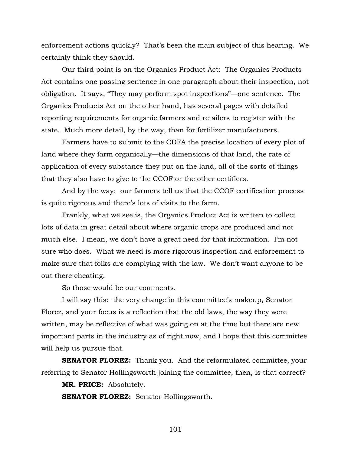enforcement actions quickly? That's been the main subject of this hearing. We certainly think they should.

Our third point is on the Organics Product Act: The Organics Products Act contains one passing sentence in one paragraph about their inspection, not obligation. It says, "They may perform spot inspections"—one sentence. The Organics Products Act on the other hand, has several pages with detailed reporting requirements for organic farmers and retailers to register with the state. Much more detail, by the way, than for fertilizer manufacturers.

Farmers have to submit to the CDFA the precise location of every plot of land where they farm organically—the dimensions of that land, the rate of application of every substance they put on the land, all of the sorts of things that they also have to give to the CCOF or the other certifiers.

And by the way: our farmers tell us that the CCOF certification process is quite rigorous and there's lots of visits to the farm.

Frankly, what we see is, the Organics Product Act is written to collect lots of data in great detail about where organic crops are produced and not much else. I mean, we don't have a great need for that information. I'm not sure who does. What we need is more rigorous inspection and enforcement to make sure that folks are complying with the law. We don't want anyone to be out there cheating.

So those would be our comments.

I will say this: the very change in this committee's makeup, Senator Florez, and your focus is a reflection that the old laws, the way they were written, may be reflective of what was going on at the time but there are new important parts in the industry as of right now, and I hope that this committee will help us pursue that.

**SENATOR FLOREZ:** Thank you. And the reformulated committee, your referring to Senator Hollingsworth joining the committee, then, is that correct?

**MR. PRICE:** Absolutely.

**SENATOR FLOREZ:** Senator Hollingsworth.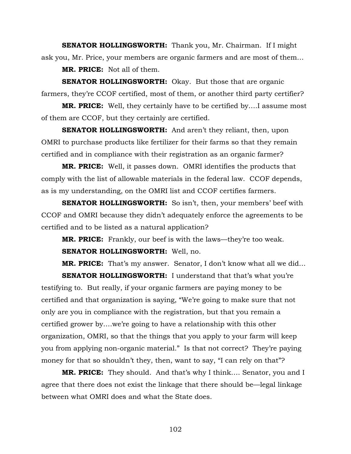**SENATOR HOLLINGSWORTH:** Thank you, Mr. Chairman. If I might ask you, Mr. Price, your members are organic farmers and are most of them…

**MR. PRICE:** Not all of them.

**SENATOR HOLLINGSWORTH:** Okay. But those that are organic farmers, they're CCOF certified, most of them, or another third party certifier?

**MR. PRICE:** Well, they certainly have to be certified by….I assume most of them are CCOF, but they certainly are certified.

**SENATOR HOLLINGSWORTH:** And aren't they reliant, then, upon OMRI to purchase products like fertilizer for their farms so that they remain certified and in compliance with their registration as an organic farmer?

**MR. PRICE:** Well, it passes down. OMRI identifies the products that comply with the list of allowable materials in the federal law. CCOF depends, as is my understanding, on the OMRI list and CCOF certifies farmers.

**SENATOR HOLLINGSWORTH:** So isn't, then, your members' beef with CCOF and OMRI because they didn't adequately enforce the agreements to be certified and to be listed as a natural application?

**MR. PRICE:** Frankly, our beef is with the laws—they're too weak. **SENATOR HOLLINGSWORTH:** Well, no.

**MR. PRICE:** That's my answer. Senator, I don't know what all we did…

**SENATOR HOLLINGSWORTH:** I understand that that's what you're testifying to. But really, if your organic farmers are paying money to be certified and that organization is saying, "We're going to make sure that not only are you in compliance with the registration, but that you remain a certified grower by….we're going to have a relationship with this other organization, OMRI, so that the things that you apply to your farm will keep you from applying non-organic material." Is that not correct? They're paying money for that so shouldn't they, then, want to say, "I can rely on that"?

**MR. PRICE:** They should. And that's why I think…. Senator, you and I agree that there does not exist the linkage that there should be—legal linkage between what OMRI does and what the State does.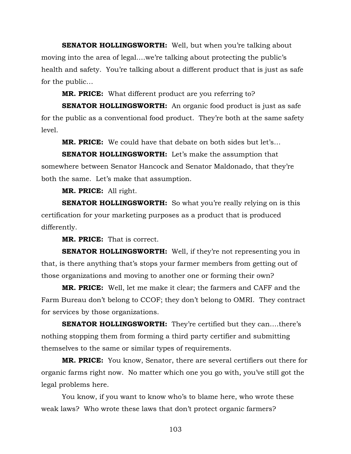**SENATOR HOLLINGSWORTH:** Well, but when you're talking about moving into the area of legal….we're talking about protecting the public's health and safety. You're talking about a different product that is just as safe for the public…

**MR. PRICE:** What different product are you referring to?

**SENATOR HOLLINGSWORTH:** An organic food product is just as safe for the public as a conventional food product. They're both at the same safety level.

**MR. PRICE:** We could have that debate on both sides but let's…

**SENATOR HOLLINGSWORTH:** Let's make the assumption that somewhere between Senator Hancock and Senator Maldonado, that they're both the same. Let's make that assumption.

**MR. PRICE:** All right.

**SENATOR HOLLINGSWORTH:** So what you're really relying on is this certification for your marketing purposes as a product that is produced differently.

**MR. PRICE:** That is correct.

**SENATOR HOLLINGSWORTH:** Well, if they're not representing you in that, is there anything that's stops your farmer members from getting out of those organizations and moving to another one or forming their own?

**MR. PRICE:** Well, let me make it clear; the farmers and CAFF and the Farm Bureau don't belong to CCOF; they don't belong to OMRI. They contract for services by those organizations.

**SENATOR HOLLINGSWORTH:** They're certified but they can....there's nothing stopping them from forming a third party certifier and submitting themselves to the same or similar types of requirements.

**MR. PRICE:** You know, Senator, there are several certifiers out there for organic farms right now. No matter which one you go with, you've still got the legal problems here.

You know, if you want to know who's to blame here, who wrote these weak laws? Who wrote these laws that don't protect organic farmers?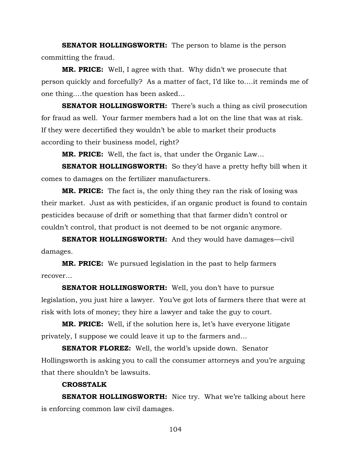**SENATOR HOLLINGSWORTH:** The person to blame is the person committing the fraud.

**MR. PRICE:** Well, I agree with that. Why didn't we prosecute that person quickly and forcefully? As a matter of fact, I'd like to….it reminds me of one thing….the question has been asked…

**SENATOR HOLLINGSWORTH:** There's such a thing as civil prosecution for fraud as well. Your farmer members had a lot on the line that was at risk. If they were decertified they wouldn't be able to market their products according to their business model, right?

**MR. PRICE:** Well, the fact is, that under the Organic Law…

**SENATOR HOLLINGSWORTH:** So they'd have a pretty hefty bill when it comes to damages on the fertilizer manufacturers.

**MR. PRICE:** The fact is, the only thing they ran the risk of losing was their market. Just as with pesticides, if an organic product is found to contain pesticides because of drift or something that that farmer didn't control or couldn't control, that product is not deemed to be not organic anymore.

**SENATOR HOLLINGSWORTH:** And they would have damages—civil damages.

**MR. PRICE:** We pursued legislation in the past to help farmers recover…

**SENATOR HOLLINGSWORTH:** Well, you don't have to pursue legislation, you just hire a lawyer. You've got lots of farmers there that were at risk with lots of money; they hire a lawyer and take the guy to court.

**MR. PRICE:** Well, if the solution here is, let's have everyone litigate privately, I suppose we could leave it up to the farmers and…

**SENATOR FLOREZ:** Well, the world's upside down. Senator Hollingsworth is asking you to call the consumer attorneys and you're arguing that there shouldn't be lawsuits.

## **CROSSTALK**

**SENATOR HOLLINGSWORTH:** Nice try. What we're talking about here is enforcing common law civil damages.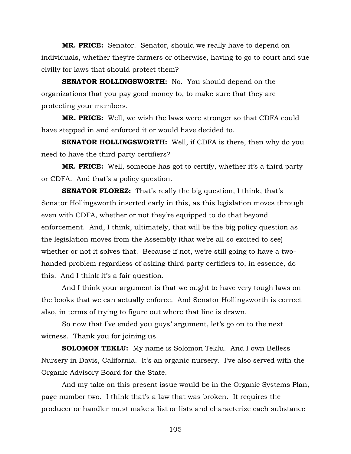**MR. PRICE:** Senator. Senator, should we really have to depend on individuals, whether they're farmers or otherwise, having to go to court and sue civilly for laws that should protect them?

**SENATOR HOLLINGSWORTH:** No. You should depend on the organizations that you pay good money to, to make sure that they are protecting your members.

**MR. PRICE:** Well, we wish the laws were stronger so that CDFA could have stepped in and enforced it or would have decided to.

**SENATOR HOLLINGSWORTH:** Well, if CDFA is there, then why do you need to have the third party certifiers?

**MR. PRICE:** Well, someone has got to certify, whether it's a third party or CDFA. And that's a policy question.

**SENATOR FLOREZ:** That's really the big question, I think, that's Senator Hollingsworth inserted early in this, as this legislation moves through even with CDFA, whether or not they're equipped to do that beyond enforcement. And, I think, ultimately, that will be the big policy question as the legislation moves from the Assembly (that we're all so excited to see) whether or not it solves that. Because if not, we're still going to have a twohanded problem regardless of asking third party certifiers to, in essence, do this. And I think it's a fair question.

And I think your argument is that we ought to have very tough laws on the books that we can actually enforce. And Senator Hollingsworth is correct also, in terms of trying to figure out where that line is drawn.

So now that I've ended you guys' argument, let's go on to the next witness. Thank you for joining us.

**SOLOMON TEKLU:** My name is Solomon Teklu. And I own Belless Nursery in Davis, California. It's an organic nursery. I've also served with the Organic Advisory Board for the State.

And my take on this present issue would be in the Organic Systems Plan, page number two. I think that's a law that was broken. It requires the producer or handler must make a list or lists and characterize each substance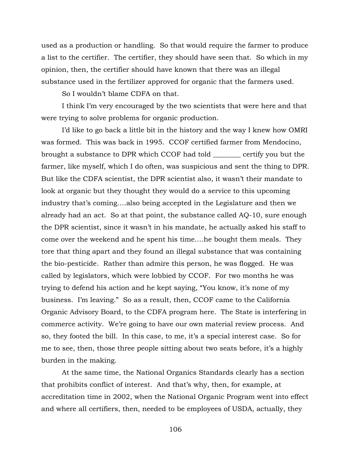used as a production or handling. So that would require the farmer to produce a list to the certifier. The certifier, they should have seen that. So which in my opinion, then, the certifier should have known that there was an illegal substance used in the fertilizer approved for organic that the farmers used.

So I wouldn't blame CDFA on that.

I think I'm very encouraged by the two scientists that were here and that were trying to solve problems for organic production.

I'd like to go back a little bit in the history and the way I knew how OMRI was formed. This was back in 1995. CCOF certified farmer from Mendocino, brought a substance to DPR which CCOF had told \_\_\_\_\_\_\_\_ certify you but the farmer, like myself, which I do often, was suspicious and sent the thing to DPR. But like the CDFA scientist, the DPR scientist also, it wasn't their mandate to look at organic but they thought they would do a service to this upcoming industry that's coming….also being accepted in the Legislature and then we already had an act. So at that point, the substance called AQ-10, sure enough the DPR scientist, since it wasn't in his mandate, he actually asked his staff to come over the weekend and he spent his time….he bought them meals. They tore that thing apart and they found an illegal substance that was containing the bio-pesticide. Rather than admire this person, he was flogged. He was called by legislators, which were lobbied by CCOF. For two months he was trying to defend his action and he kept saying, "You know, it's none of my business. I'm leaving." So as a result, then, CCOF came to the California Organic Advisory Board, to the CDFA program here. The State is interfering in commerce activity. We're going to have our own material review process. And so, they footed the bill. In this case, to me, it's a special interest case. So for me to see, then, those three people sitting about two seats before, it's a highly burden in the making.

At the same time, the National Organics Standards clearly has a section that prohibits conflict of interest. And that's why, then, for example, at accreditation time in 2002, when the National Organic Program went into effect and where all certifiers, then, needed to be employees of USDA, actually, they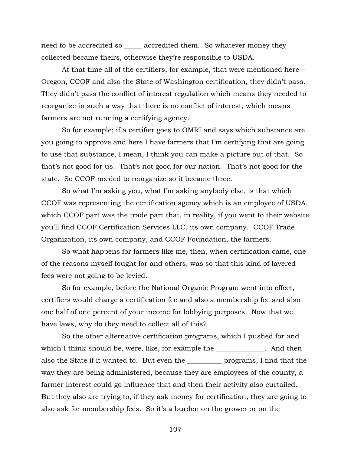need to be accredited so \_\_\_\_\_ accredited them. So whatever money they collected became theirs, otherwise they're responsible to USDA.

At that time all of the certifiers, for example, that were mentioned here— Oregon, CCOF and also the State of Washington certification, they didn't pass. They didn't pass the conflict of interest regulation which means they needed to reorganize in such a way that there is no conflict of interest, which means farmers are not running a certifying agency.

So for example; if a certifier goes to OMRI and says which substance are you going to approve and here I have farmers that I'm certifying that are going to use that substance, I mean, I think you can make a picture out of that. So that's not good for us. That's not good for our nation. That's not good for the state. So CCOF needed to reorganize so it became three.

So what I'm asking you, what I'm asking anybody else, is that which CCOF was representing the certification agency which is an employee of USDA, which CCOF part was the trade part that, in reality, if you went to their website you'll find CCOF Certification Services LLC, its own company. CCOF Trade Organization, its own company, and CCOF Foundation, the farmers.

So what happens for farmers like me, then, when certification came, one of the reasons myself fought for and others, was so that this kind of layered fees were not going to be levied.

So for example, before the National Organic Program went into effect, certifiers would charge a certification fee and also a membership fee and also one half of one percent of your income for lobbying purposes. Now that we have laws, why do they need to collect all of this?

So the other alternative certification programs, which I pushed for and which I think should be, were, like, for example the \_\_\_\_\_\_\_\_\_\_\_\_. And then also the State if it wanted to. But even the \_\_\_\_\_\_\_\_\_\_ programs, I find that the way they are being administered, because they are employees of the county, a farmer interest could go influence that and then their activity also curtailed. But they also are trying to, if they ask money for certification, they are going to also ask for membership fees. So it's a burden on the grower or on the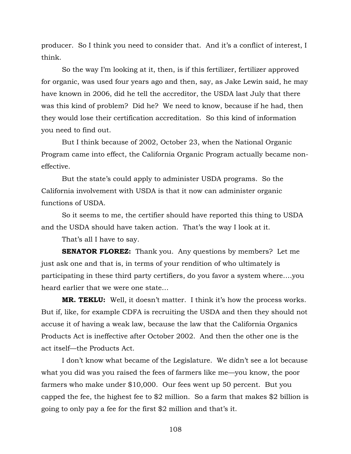producer. So I think you need to consider that. And it's a conflict of interest, I think.

So the way I'm looking at it, then, is if this fertilizer, fertilizer approved for organic, was used four years ago and then, say, as Jake Lewin said, he may have known in 2006, did he tell the accreditor, the USDA last July that there was this kind of problem? Did he? We need to know, because if he had, then they would lose their certification accreditation. So this kind of information you need to find out.

But I think because of 2002, October 23, when the National Organic Program came into effect, the California Organic Program actually became noneffective.

But the state's could apply to administer USDA programs. So the California involvement with USDA is that it now can administer organic functions of USDA.

So it seems to me, the certifier should have reported this thing to USDA and the USDA should have taken action. That's the way I look at it.

That's all I have to say.

**SENATOR FLOREZ:** Thank you. Any questions by members? Let me just ask one and that is, in terms of your rendition of who ultimately is participating in these third party certifiers, do you favor a system where….you heard earlier that we were one state…

**MR. TEKLU:** Well, it doesn't matter. I think it's how the process works. But if, like, for example CDFA is recruiting the USDA and then they should not accuse it of having a weak law, because the law that the California Organics Products Act is ineffective after October 2002. And then the other one is the act itself—the Products Act.

I don't know what became of the Legislature. We didn't see a lot because what you did was you raised the fees of farmers like me—you know, the poor farmers who make under \$10,000. Our fees went up 50 percent. But you capped the fee, the highest fee to \$2 million. So a farm that makes \$2 billion is going to only pay a fee for the first \$2 million and that's it.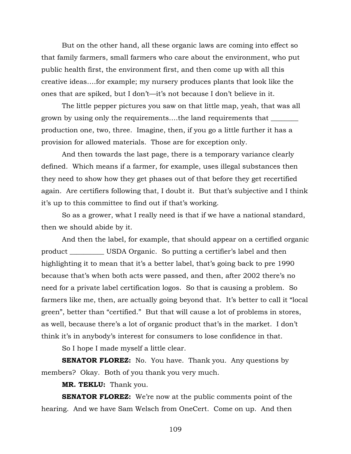But on the other hand, all these organic laws are coming into effect so that family farmers, small farmers who care about the environment, who put public health first, the environment first, and then come up with all this creative ideas….for example; my nursery produces plants that look like the ones that are spiked, but I don't—it's not because I don't believe in it.

The little pepper pictures you saw on that little map, yeah, that was all grown by using only the requirements....the land requirements that \_\_\_\_\_\_\_\_\_\_\_\_ production one, two, three. Imagine, then, if you go a little further it has a provision for allowed materials. Those are for exception only.

And then towards the last page, there is a temporary variance clearly defined. Which means if a farmer, for example, uses illegal substances then they need to show how they get phases out of that before they get recertified again. Are certifiers following that, I doubt it. But that's subjective and I think it's up to this committee to find out if that's working.

So as a grower, what I really need is that if we have a national standard, then we should abide by it.

And then the label, for example, that should appear on a certified organic product \_\_\_\_\_\_\_\_\_\_ USDA Organic. So putting a certifier's label and then highlighting it to mean that it's a better label, that's going back to pre 1990 because that's when both acts were passed, and then, after 2002 there's no need for a private label certification logos. So that is causing a problem. So farmers like me, then, are actually going beyond that. It's better to call it "local green", better than "certified." But that will cause a lot of problems in stores, as well, because there's a lot of organic product that's in the market. I don't think it's in anybody's interest for consumers to lose confidence in that.

So I hope I made myself a little clear.

**SENATOR FLOREZ:** No. You have. Thank you. Any questions by members? Okay. Both of you thank you very much.

**MR. TEKLU:** Thank you.

**SENATOR FLOREZ:** We're now at the public comments point of the hearing. And we have Sam Welsch from OneCert. Come on up. And then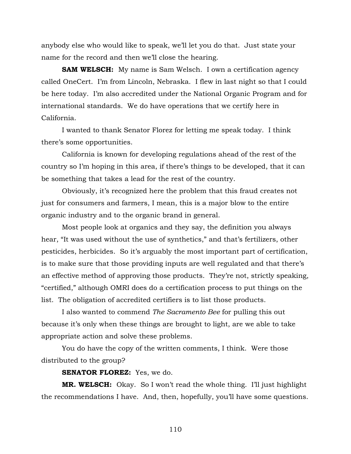anybody else who would like to speak, we'll let you do that. Just state your name for the record and then we'll close the hearing.

**SAM WELSCH:** My name is Sam Welsch. I own a certification agency called OneCert. I'm from Lincoln, Nebraska. I flew in last night so that I could be here today. I'm also accredited under the National Organic Program and for international standards. We do have operations that we certify here in California.

I wanted to thank Senator Florez for letting me speak today. I think there's some opportunities.

California is known for developing regulations ahead of the rest of the country so I'm hoping in this area, if there's things to be developed, that it can be something that takes a lead for the rest of the country.

Obviously, it's recognized here the problem that this fraud creates not just for consumers and farmers, I mean, this is a major blow to the entire organic industry and to the organic brand in general.

Most people look at organics and they say, the definition you always hear, "It was used without the use of synthetics," and that's fertilizers, other pesticides, herbicides. So it's arguably the most important part of certification, is to make sure that those providing inputs are well regulated and that there's an effective method of approving those products. They're not, strictly speaking, "certified," although OMRI does do a certification process to put things on the list. The obligation of accredited certifiers is to list those products.

I also wanted to commend *The Sacramento Bee* for pulling this out because it's only when these things are brought to light, are we able to take appropriate action and solve these problems.

You do have the copy of the written comments, I think. Were those distributed to the group?

**SENATOR FLOREZ:** Yes, we do.

**MR. WELSCH:** Okay. So I won't read the whole thing. I'll just highlight the recommendations I have. And, then, hopefully, you'll have some questions.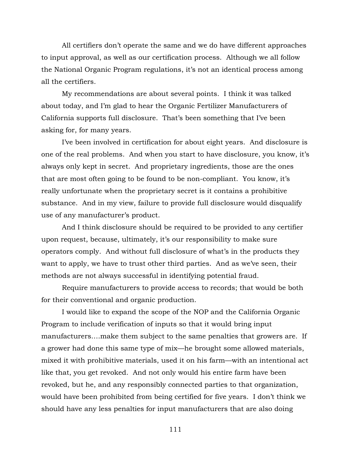All certifiers don't operate the same and we do have different approaches to input approval, as well as our certification process. Although we all follow the National Organic Program regulations, it's not an identical process among all the certifiers.

My recommendations are about several points. I think it was talked about today, and I'm glad to hear the Organic Fertilizer Manufacturers of California supports full disclosure. That's been something that I've been asking for, for many years.

I've been involved in certification for about eight years. And disclosure is one of the real problems. And when you start to have disclosure, you know, it's always only kept in secret. And proprietary ingredients, those are the ones that are most often going to be found to be non-compliant. You know, it's really unfortunate when the proprietary secret is it contains a prohibitive substance. And in my view, failure to provide full disclosure would disqualify use of any manufacturer's product.

And I think disclosure should be required to be provided to any certifier upon request, because, ultimately, it's our responsibility to make sure operators comply. And without full disclosure of what's in the products they want to apply, we have to trust other third parties. And as we've seen, their methods are not always successful in identifying potential fraud.

Require manufacturers to provide access to records; that would be both for their conventional and organic production.

I would like to expand the scope of the NOP and the California Organic Program to include verification of inputs so that it would bring input manufacturers….make them subject to the same penalties that growers are. If a grower had done this same type of mix—he brought some allowed materials, mixed it with prohibitive materials, used it on his farm—with an intentional act like that, you get revoked. And not only would his entire farm have been revoked, but he, and any responsibly connected parties to that organization, would have been prohibited from being certified for five years. I don't think we should have any less penalties for input manufacturers that are also doing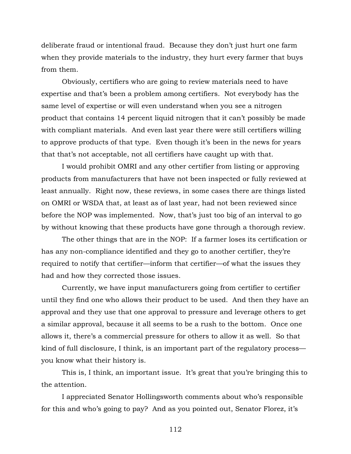deliberate fraud or intentional fraud. Because they don't just hurt one farm when they provide materials to the industry, they hurt every farmer that buys from them.

Obviously, certifiers who are going to review materials need to have expertise and that's been a problem among certifiers. Not everybody has the same level of expertise or will even understand when you see a nitrogen product that contains 14 percent liquid nitrogen that it can't possibly be made with compliant materials. And even last year there were still certifiers willing to approve products of that type. Even though it's been in the news for years that that's not acceptable, not all certifiers have caught up with that.

I would prohibit OMRI and any other certifier from listing or approving products from manufacturers that have not been inspected or fully reviewed at least annually. Right now, these reviews, in some cases there are things listed on OMRI or WSDA that, at least as of last year, had not been reviewed since before the NOP was implemented. Now, that's just too big of an interval to go by without knowing that these products have gone through a thorough review.

The other things that are in the NOP: If a farmer loses its certification or has any non-compliance identified and they go to another certifier, they're required to notify that certifier—inform that certifier—of what the issues they had and how they corrected those issues.

Currently, we have input manufacturers going from certifier to certifier until they find one who allows their product to be used. And then they have an approval and they use that one approval to pressure and leverage others to get a similar approval, because it all seems to be a rush to the bottom. Once one allows it, there's a commercial pressure for others to allow it as well. So that kind of full disclosure, I think, is an important part of the regulatory process you know what their history is.

This is, I think, an important issue. It's great that you're bringing this to the attention.

I appreciated Senator Hollingsworth comments about who's responsible for this and who's going to pay? And as you pointed out, Senator Florez, it's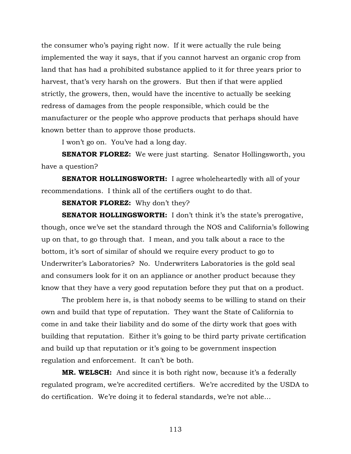the consumer who's paying right now. If it were actually the rule being implemented the way it says, that if you cannot harvest an organic crop from land that has had a prohibited substance applied to it for three years prior to harvest, that's very harsh on the growers. But then if that were applied strictly, the growers, then, would have the incentive to actually be seeking redress of damages from the people responsible, which could be the manufacturer or the people who approve products that perhaps should have known better than to approve those products.

I won't go on. You've had a long day.

**SENATOR FLOREZ:** We were just starting. Senator Hollingsworth, you have a question?

**SENATOR HOLLINGSWORTH:** I agree wholeheartedly with all of your recommendations. I think all of the certifiers ought to do that.

**SENATOR FLOREZ:** Why don't they?

**SENATOR HOLLINGSWORTH:** I don't think it's the state's prerogative, though, once we've set the standard through the NOS and California's following up on that, to go through that. I mean, and you talk about a race to the bottom, it's sort of similar of should we require every product to go to Underwriter's Laboratories? No. Underwriters Laboratories is the gold seal and consumers look for it on an appliance or another product because they know that they have a very good reputation before they put that on a product.

The problem here is, is that nobody seems to be willing to stand on their own and build that type of reputation. They want the State of California to come in and take their liability and do some of the dirty work that goes with building that reputation. Either it's going to be third party private certification and build up that reputation or it's going to be government inspection regulation and enforcement. It can't be both.

**MR. WELSCH:** And since it is both right now, because it's a federally regulated program, we're accredited certifiers. We're accredited by the USDA to do certification. We're doing it to federal standards, we're not able…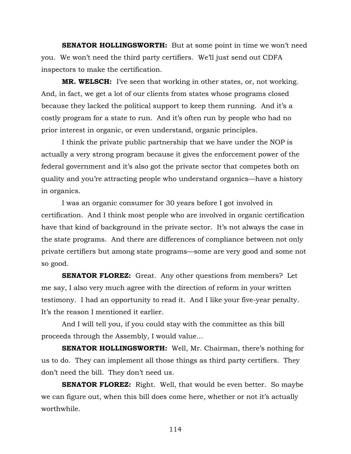**SENATOR HOLLINGSWORTH:** But at some point in time we won't need you. We won't need the third party certifiers. We'll just send out CDFA inspectors to make the certification.

**MR. WELSCH:** I've seen that working in other states, or, not working. And, in fact, we get a lot of our clients from states whose programs closed because they lacked the political support to keep them running. And it's a costly program for a state to run. And it's often run by people who had no prior interest in organic, or even understand, organic principles.

I think the private public partnership that we have under the NOP is actually a very strong program because it gives the enforcement power of the federal government and it's also got the private sector that competes both on quality and you're attracting people who understand organics—have a history in organics.

I was an organic consumer for 30 years before I got involved in certification. And I think most people who are involved in organic certification have that kind of background in the private sector. It's not always the case in the state programs. And there are differences of compliance between not only private certifiers but among state programs—some are very good and some not so good.

**SENATOR FLOREZ:** Great. Any other questions from members? Let me say, I also very much agree with the direction of reform in your written testimony. I had an opportunity to read it. And I like your five-year penalty. It's the reason I mentioned it earlier.

And I will tell you, if you could stay with the committee as this bill proceeds through the Assembly, I would value…

**SENATOR HOLLINGSWORTH:** Well, Mr. Chairman, there's nothing for us to do. They can implement all those things as third party certifiers. They don't need the bill. They don't need us.

**SENATOR FLOREZ:** Right. Well, that would be even better. So maybe we can figure out, when this bill does come here, whether or not it's actually worthwhile.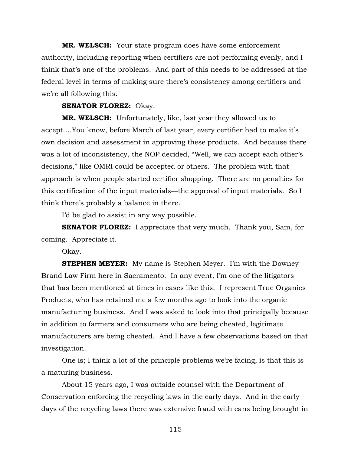**MR. WELSCH:** Your state program does have some enforcement authority, including reporting when certifiers are not performing evenly, and I think that's one of the problems. And part of this needs to be addressed at the federal level in terms of making sure there's consistency among certifiers and we're all following this.

## **SENATOR FLOREZ:** Okay.

**MR. WELSCH:** Unfortunately, like, last year they allowed us to accept….You know, before March of last year, every certifier had to make it's own decision and assessment in approving these products. And because there was a lot of inconsistency, the NOP decided, "Well, we can accept each other's decisions," like OMRI could be accepted or others. The problem with that approach is when people started certifier shopping. There are no penalties for this certification of the input materials—the approval of input materials. So I think there's probably a balance in there.

I'd be glad to assist in any way possible.

**SENATOR FLOREZ:** I appreciate that very much. Thank you, Sam, for coming. Appreciate it.

Okay.

**STEPHEN MEYER:** My name is Stephen Meyer. I'm with the Downey Brand Law Firm here in Sacramento. In any event, I'm one of the litigators that has been mentioned at times in cases like this. I represent True Organics Products, who has retained me a few months ago to look into the organic manufacturing business. And I was asked to look into that principally because in addition to farmers and consumers who are being cheated, legitimate manufacturers are being cheated. And I have a few observations based on that investigation.

One is; I think a lot of the principle problems we're facing, is that this is a maturing business.

About 15 years ago, I was outside counsel with the Department of Conservation enforcing the recycling laws in the early days. And in the early days of the recycling laws there was extensive fraud with cans being brought in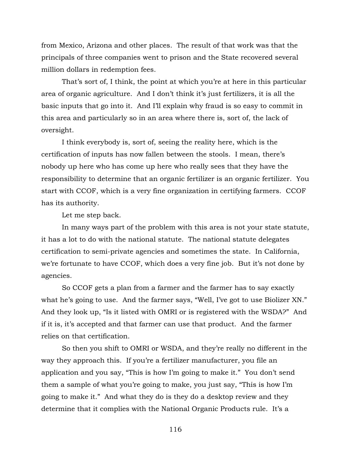from Mexico, Arizona and other places. The result of that work was that the principals of three companies went to prison and the State recovered several million dollars in redemption fees.

That's sort of, I think, the point at which you're at here in this particular area of organic agriculture. And I don't think it's just fertilizers, it is all the basic inputs that go into it. And I'll explain why fraud is so easy to commit in this area and particularly so in an area where there is, sort of, the lack of oversight.

I think everybody is, sort of, seeing the reality here, which is the certification of inputs has now fallen between the stools. I mean, there's nobody up here who has come up here who really sees that they have the responsibility to determine that an organic fertilizer is an organic fertilizer. You start with CCOF, which is a very fine organization in certifying farmers. CCOF has its authority.

Let me step back.

In many ways part of the problem with this area is not your state statute, it has a lot to do with the national statute. The national statute delegates certification to semi-private agencies and sometimes the state. In California, we're fortunate to have CCOF, which does a very fine job. But it's not done by agencies.

So CCOF gets a plan from a farmer and the farmer has to say exactly what he's going to use. And the farmer says, "Well, I've got to use Biolizer XN." And they look up, "Is it listed with OMRI or is registered with the WSDA?" And if it is, it's accepted and that farmer can use that product. And the farmer relies on that certification.

So then you shift to OMRI or WSDA, and they're really no different in the way they approach this. If you're a fertilizer manufacturer, you file an application and you say, "This is how I'm going to make it." You don't send them a sample of what you're going to make, you just say, "This is how I'm going to make it." And what they do is they do a desktop review and they determine that it complies with the National Organic Products rule. It's a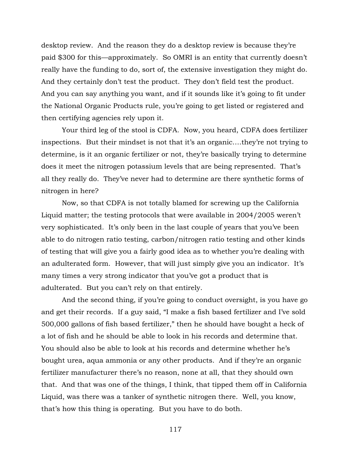desktop review. And the reason they do a desktop review is because they're paid \$300 for this—approximately. So OMRI is an entity that currently doesn't really have the funding to do, sort of, the extensive investigation they might do. And they certainly don't test the product. They don't field test the product. And you can say anything you want, and if it sounds like it's going to fit under the National Organic Products rule, you're going to get listed or registered and then certifying agencies rely upon it.

Your third leg of the stool is CDFA. Now, you heard, CDFA does fertilizer inspections. But their mindset is not that it's an organic….they're not trying to determine, is it an organic fertilizer or not, they're basically trying to determine does it meet the nitrogen potassium levels that are being represented. That's all they really do. They've never had to determine are there synthetic forms of nitrogen in here?

Now, so that CDFA is not totally blamed for screwing up the California Liquid matter; the testing protocols that were available in 2004/2005 weren't very sophisticated. It's only been in the last couple of years that you've been able to do nitrogen ratio testing, carbon/nitrogen ratio testing and other kinds of testing that will give you a fairly good idea as to whether you're dealing with an adulterated form. However, that will just simply give you an indicator. It's many times a very strong indicator that you've got a product that is adulterated. But you can't rely on that entirely.

And the second thing, if you're going to conduct oversight, is you have go and get their records. If a guy said, "I make a fish based fertilizer and I've sold 500,000 gallons of fish based fertilizer," then he should have bought a heck of a lot of fish and he should be able to look in his records and determine that. You should also be able to look at his records and determine whether he's bought urea, aqua ammonia or any other products. And if they're an organic fertilizer manufacturer there's no reason, none at all, that they should own that. And that was one of the things, I think, that tipped them off in California Liquid, was there was a tanker of synthetic nitrogen there. Well, you know, that's how this thing is operating. But you have to do both.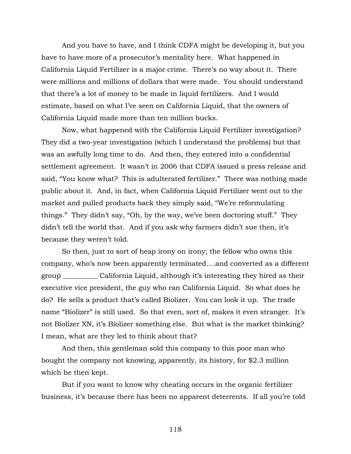And you have to have, and I think CDFA might be developing it, but you have to have more of a prosecutor's mentality here. What happened in California Liquid Fertilizer is a major crime. There's no way about it. There were millions and millions of dollars that were made. You should understand that there's a lot of money to be made in liquid fertilizers. And I would estimate, based on what I've seen on California Liquid, that the owners of California Liquid made more than ten million bucks.

Now, what happened with the California Liquid Fertilizer investigation? They did a two-year investigation (which I understand the problems) but that was an awfully long time to do. And then, they entered into a confidential settlement agreement. It wasn't in 2006 that CDFA issued a press release and said, "You know what? This is adulterated fertilizer." There was nothing made public about it. And, in fact, when California Liquid Fertilizer went out to the market and pulled products back they simply said, "We're reformulating things." They didn't say, "Oh, by the way, we've been doctoring stuff." They didn't tell the world that. And if you ask why farmers didn't sue then, it's because they weren't told.

So then, just to sort of heap irony on irony; the fellow who owns this company, who's now been apparently terminated….and converted as a different group \_\_\_\_\_\_\_\_\_\_ California Liquid, although it's interesting they hired as their executive vice president, the guy who ran California Liquid. So what does he do? He sells a product that's called Biolizer. You can look it up. The trade name "Biolizer" is still used. So that even, sort of, makes it even stranger. It's not Biolizer XN, it's Biolizer something else. But what is the market thinking? I mean, what are they led to think about that?

And then, this gentleman sold this company to this poor man who bought the company not knowing, apparently, its history, for \$2.3 million which he then kept.

But if you want to know why cheating occurs in the organic fertilizer business, it's because there has been no apparent deterrents. If all you're told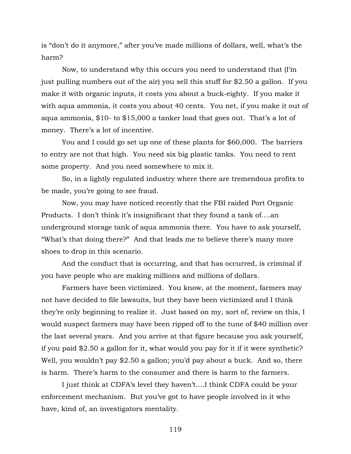is "don't do it anymore," after you've made millions of dollars, well, what's the harm?

Now, to understand why this occurs you need to understand that (I'm just pulling numbers out of the air) you sell this stuff for \$2.50 a gallon. If you make it with organic inputs, it costs you about a buck-eighty. If you make it with aqua ammonia, it costs you about 40 cents. You net, if you make it out of aqua ammonia, \$10- to \$15,000 a tanker load that goes out. That's a lot of money. There's a lot of incentive.

You and I could go set up one of these plants for \$60,000. The barriers to entry are not that high. You need six big plastic tanks. You need to rent some property. And you need somewhere to mix it.

So, in a lightly regulated industry where there are tremendous profits to be made, you're going to see fraud.

Now, you may have noticed recently that the FBI raided Port Organic Products. I don't think it's insignificant that they found a tank of….an underground storage tank of aqua ammonia there. You have to ask yourself, "What's that doing there?" And that leads me to believe there's many more shoes to drop in this scenario.

And the conduct that is occurring, and that has occurred, is criminal if you have people who are making millions and millions of dollars.

Farmers have been victimized. You know, at the moment, farmers may not have decided to file lawsuits, but they have been victimized and I think they're only beginning to realize it. Just based on my, sort of, review on this, I would suspect farmers may have been ripped off to the tune of \$40 million over the last several years. And you arrive at that figure because you ask yourself, if you paid \$2.50 a gallon for it, what would you pay for it if it were synthetic? Well, you wouldn't pay \$2.50 a gallon; you'd pay about a buck. And so, there is harm. There's harm to the consumer and there is harm to the farmers.

I just think at CDFA's level they haven't….I think CDFA could be your enforcement mechanism. But you've got to have people involved in it who have, kind of, an investigators mentality.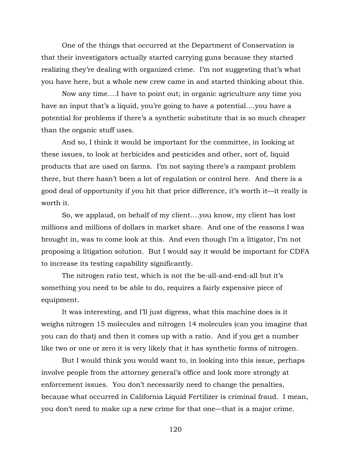One of the things that occurred at the Department of Conservation is that their investigators actually started carrying guns because they started realizing they're dealing with organized crime. I'm not suggesting that's what you have here, but a whole new crew came in and started thinking about this.

Now any time….I have to point out; in organic agriculture any time you have an input that's a liquid, you're going to have a potential....you have a potential for problems if there's a synthetic substitute that is so much cheaper than the organic stuff uses.

And so, I think it would be important for the committee, in looking at these issues, to look at herbicides and pesticides and other, sort of, liquid products that are used on farms. I'm not saying there's a rampant problem there, but there hasn't been a lot of regulation or control here. And there is a good deal of opportunity if you hit that price difference, it's worth it—it really is worth it.

So, we applaud, on behalf of my client….you know, my client has lost millions and millions of dollars in market share. And one of the reasons I was brought in, was to come look at this. And even though I'm a litigator, I'm not proposing a litigation solution. But I would say it would be important for CDFA to increase its testing capability significantly.

The nitrogen ratio test, which is not the be-all-and-end-all but it's something you need to be able to do, requires a fairly expensive piece of equipment.

It was interesting, and I'll just digress, what this machine does is it weighs nitrogen 15 molecules and nitrogen 14 molecules (can you imagine that you can do that) and then it comes up with a ratio. And if you get a number like two or one or zero it is very likely that it has synthetic forms of nitrogen.

But I would think you would want to, in looking into this issue, perhaps involve people from the attorney general's office and look more strongly at enforcement issues. You don't necessarily need to change the penalties, because what occurred in California Liquid Fertilizer is criminal fraud. I mean, you don't need to make up a new crime for that one—that is a major crime.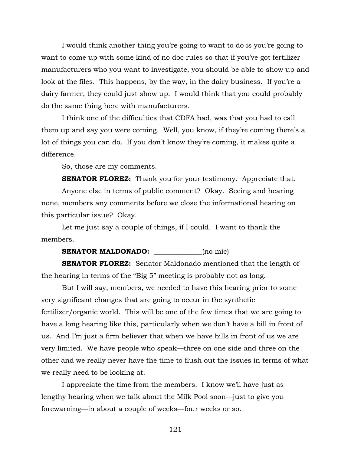I would think another thing you're going to want to do is you're going to want to come up with some kind of no doc rules so that if you've got fertilizer manufacturers who you want to investigate, you should be able to show up and look at the files. This happens, by the way, in the dairy business. If you're a dairy farmer, they could just show up. I would think that you could probably do the same thing here with manufacturers.

I think one of the difficulties that CDFA had, was that you had to call them up and say you were coming. Well, you know, if they're coming there's a lot of things you can do. If you don't know they're coming, it makes quite a difference.

So, those are my comments.

**SENATOR FLOREZ:** Thank you for your testimony. Appreciate that.

Anyone else in terms of public comment? Okay. Seeing and hearing none, members any comments before we close the informational hearing on this particular issue? Okay.

Let me just say a couple of things, if I could. I want to thank the members.

## **SENATOR MALDONADO:** (no mic)

**SENATOR FLOREZ:** Senator Maldonado mentioned that the length of the hearing in terms of the "Big 5" meeting is probably not as long.

But I will say, members, we needed to have this hearing prior to some very significant changes that are going to occur in the synthetic fertilizer/organic world. This will be one of the few times that we are going to have a long hearing like this, particularly when we don't have a bill in front of us. And I'm just a firm believer that when we have bills in front of us we are very limited. We have people who speak—three on one side and three on the other and we really never have the time to flush out the issues in terms of what we really need to be looking at.

I appreciate the time from the members. I know we'll have just as lengthy hearing when we talk about the Milk Pool soon—just to give you forewarning—in about a couple of weeks—four weeks or so.